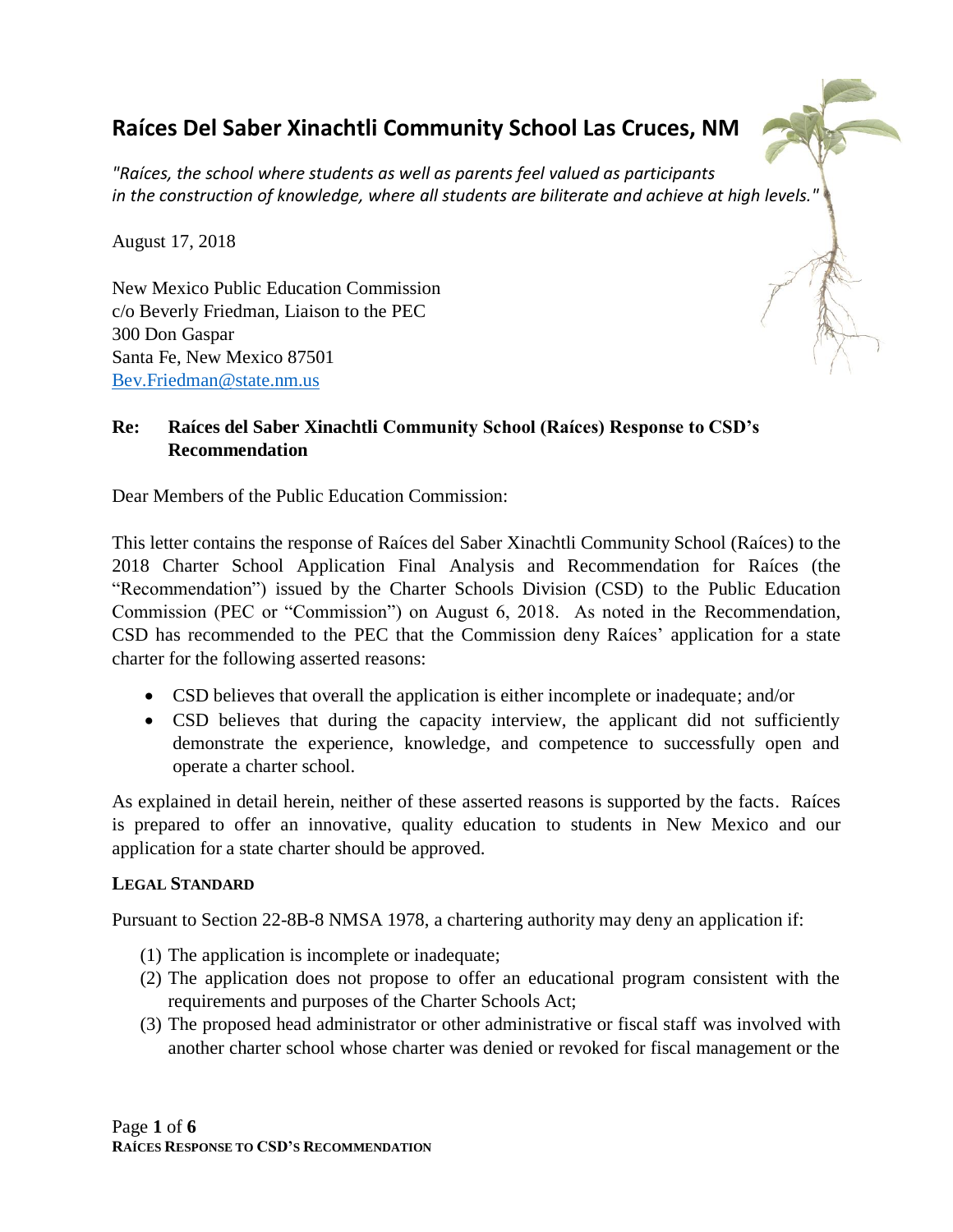# **Raíces Del Saber Xinachtli Community School Las Cruces, NM**



*"Raíces, the school where students as well as parents feel valued as participants in the construction of knowledge, where all students are biliterate and achieve at high levels."*

August 17, 2018

New Mexico Public Education Commission c/o Beverly Friedman, Liaison to the PEC 300 Don Gaspar Santa Fe, New Mexico 87501 Bev.Friedman@state.nm.us

### **Re: Raíces del Saber Xinachtli Community School (Raíces) Response to CSD's Recommendation**

Dear Members of the Public Education Commission:

This letter contains the response of Raíces del Saber Xinachtli Community School (Raíces) to the 2018 Charter School Application Final Analysis and Recommendation for Raíces (the "Recommendation") issued by the Charter Schools Division (CSD) to the Public Education Commission (PEC or "Commission") on August 6, 2018. As noted in the Recommendation, CSD has recommended to the PEC that the Commission deny Raíces' application for a state charter for the following asserted reasons:

- CSD believes that overall the application is either incomplete or inadequate; and/or
- CSD believes that during the capacity interview, the applicant did not sufficiently demonstrate the experience, knowledge, and competence to successfully open and operate a charter school.

As explained in detail herein, neither of these asserted reasons is supported by the facts. Raíces is prepared to offer an innovative, quality education to students in New Mexico and our application for a state charter should be approved.

#### **LEGAL STANDARD**

Pursuant to Section 22-8B-8 NMSA 1978, a chartering authority may deny an application if:

- (1) The application is incomplete or inadequate;
- (2) The application does not propose to offer an educational program consistent with the requirements and purposes of the Charter Schools Act;
- (3) The proposed head administrator or other administrative or fiscal staff was involved with another charter school whose charter was denied or revoked for fiscal management or the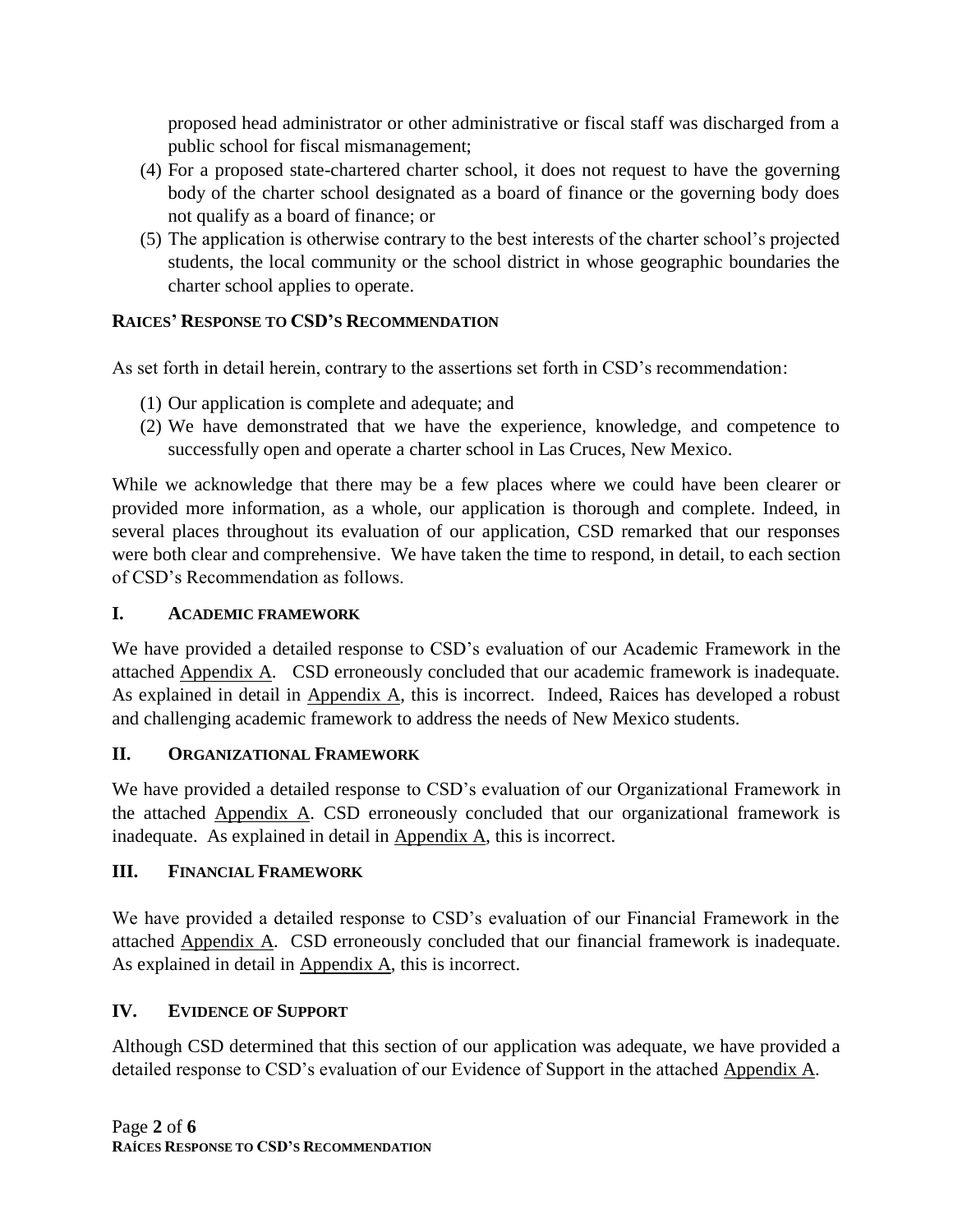proposed head administrator or other administrative or fiscal staff was discharged from a public school for fiscal mismanagement;

- (4) For a proposed state-chartered charter school, it does not request to have the governing body of the charter school designated as a board of finance or the governing body does not qualify as a board of finance; or
- (5) The application is otherwise contrary to the best interests of the charter school's projected students, the local community or the school district in whose geographic boundaries the charter school applies to operate.

### **RAICES' RESPONSE TO CSD'S RECOMMENDATION**

As set forth in detail herein, contrary to the assertions set forth in CSD's recommendation:

- (1) Our application is complete and adequate; and
- (2) We have demonstrated that we have the experience, knowledge, and competence to successfully open and operate a charter school in Las Cruces, New Mexico.

While we acknowledge that there may be a few places where we could have been clearer or provided more information, as a whole, our application is thorough and complete. Indeed, in several places throughout its evaluation of our application, CSD remarked that our responses were both clear and comprehensive. We have taken the time to respond, in detail, to each section of CSD's Recommendation as follows.

### **I. ACADEMIC FRAMEWORK**

We have provided a detailed response to CSD's evaluation of our Academic Framework in the attached Appendix A. CSD erroneously concluded that our academic framework is inadequate. As explained in detail in Appendix A, this is incorrect. Indeed, Raices has developed a robust and challenging academic framework to address the needs of New Mexico students.

### **II. ORGANIZATIONAL FRAMEWORK**

We have provided a detailed response to CSD's evaluation of our Organizational Framework in the attached Appendix A. CSD erroneously concluded that our organizational framework is inadequate. As explained in detail in  $\Delta$ ppendix  $\Delta$ , this is incorrect.

### **III. FINANCIAL FRAMEWORK**

We have provided a detailed response to CSD's evaluation of our Financial Framework in the attached Appendix A. CSD erroneously concluded that our financial framework is inadequate. As explained in detail in Appendix A, this is incorrect.

### **IV. EVIDENCE OF SUPPORT**

Although CSD determined that this section of our application was adequate, we have provided a detailed response to CSD's evaluation of our Evidence of Support in the attached Appendix A.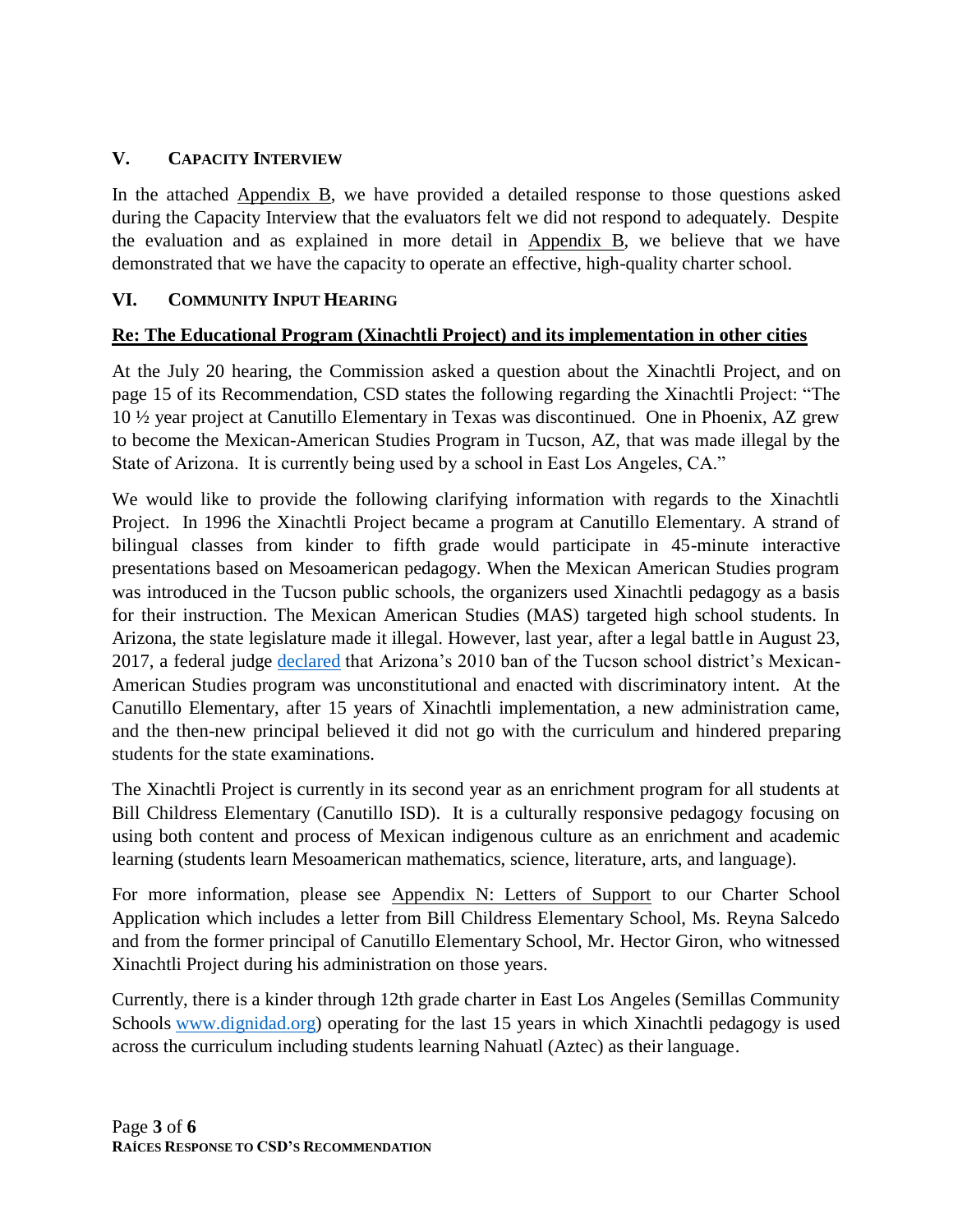### **V. CAPACITY INTERVIEW**

In the attached Appendix B, we have provided a detailed response to those questions asked during the Capacity Interview that the evaluators felt we did not respond to adequately. Despite the evaluation and as explained in more detail in Appendix B, we believe that we have demonstrated that we have the capacity to operate an effective, high-quality charter school.

### **VI. COMMUNITY INPUT HEARING**

### **Re: The Educational Program (Xinachtli Project) and its implementation in other cities**

At the July 20 hearing, the Commission asked a question about the Xinachtli Project, and on page 15 of its Recommendation, CSD states the following regarding the Xinachtli Project: "The 10 ½ year project at Canutillo Elementary in Texas was discontinued. One in Phoenix, AZ grew to become the Mexican-American Studies Program in Tucson, AZ, that was made illegal by the State of Arizona. It is currently being used by a school in East Los Angeles, CA."

We would like to provide the following clarifying information with regards to the Xinachtli Project. In 1996 the Xinachtli Project became a program at Canutillo Elementary. A strand of bilingual classes from kinder to fifth grade would participate in 45-minute interactive presentations based on Mesoamerican pedagogy. When the Mexican American Studies program was introduced in the Tucson public schools, the organizers used Xinachtli pedagogy as a basis for their instruction. The Mexican American Studies (MAS) targeted high school students. In Arizona, the state legislature made it illegal. However, last year, after a legal battle in August 23, 2017, a federal judge [declared](https://www.documentcloud.org/documents/3943857-Arizona-Mexican-American-Studies-Course-Ban.html) that Arizona's 2010 ban of the Tucson school district's Mexican-American Studies program was unconstitutional and enacted with discriminatory intent. At the Canutillo Elementary, after 15 years of Xinachtli implementation, a new administration came, and the then-new principal believed it did not go with the curriculum and hindered preparing students for the state examinations.

The Xinachtli Project is currently in its second year as an enrichment program for all students at Bill Childress Elementary (Canutillo ISD). It is a culturally responsive pedagogy focusing on using both content and process of Mexican indigenous culture as an enrichment and academic learning (students learn Mesoamerican mathematics, science, literature, arts, and language).

For more information, please see Appendix N: Letters of Support to our Charter School Application which includes a letter from Bill Childress Elementary School, Ms. Reyna Salcedo and from the former principal of Canutillo Elementary School, Mr. Hector Giron, who witnessed Xinachtli Project during his administration on those years.

Currently, there is a kinder through 12th grade charter in East Los Angeles (Semillas Community Schools [www.dignidad.org\)](http://www.dignidad.org/) operating for the last 15 years in which Xinachtli pedagogy is used across the curriculum including students learning Nahuatl (Aztec) as their language.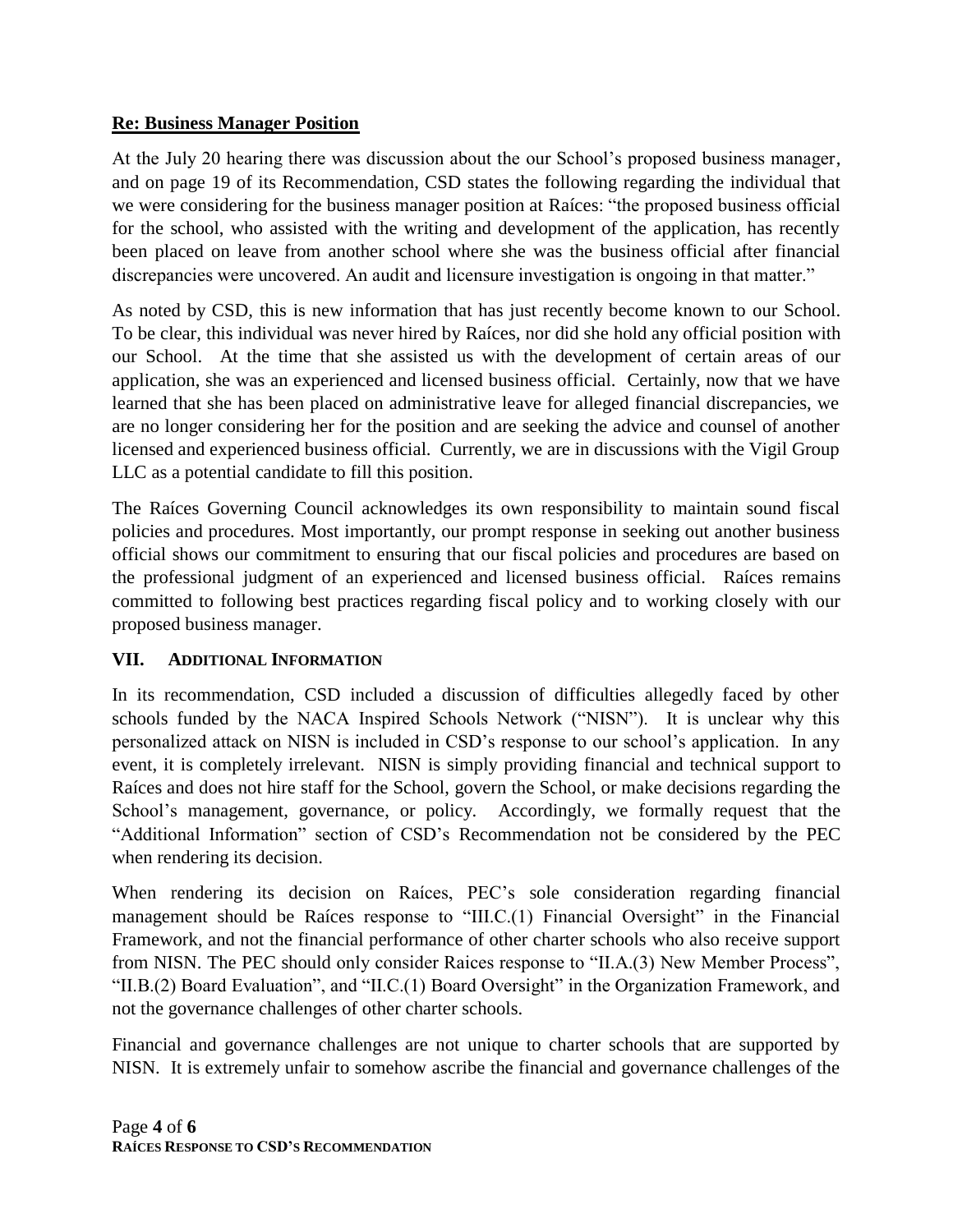### **Re: Business Manager Position**

At the July 20 hearing there was discussion about the our School's proposed business manager, and on page 19 of its Recommendation, CSD states the following regarding the individual that we were considering for the business manager position at Raíces: "the proposed business official for the school, who assisted with the writing and development of the application, has recently been placed on leave from another school where she was the business official after financial discrepancies were uncovered. An audit and licensure investigation is ongoing in that matter."

As noted by CSD, this is new information that has just recently become known to our School. To be clear, this individual was never hired by Raíces, nor did she hold any official position with our School. At the time that she assisted us with the development of certain areas of our application, she was an experienced and licensed business official. Certainly, now that we have learned that she has been placed on administrative leave for alleged financial discrepancies, we are no longer considering her for the position and are seeking the advice and counsel of another licensed and experienced business official. Currently, we are in discussions with the Vigil Group LLC as a potential candidate to fill this position.

The Raíces Governing Council acknowledges its own responsibility to maintain sound fiscal policies and procedures. Most importantly, our prompt response in seeking out another business official shows our commitment to ensuring that our fiscal policies and procedures are based on the professional judgment of an experienced and licensed business official. Raíces remains committed to following best practices regarding fiscal policy and to working closely with our proposed business manager.

### **VII. ADDITIONAL INFORMATION**

In its recommendation, CSD included a discussion of difficulties allegedly faced by other schools funded by the NACA Inspired Schools Network ("NISN"). It is unclear why this personalized attack on NISN is included in CSD's response to our school's application. In any event, it is completely irrelevant. NISN is simply providing financial and technical support to Raíces and does not hire staff for the School, govern the School, or make decisions regarding the School's management, governance, or policy. Accordingly, we formally request that the "Additional Information" section of CSD's Recommendation not be considered by the PEC when rendering its decision.

When rendering its decision on Raíces, PEC's sole consideration regarding financial management should be Raíces response to "III.C.(1) Financial Oversight" in the Financial Framework, and not the financial performance of other charter schools who also receive support from NISN. The PEC should only consider Raices response to "II.A.(3) New Member Process", "II.B.(2) Board Evaluation", and "II.C.(1) Board Oversight" in the Organization Framework, and not the governance challenges of other charter schools.

Financial and governance challenges are not unique to charter schools that are supported by NISN. It is extremely unfair to somehow ascribe the financial and governance challenges of the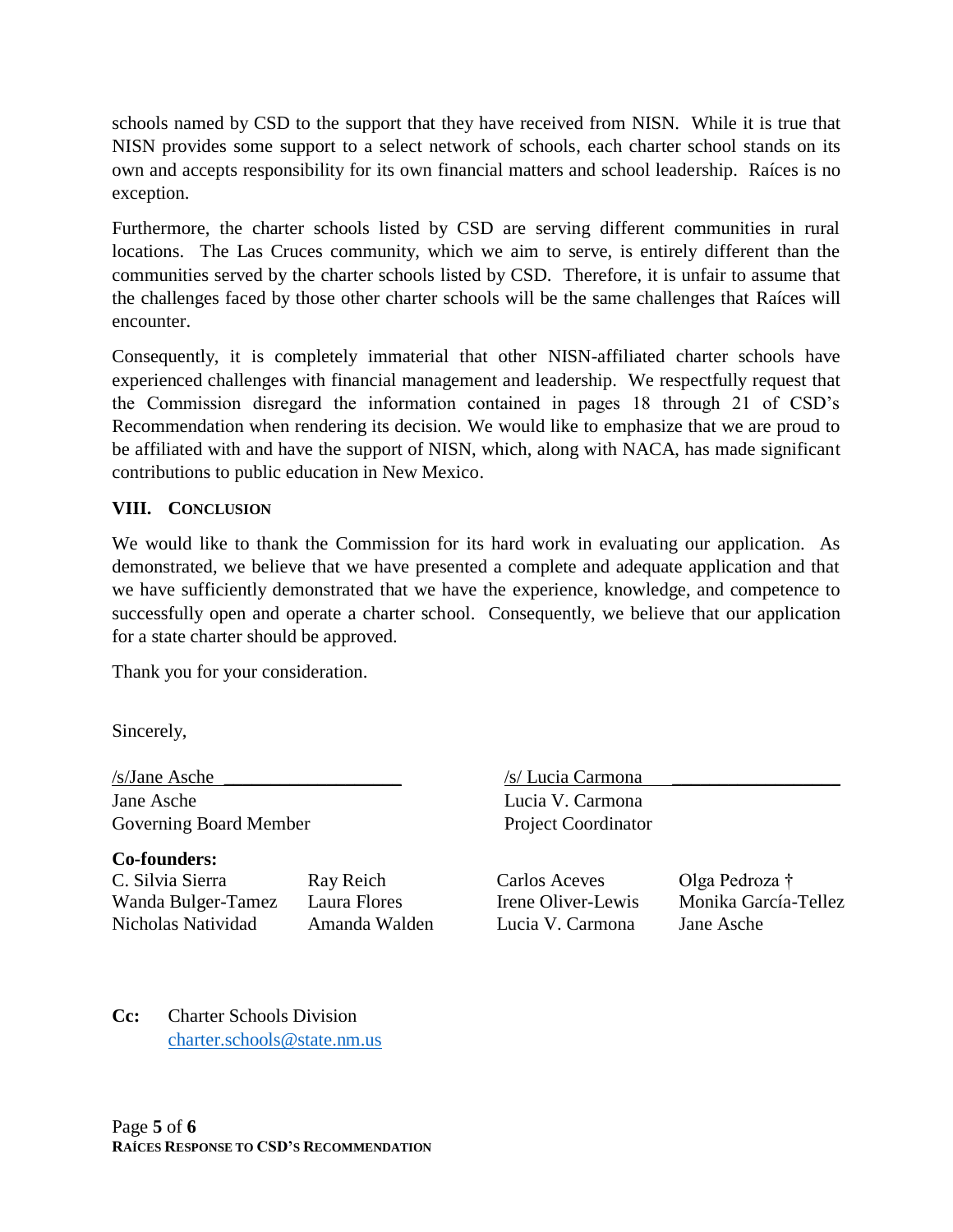schools named by CSD to the support that they have received from NISN. While it is true that NISN provides some support to a select network of schools, each charter school stands on its own and accepts responsibility for its own financial matters and school leadership. Raíces is no exception.

Furthermore, the charter schools listed by CSD are serving different communities in rural locations. The Las Cruces community, which we aim to serve, is entirely different than the communities served by the charter schools listed by CSD. Therefore, it is unfair to assume that the challenges faced by those other charter schools will be the same challenges that Raíces will encounter.

Consequently, it is completely immaterial that other NISN-affiliated charter schools have experienced challenges with financial management and leadership. We respectfully request that the Commission disregard the information contained in pages 18 through 21 of CSD's Recommendation when rendering its decision. We would like to emphasize that we are proud to be affiliated with and have the support of NISN, which, along with NACA, has made significant contributions to public education in New Mexico.

### **VIII. CONCLUSION**

We would like to thank the Commission for its hard work in evaluating our application. As demonstrated, we believe that we have presented a complete and adequate application and that we have sufficiently demonstrated that we have the experience, knowledge, and competence to successfully open and operate a charter school. Consequently, we believe that our application for a state charter should be approved.

Thank you for your consideration.

Sincerely,

/s/Jane Asche \_\_\_\_\_\_\_\_\_\_\_\_\_\_\_\_\_\_\_ /s/ Lucia Carmona \_\_\_\_\_\_\_\_\_\_\_\_\_\_\_\_\_\_ Jane Asche Lucia V. Carmona Governing Board Member Project Coordinator

**Co-founders:**  C. Silvia Sierra Ray Reich Carlos Aceves Olga Pedroza † Wanda Bulger-Tamez Laura Flores Irene Oliver-Lewis Monika García-Tellez Nicholas Natividad Amanda Walden Lucia V. Carmona Jane Asche

**Cc:** Charter Schools Division [charter.schools@state.nm.us](mailto:charter.schools@state.nm.us)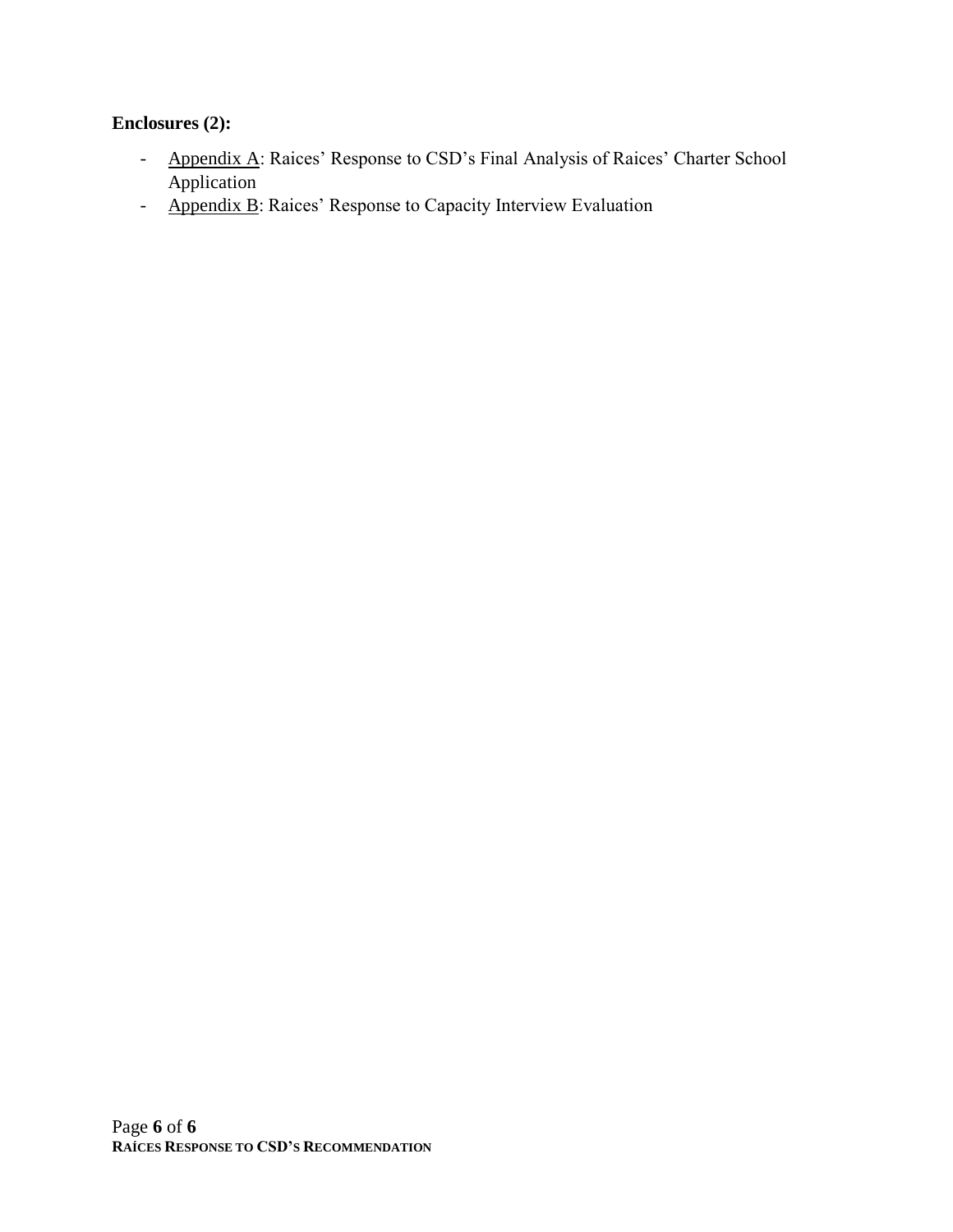# **Enclosures (2):**

- Appendix A: Raices' Response to CSD's Final Analysis of Raices' Charter School Application
- Appendix B: Raices' Response to Capacity Interview Evaluation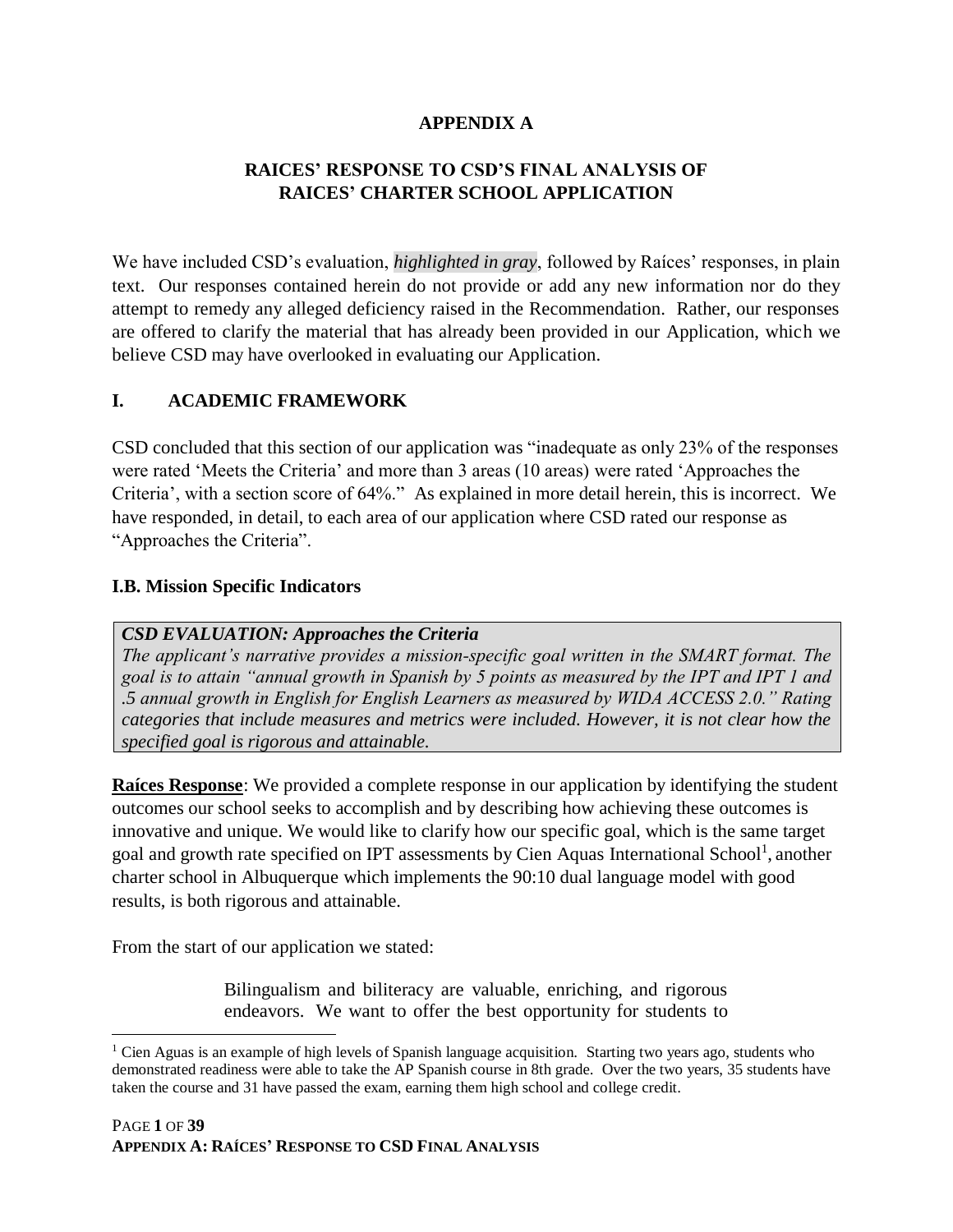### **APPENDIX A**

### **RAICES' RESPONSE TO CSD'S FINAL ANALYSIS OF RAICES' CHARTER SCHOOL APPLICATION**

We have included CSD's evaluation, *highlighted in gray*, followed by Raíces' responses, in plain text. Our responses contained herein do not provide or add any new information nor do they attempt to remedy any alleged deficiency raised in the Recommendation. Rather, our responses are offered to clarify the material that has already been provided in our Application, which we believe CSD may have overlooked in evaluating our Application.

#### **I. ACADEMIC FRAMEWORK**

CSD concluded that this section of our application was "inadequate as only 23% of the responses were rated 'Meets the Criteria' and more than 3 areas (10 areas) were rated 'Approaches the Criteria', with a section score of 64%." As explained in more detail herein, this is incorrect. We have responded, in detail, to each area of our application where CSD rated our response as "Approaches the Criteria".

#### **I.B. Mission Specific Indicators**

#### *CSD EVALUATION: Approaches the Criteria*

*The applicant's narrative provides a mission‐specific goal written in the SMART format. The goal is to attain "annual growth in Spanish by 5 points as measured by the IPT and IPT 1 and .5 annual growth in English for English Learners as measured by WIDA ACCESS 2.0." Rating categories that include measures and metrics were included. However, it is not clear how the specified goal is rigorous and attainable.*

**Raíces Response**: We provided a complete response in our application by identifying the student outcomes our school seeks to accomplish and by describing how achieving these outcomes is innovative and unique. We would like to clarify how our specific goal, which is the same target goal and growth rate specified on IPT assessments by Cien Aquas International School<sup>1</sup>, another charter school in Albuquerque which implements the 90:10 dual language model with good results, is both rigorous and attainable.

From the start of our application we stated:

 $\overline{a}$ 

Bilingualism and biliteracy are valuable, enriching, and rigorous endeavors. We want to offer the best opportunity for students to

<sup>&</sup>lt;sup>1</sup> Cien Aguas is an example of high levels of Spanish language acquisition. Starting two years ago, students who demonstrated readiness were able to take the AP Spanish course in 8th grade. Over the two years, 35 students have taken the course and 31 have passed the exam, earning them high school and college credit.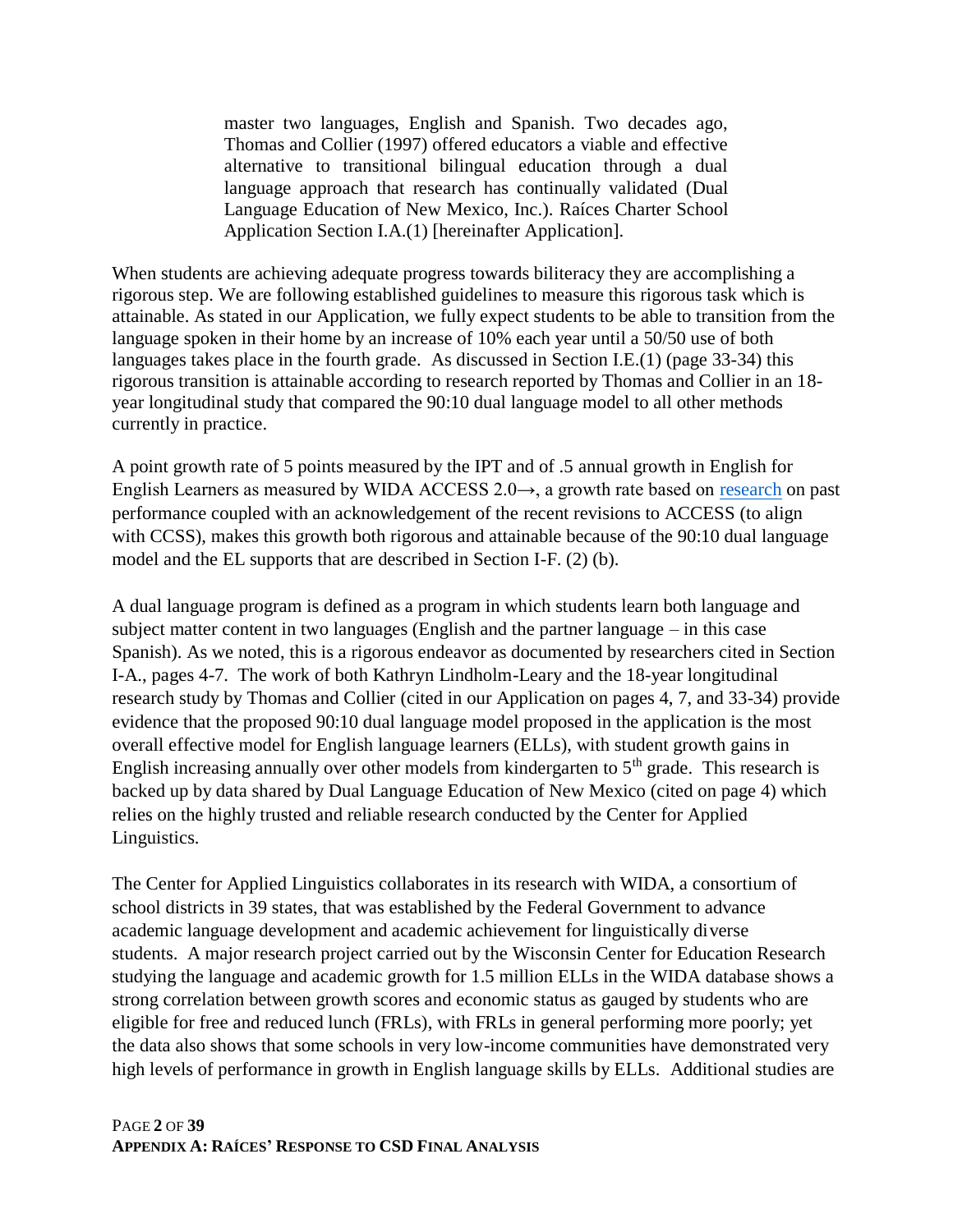master two languages, English and Spanish. Two decades ago, Thomas and Collier (1997) offered educators a viable and effective alternative to transitional bilingual education through a dual language approach that research has continually validated (Dual Language Education of New Mexico, Inc.). Raíces Charter School Application Section I.A.(1) [hereinafter Application].

When students are achieving adequate progress towards biliteracy they are accomplishing a rigorous step. We are following established guidelines to measure this rigorous task which is attainable. As stated in our Application, we fully expect students to be able to transition from the language spoken in their home by an increase of 10% each year until a 50/50 use of both languages takes place in the fourth grade. As discussed in Section I.E.(1) (page 33-34) this rigorous transition is attainable according to research reported by Thomas and Collier in an 18 year longitudinal study that compared the 90:10 dual language model to all other methods currently in practice.

A point growth rate of 5 points measured by the IPT and of .5 annual growth in English for English Learners as measured by WIDA ACCESS  $2.0\rightarrow$ , a growth rate based on [research](https://www.newamerica.org/education-policy/edcentral/ells-districts/) on past performance coupled with an acknowledgement of the recent revisions to ACCESS (to align with CCSS), makes this growth both rigorous and attainable because of the 90:10 dual language model and the EL supports that are described in Section I-F. (2) (b).

A dual language program is defined as a program in which students learn both language and subject matter content in two languages (English and the partner language – in this case Spanish). As we noted, this is a rigorous endeavor as documented by researchers cited in Section I-A., pages 4-7. The work of both Kathryn Lindholm-Leary and the 18-year longitudinal research study by Thomas and Collier (cited in our Application on pages 4, 7, and 33-34) provide evidence that the proposed 90:10 dual language model proposed in the application is the most overall effective model for English language learners (ELLs), with student growth gains in English increasing annually over other models from kindergarten to  $5<sup>th</sup>$  grade. This research is backed up by data shared by Dual Language Education of New Mexico (cited on page 4) which relies on the highly trusted and reliable research conducted by the Center for Applied Linguistics.

The Center for Applied Linguistics collaborates in its research with WIDA, a consortium of school districts in 39 states, that was established by the Federal Government to advance academic language development and academic achievement for linguistically diverse students. A major research project carried out by the Wisconsin Center for Education Research studying the language and academic growth for 1.5 million ELLs in the WIDA database shows a strong correlation between growth scores and economic status as gauged by students who are eligible for free and reduced lunch (FRLs), with FRLs in general performing more poorly; yet the data also shows that some schools in very low-income communities have demonstrated very high levels of performance in growth in English language skills by ELLs. Additional studies are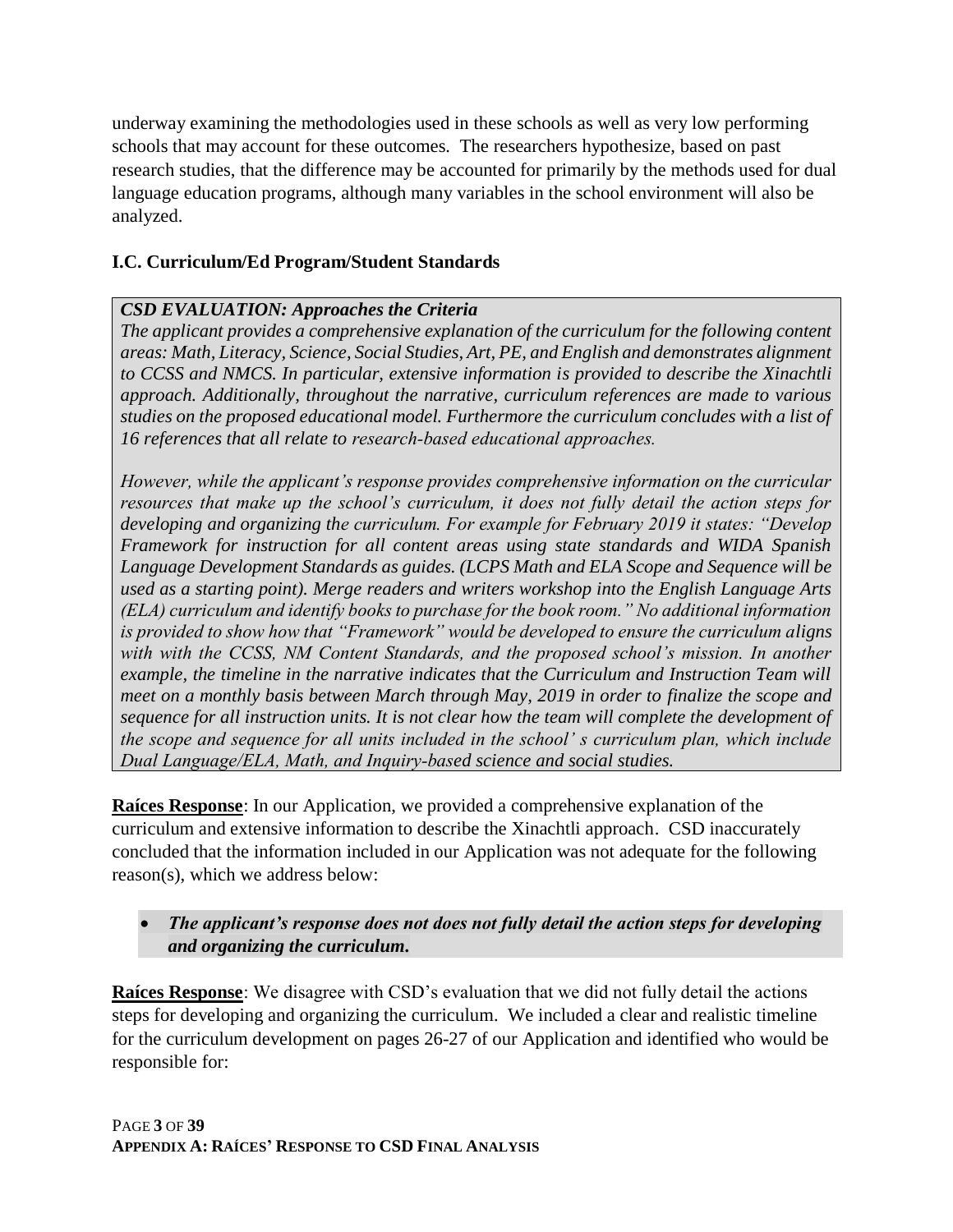underway examining the methodologies used in these schools as well as very low performing schools that may account for these outcomes. The researchers hypothesize, based on past research studies, that the difference may be accounted for primarily by the methods used for dual language education programs, although many variables in the school environment will also be analyzed.

### **I.C. Curriculum/Ed Program/Student Standards**

### *CSD EVALUATION: Approaches the Criteria*

*The applicant provides a comprehensive explanation of the curriculum for the following content areas: Math, Literacy, Science, Social Studies, Art, PE, and English and demonstrates alignment to CCSS and NMCS. In particular, extensive information is provided to describe the Xinachtli approach. Additionally, throughout the narrative, curriculum references are made to various studies on the proposed educational model. Furthermore the curriculum concludes with a list of 16 references that all relate to research‐based educational approaches.*

*However, while the applicant's response provides comprehensive information on the curricular resources that make up the school's curriculum, it does not fully detail the action steps for developing and organizing the curriculum. For example for February 2019 it states: "Develop Framework for instruction for all content areas using state standards and WIDA Spanish Language Development Standards as guides. (LCPS Math and ELA Scope and Sequence will be used as a starting point). Merge readers and writers workshop into the English Language Arts (ELA) curriculum and identify books to purchase for the book room." No additional information is provided to show how that "Framework" would be developed to ensure the curriculum aligns with with the CCSS, NM Content Standards, and the proposed school's mission. In another example, the timeline in the narrative indicates that the Curriculum and Instruction Team will meet on a monthly basis between March through May, 2019 in order to finalize the scope and sequence for all instruction units. It is not clear how the team will complete the development of the scope and sequence for all units included in the school' s curriculum plan, which include Dual Language/ELA, Math, and Inquiry‐based science and social studies.*

**Raíces Response**: In our Application, we provided a comprehensive explanation of the curriculum and extensive information to describe the Xinachtli approach. CSD inaccurately concluded that the information included in our Application was not adequate for the following reason(s), which we address below:

### • *The applicant's response does not does not fully detail the action steps for developing and organizing the curriculum.*

**Raíces Response**: We disagree with CSD's evaluation that we did not fully detail the actions steps for developing and organizing the curriculum. We included a clear and realistic timeline for the curriculum development on pages 26-27 of our Application and identified who would be responsible for: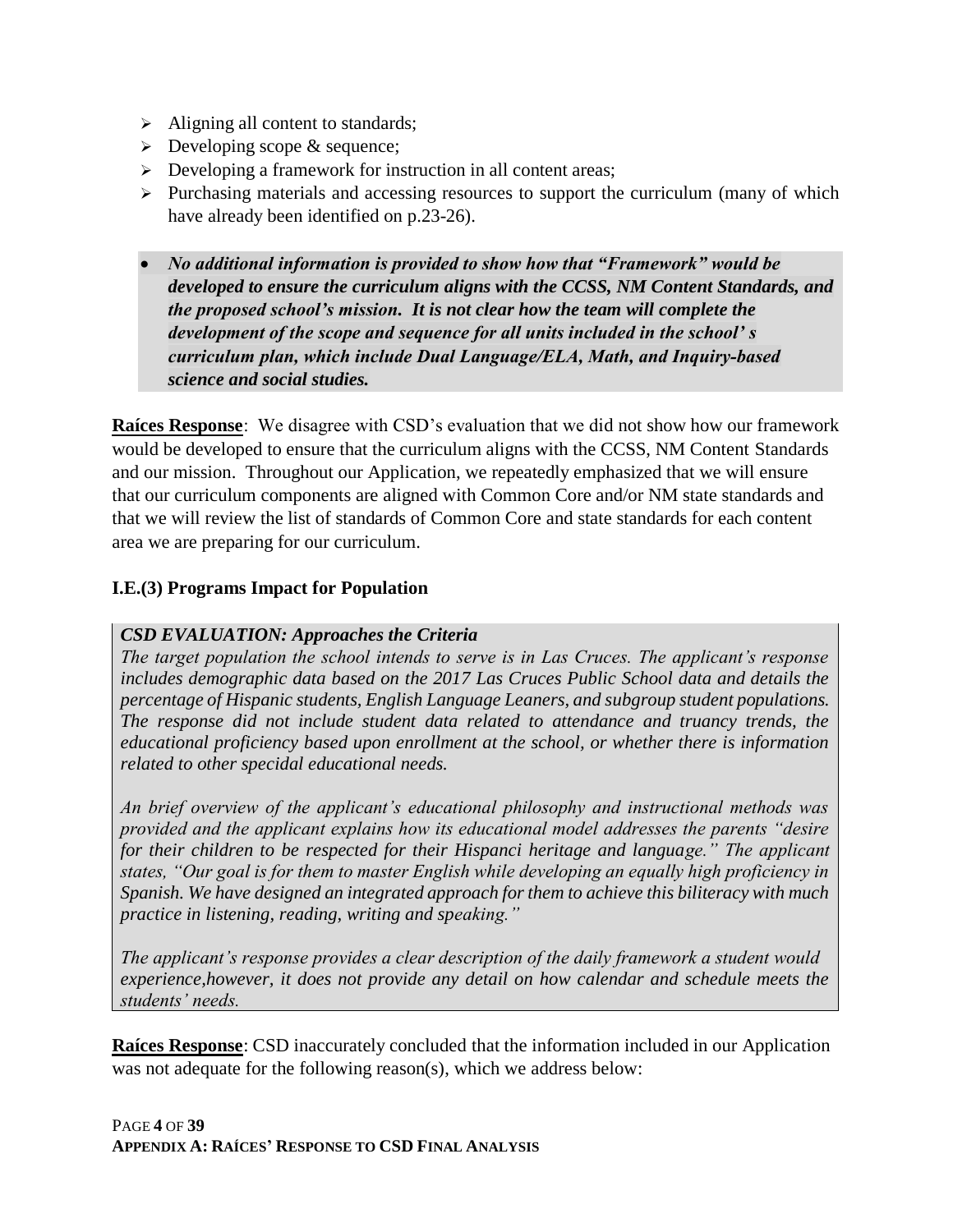- $\triangleright$  Aligning all content to standards;
- $\triangleright$  Developing scope & sequence;
- ➢ Developing a framework for instruction in all content areas;
- ➢ Purchasing materials and accessing resources to support the curriculum (many of which have already been identified on p.23-26).
- *No additional information is provided to show how that "Framework" would be developed to ensure the curriculum aligns with the CCSS, NM Content Standards, and the proposed school's mission. It is not clear how the team will complete the development of the scope and sequence for all units included in the school' s curriculum plan, which include Dual Language/ELA, Math, and Inquiry‐based science and social studies.*

**Raíces Response**: We disagree with CSD's evaluation that we did not show how our framework would be developed to ensure that the curriculum aligns with the CCSS, NM Content Standards and our mission. Throughout our Application, we repeatedly emphasized that we will ensure that our curriculum components are aligned with Common Core and/or NM state standards and that we will review the list of standards of Common Core and state standards for each content area we are preparing for our curriculum.

### **I.E.(3) Programs Impact for Population**

#### *CSD EVALUATION: Approaches the Criteria*

*The target population the school intends to serve is in Las Cruces. The applicant's response includes demographic data based on the 2017 Las Cruces Public School data and details the percentage of Hispanic students, English Language Leaners, and subgroup student populations. The response did not include student data related to attendance and truancy trends, the educational proficiency based upon enrollment at the school, or whether there is information related to other specidal educational needs.* 

*An brief overview of the applicant's educational philosophy and instructional methods was provided and the applicant explains how its educational model addresses the parents "desire for their children to be respected for their Hispanci heritage and language.*" The applicant *states, "Our goal is for them to master English while developing an equally high proficiency in Spanish. We have designed an integrated approach for them to achieve this biliteracy with much practice in listening, reading, writing and speaking."*

*The applicant's response provides a clear description of the daily framework a student would experience,however, it does not provide any detail on how calendar and schedule meets the students' needs.*

**Raíces Response**: CSD inaccurately concluded that the information included in our Application was not adequate for the following reason(s), which we address below: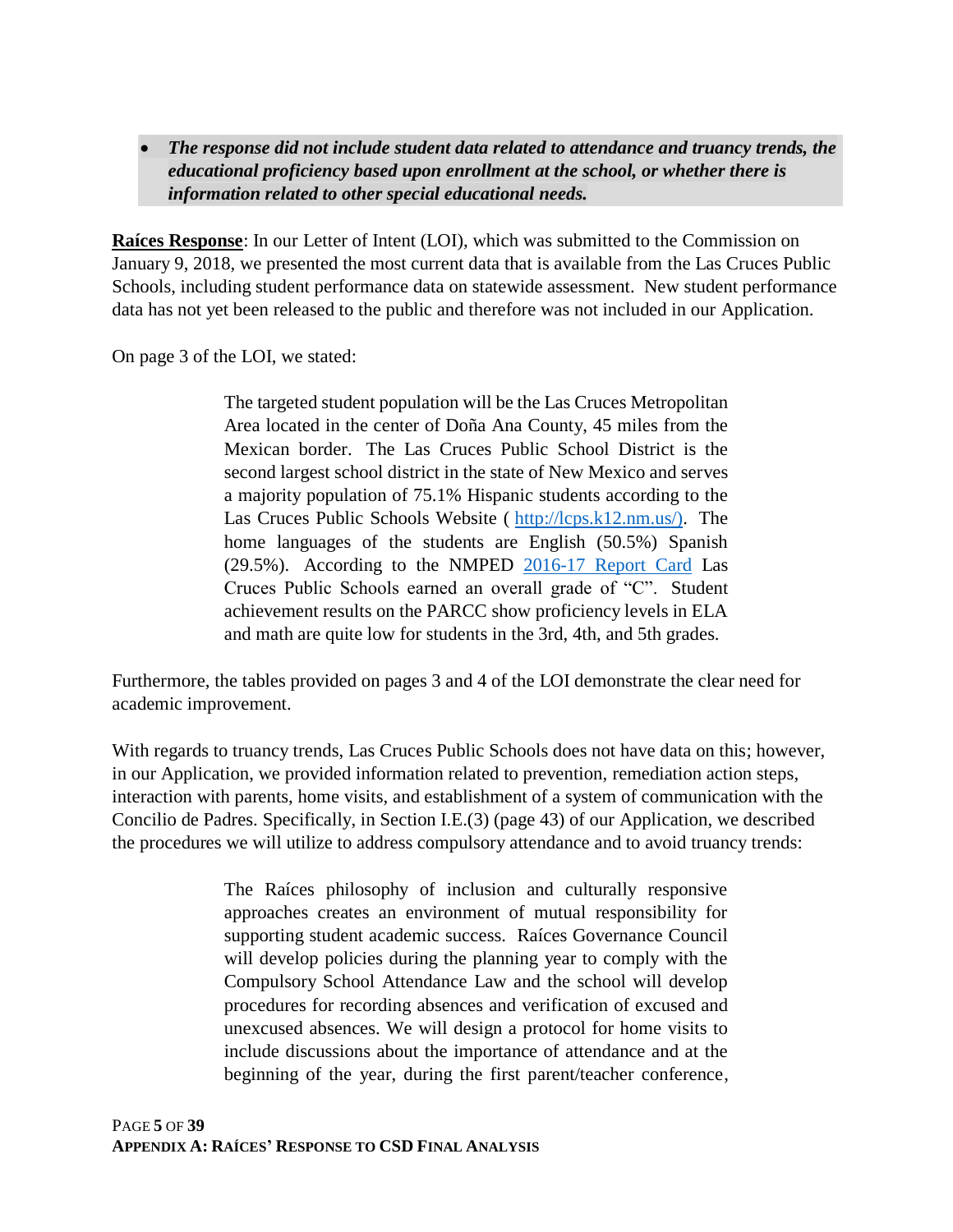• *The response did not include student data related to attendance and truancy trends, the educational proficiency based upon enrollment at the school, or whether there is information related to other special educational needs.*

**Raíces Response**: In our Letter of Intent (LOI), which was submitted to the Commission on January 9, 2018, we presented the most current data that is available from the Las Cruces Public Schools, including student performance data on statewide assessment. New student performance data has not yet been released to the public and therefore was not included in our Application.

On page 3 of the LOI, we stated:

The targeted student population will be the Las Cruces Metropolitan Area located in the center of Doña Ana County, 45 miles from the Mexican border. The Las Cruces Public School District is the second largest school district in the state of New Mexico and serves a majority population of 75.1% Hispanic students according to the Las Cruces Public Schools Website ( [http://lcps.k12.nm.us/\).](http://lcps.k12.nm.us/) The home languages of the students are English (50.5%) Spanish (29.5%). According to the NMPED [2016-17 Report Card](http://webed.ped.state.nm.us/sites/conference/2017%20District%20Report%20Cards/017_LAS_CRUCES_PUBLIC_SCHOOLS_DRC2017_.pdf) Las Cruces Public Schools earned an overall grade of "C". Student achievement results on the PARCC show proficiency levels in ELA and math are quite low for students in the 3rd, 4th, and 5th grades.

Furthermore, the tables provided on pages 3 and 4 of the LOI demonstrate the clear need for academic improvement.

With regards to truancy trends, Las Cruces Public Schools does not have data on this; however, in our Application, we provided information related to prevention, remediation action steps, interaction with parents, home visits, and establishment of a system of communication with the Concilio de Padres. Specifically, in Section I.E.(3) (page 43) of our Application, we described the procedures we will utilize to address compulsory attendance and to avoid truancy trends:

> The Raíces philosophy of inclusion and culturally responsive approaches creates an environment of mutual responsibility for supporting student academic success. Raíces Governance Council will develop policies during the planning year to comply with the Compulsory School Attendance Law and the school will develop procedures for recording absences and verification of excused and unexcused absences. We will design a protocol for home visits to include discussions about the importance of attendance and at the beginning of the year, during the first parent/teacher conference,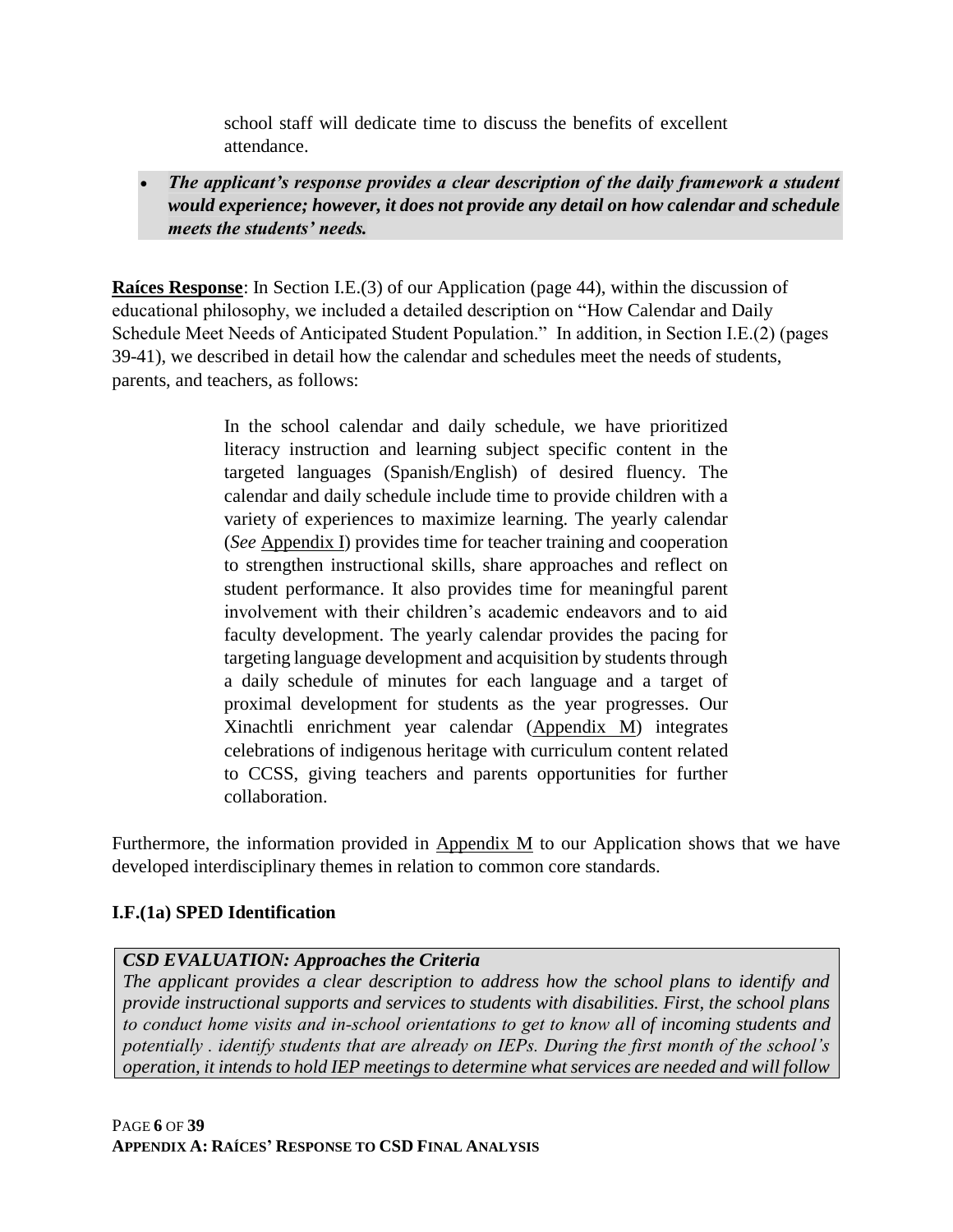school staff will dedicate time to discuss the benefits of excellent attendance.

• *The applicant's response provides a clear description of the daily framework a student would experience; however, it does not provide any detail on how calendar and schedule meets the students' needs.*

**Raíces Response**: In Section I.E.(3) of our Application (page 44), within the discussion of educational philosophy, we included a detailed description on "How Calendar and Daily Schedule Meet Needs of Anticipated Student Population." In addition, in Section I.E.(2) (pages 39-41), we described in detail how the calendar and schedules meet the needs of students, parents, and teachers, as follows:

> In the school calendar and daily schedule, we have prioritized literacy instruction and learning subject specific content in the targeted languages (Spanish/English) of desired fluency. The calendar and daily schedule include time to provide children with a variety of experiences to maximize learning. The yearly calendar (*See* Appendix I) provides time for teacher training and cooperation to strengthen instructional skills, share approaches and reflect on student performance. It also provides time for meaningful parent involvement with their children's academic endeavors and to aid faculty development. The yearly calendar provides the pacing for targeting language development and acquisition by students through a daily schedule of minutes for each language and a target of proximal development for students as the year progresses. Our Xinachtli enrichment year calendar (Appendix M) integrates celebrations of indigenous heritage with curriculum content related to CCSS, giving teachers and parents opportunities for further collaboration.

Furthermore, the information provided in Appendix M to our Application shows that we have developed interdisciplinary themes in relation to common core standards.

### **I.F.(1a) SPED Identification**

### *CSD EVALUATION: Approaches the Criteria*

*The applicant provides a clear description to address how the school plans to identify and provide instructional supports and services to students with disabilities. First, the school plans to conduct home visits and in‐school orientations to get to know all of incoming students and potentially . identify students that are already on IEPs. During the first month of the school's operation, it intends to hold IEP meetings to determine what services are needed and will follow*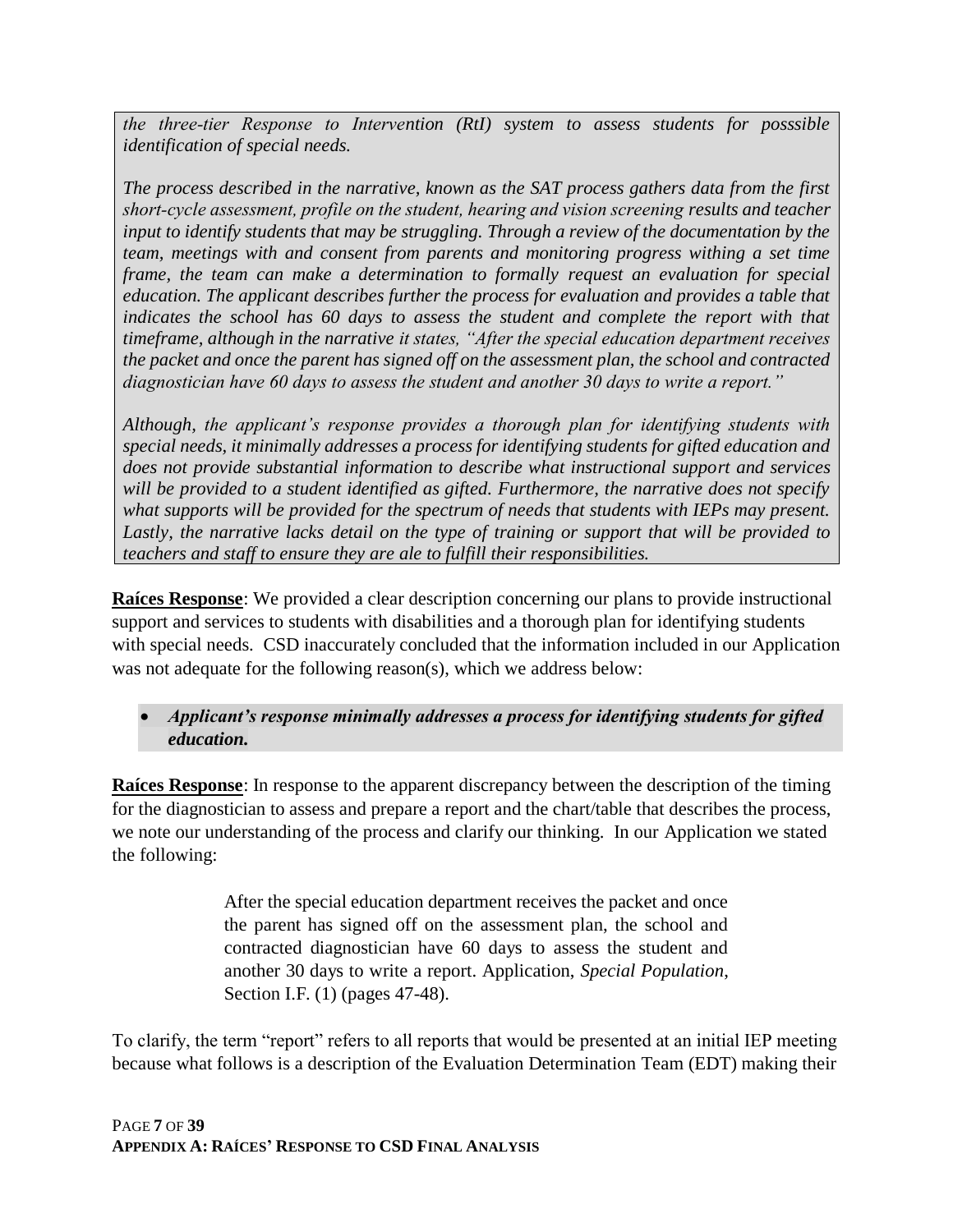*the three‐tier Response to Intervention (RtI) system to assess students for posssible identification of special needs.*

*The process described in the narrative, known as the SAT process gathers data from the first short‐cycle assessment, profile on the student, hearing and vision screening results and teacher input to identify students that may be struggling. Through a review of the documentation by the team, meetings with and consent from parents and monitoring progress withing a set time frame, the team can make a determination to formally request an evaluation for special education. The applicant describes further the process for evaluation and provides a table that*  indicates the school has 60 days to assess the student and complete the report with that *timeframe, although in the narrative it states, "After the special education department receives the packet and once the parent has signed off on the assessment plan, the school and contracted diagnostician have 60 days to assess the student and another 30 days to write a report."*

*Although, the applicant's response provides a thorough plan for identifying students with special needs, it minimally addresses a process for identifying students for gifted education and does not provide substantial information to describe what instructional support and services will be provided to a student identified as gifted. Furthermore, the narrative does not specify what supports will be provided for the spectrum of needs that students with IEPs may present. Lastly, the narrative lacks detail on the type of training or support that will be provided to teachers and staff to ensure they are ale to fulfill their responsibilities.*

**Raíces Response**: We provided a clear description concerning our plans to provide instructional support and services to students with disabilities and a thorough plan for identifying students with special needs. CSD inaccurately concluded that the information included in our Application was not adequate for the following reason(s), which we address below:

### • *Applicant's response minimally addresses a process for identifying students for gifted education.*

**Raíces Response**: In response to the apparent discrepancy between the description of the timing for the diagnostician to assess and prepare a report and the chart/table that describes the process, we note our understanding of the process and clarify our thinking. In our Application we stated the following:

> After the special education department receives the packet and once the parent has signed off on the assessment plan, the school and contracted diagnostician have 60 days to assess the student and another 30 days to write a report. Application, *Special Population*, Section I.F. (1) (pages 47-48).

To clarify, the term "report" refers to all reports that would be presented at an initial IEP meeting because what follows is a description of the Evaluation Determination Team (EDT) making their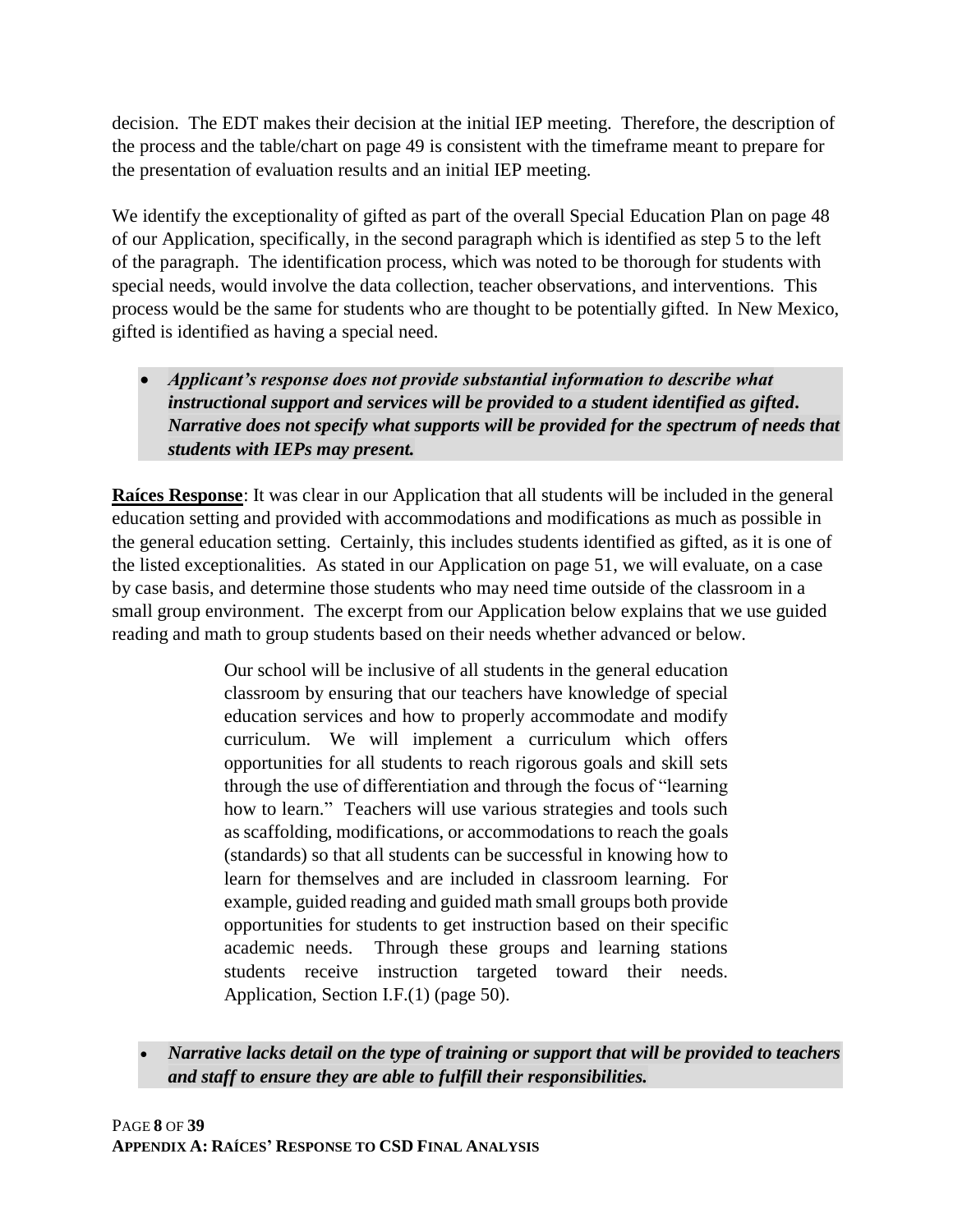decision. The EDT makes their decision at the initial IEP meeting. Therefore, the description of the process and the table/chart on page 49 is consistent with the timeframe meant to prepare for the presentation of evaluation results and an initial IEP meeting.

We identify the exceptionality of gifted as part of the overall Special Education Plan on page 48 of our Application, specifically, in the second paragraph which is identified as step 5 to the left of the paragraph. The identification process, which was noted to be thorough for students with special needs, would involve the data collection, teacher observations, and interventions. This process would be the same for students who are thought to be potentially gifted. In New Mexico, gifted is identified as having a special need.

• *Applicant's response does not provide substantial information to describe what instructional support and services will be provided to a student identified as gifted. Narrative does not specify what supports will be provided for the spectrum of needs that students with IEPs may present.*

**Raíces Response**: It was clear in our Application that all students will be included in the general education setting and provided with accommodations and modifications as much as possible in the general education setting. Certainly, this includes students identified as gifted, as it is one of the listed exceptionalities. As stated in our Application on page 51, we will evaluate, on a case by case basis, and determine those students who may need time outside of the classroom in a small group environment. The excerpt from our Application below explains that we use guided reading and math to group students based on their needs whether advanced or below.

> Our school will be inclusive of all students in the general education classroom by ensuring that our teachers have knowledge of special education services and how to properly accommodate and modify curriculum. We will implement a curriculum which offers opportunities for all students to reach rigorous goals and skill sets through the use of differentiation and through the focus of "learning how to learn." Teachers will use various strategies and tools such as scaffolding, modifications, or accommodations to reach the goals (standards) so that all students can be successful in knowing how to learn for themselves and are included in classroom learning. For example, guided reading and guided math small groups both provide opportunities for students to get instruction based on their specific academic needs. Through these groups and learning stations students receive instruction targeted toward their needs. Application, Section I.F.(1) (page 50).

• *Narrative lacks detail on the type of training or support that will be provided to teachers and staff to ensure they are able to fulfill their responsibilities.*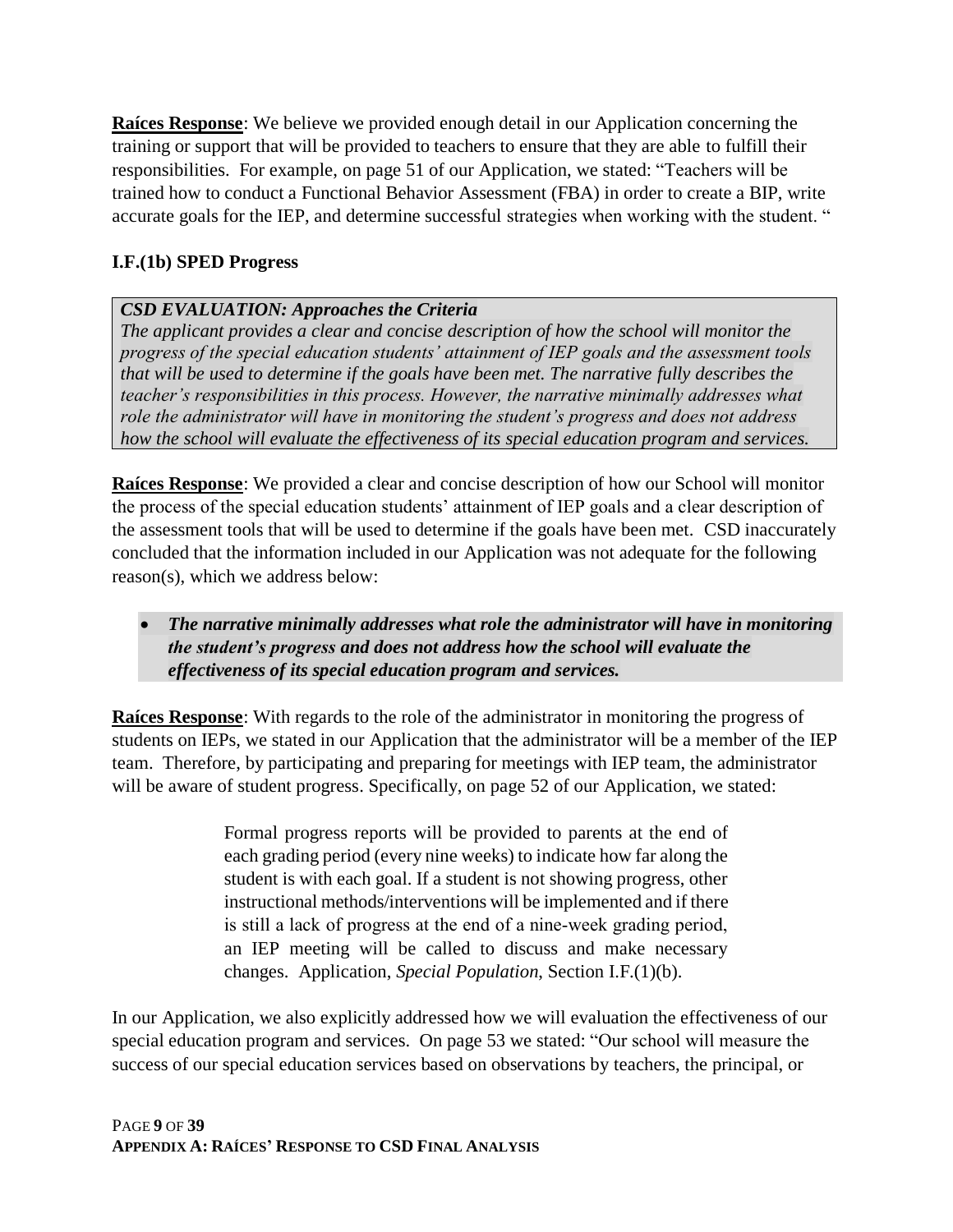**Raíces Response**: We believe we provided enough detail in our Application concerning the training or support that will be provided to teachers to ensure that they are able to fulfill their responsibilities. For example, on page 51 of our Application, we stated: "Teachers will be trained how to conduct a Functional Behavior Assessment (FBA) in order to create a BIP, write accurate goals for the IEP, and determine successful strategies when working with the student. "

### **I.F.(1b) SPED Progress**

### *CSD EVALUATION: Approaches the Criteria*

*The applicant provides a clear and concise description of how the school will monitor the progress of the special education students' attainment of IEP goals and the assessment tools that will be used to determine if the goals have been met. The narrative fully describes the teacher's responsibilities in this process. However, the narrative minimally addresses what role the administrator will have in monitoring the student's progress and does not address how the school will evaluate the effectiveness of its special education program and services.*

**Raíces Response**: We provided a clear and concise description of how our School will monitor the process of the special education students' attainment of IEP goals and a clear description of the assessment tools that will be used to determine if the goals have been met. CSD inaccurately concluded that the information included in our Application was not adequate for the following reason(s), which we address below:

• *The narrative minimally addresses what role the administrator will have in monitoring the student's progress and does not address how the school will evaluate the effectiveness of its special education program and services.* 

**Raíces Response**: With regards to the role of the administrator in monitoring the progress of students on IEPs, we stated in our Application that the administrator will be a member of the IEP team. Therefore, by participating and preparing for meetings with IEP team, the administrator will be aware of student progress. Specifically, on page 52 of our Application, we stated:

> Formal progress reports will be provided to parents at the end of each grading period (every nine weeks) to indicate how far along the student is with each goal. If a student is not showing progress, other instructional methods/interventions will be implemented and if there is still a lack of progress at the end of a nine‐week grading period, an IEP meeting will be called to discuss and make necessary changes. Application, *Special Population*, Section I.F.(1)(b).

In our Application, we also explicitly addressed how we will evaluation the effectiveness of our special education program and services. On page 53 we stated: "Our school will measure the success of our special education services based on observations by teachers, the principal, or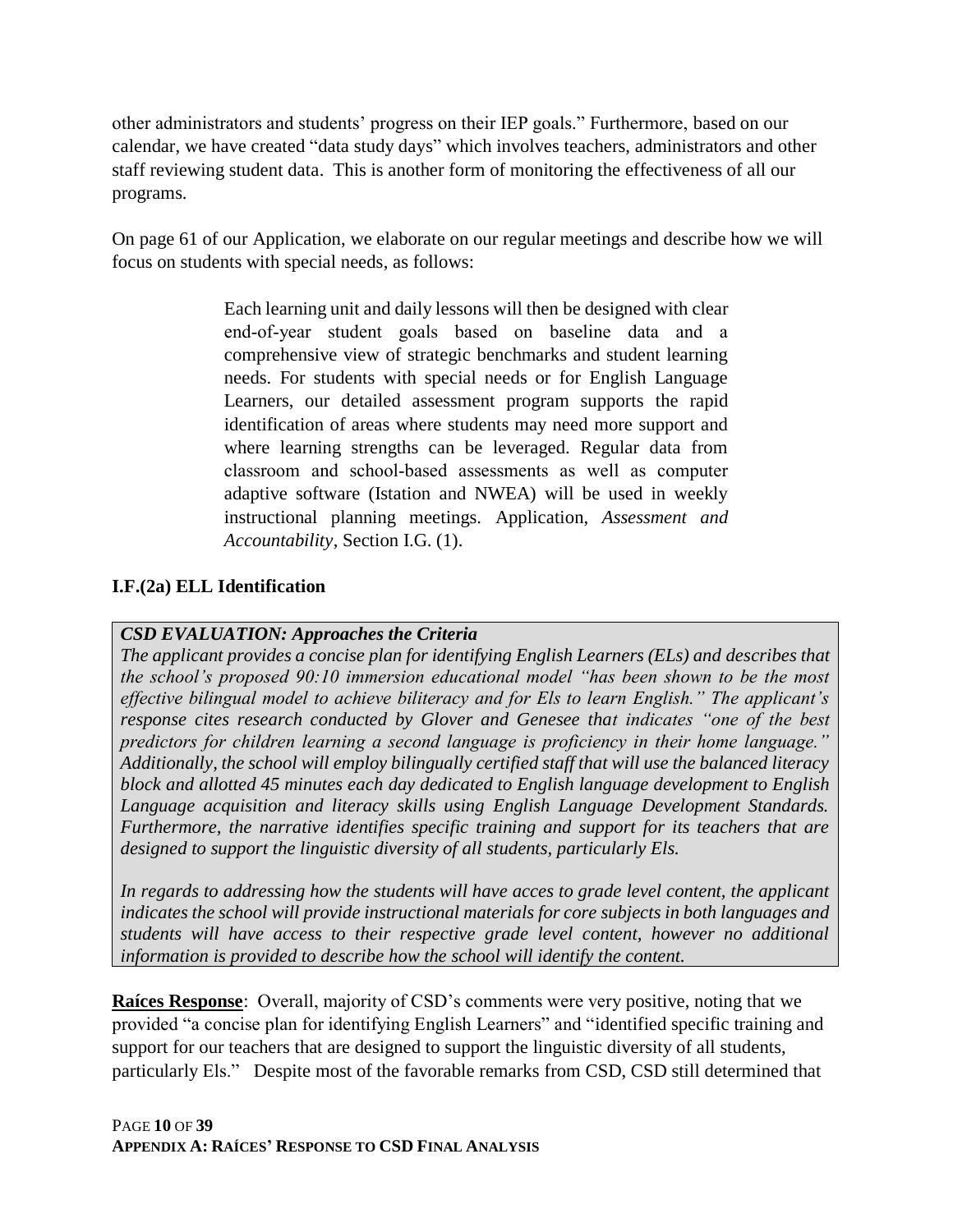other administrators and students' progress on their IEP goals." Furthermore, based on our calendar, we have created "data study days" which involves teachers, administrators and other staff reviewing student data. This is another form of monitoring the effectiveness of all our programs.

On page 61 of our Application, we elaborate on our regular meetings and describe how we will focus on students with special needs, as follows:

> Each learning unit and daily lessons will then be designed with clear end‐of‐year student goals based on baseline data and a comprehensive view of strategic benchmarks and student learning needs. For students with special needs or for English Language Learners, our detailed assessment program supports the rapid identification of areas where students may need more support and where learning strengths can be leveraged. Regular data from classroom and school‐based assessments as well as computer adaptive software (Istation and NWEA) will be used in weekly instructional planning meetings. Application, *Assessment and Accountability*, Section I.G. (1).

### **I.F.(2a) ELL Identification**

#### *CSD EVALUATION: Approaches the Criteria*

*The applicant provides a concise plan for identifying English Learners (ELs) and describes that the school's proposed 90:10 immersion educational model "has been shown to be the most effective bilingual model to achieve biliteracy and for Els to learn English." The applicant's response cites research conducted by Glover and Genesee that indicates "one of the best predictors for children learning a second language is proficiency in their home language." Additionally, the school will employ bilingually certified staff that will use the balanced literacy block and allotted 45 minutes each day dedicated to English language development to English Language acquisition and literacy skills using English Language Development Standards. Furthermore, the narrative identifies specific training and support for its teachers that are designed to support the linguistic diversity of all students, particularly Els.*

In regards to addressing how the students will have acces to grade level content, the applicant *indicates the school will provide instructional materials for core subjects in both languages and students will have access to their respective grade level content, however no additional information is provided to describe how the school will identify the content.*

**Raíces Response**: Overall, majority of CSD's comments were very positive, noting that we provided "a concise plan for identifying English Learners" and "identified specific training and support for our teachers that are designed to support the linguistic diversity of all students, particularly Els." Despite most of the favorable remarks from CSD, CSD still determined that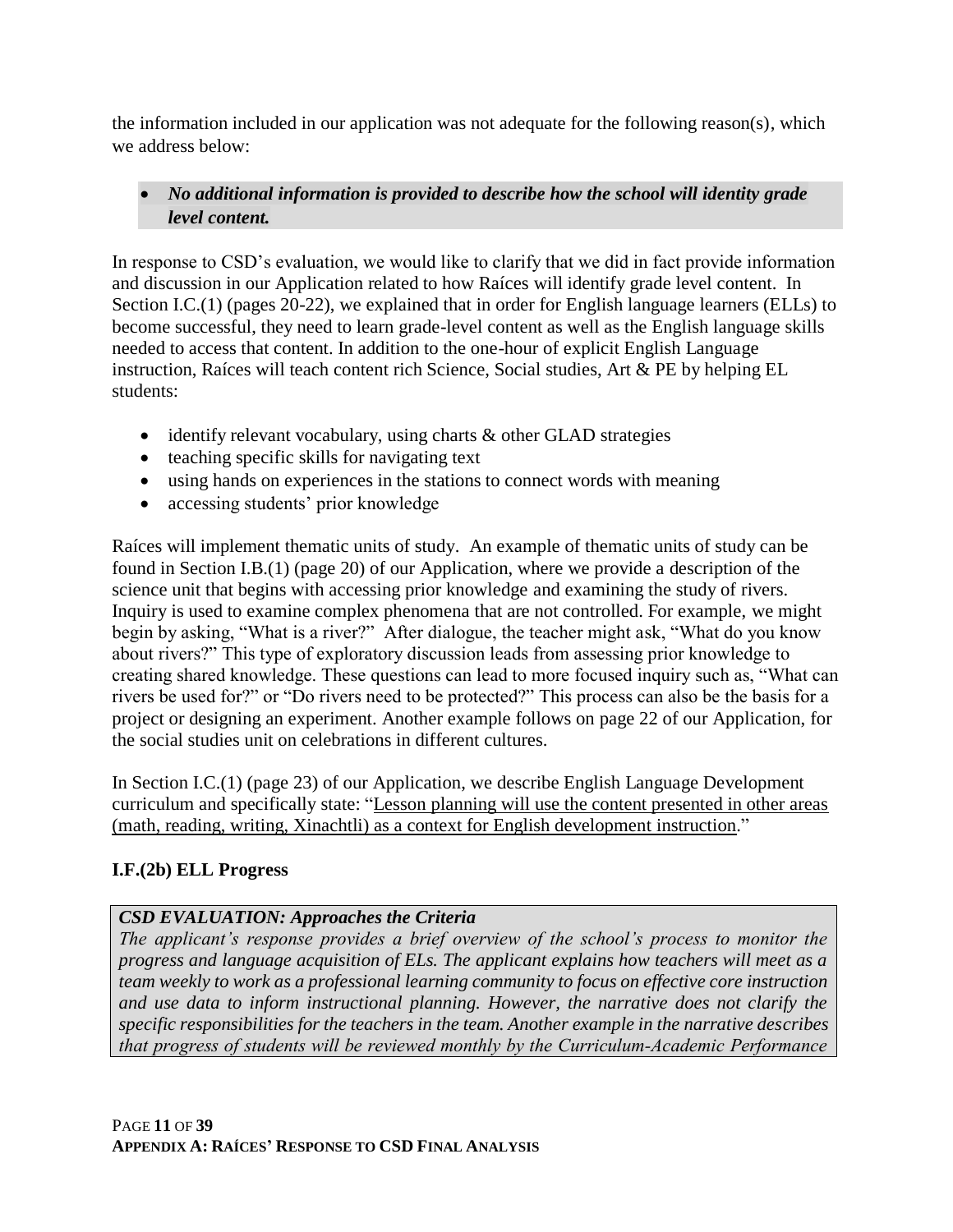the information included in our application was not adequate for the following reason(s), which we address below:

### • *No additional information is provided to describe how the school will identity grade level content.*

In response to CSD's evaluation, we would like to clarify that we did in fact provide information and discussion in our Application related to how Raíces will identify grade level content. In Section I.C.(1) (pages 20-22), we explained that in order for English language learners (ELLs) to become successful, they need to learn grade-level content as well as the English language skills needed to access that content. In addition to the one-hour of explicit English Language instruction, Raíces will teach content rich Science, Social studies, Art & PE by helping EL students:

- identify relevant vocabulary, using charts & other GLAD strategies
- teaching specific skills for navigating text
- using hands on experiences in the stations to connect words with meaning
- accessing students' prior knowledge

Raíces will implement thematic units of study. An example of thematic units of study can be found in Section I.B.(1) (page 20) of our Application, where we provide a description of the science unit that begins with accessing prior knowledge and examining the study of rivers. Inquiry is used to examine complex phenomena that are not controlled. For example, we might begin by asking, "What is a river?" After dialogue, the teacher might ask, "What do you know about rivers?" This type of exploratory discussion leads from assessing prior knowledge to creating shared knowledge. These questions can lead to more focused inquiry such as, "What can rivers be used for?" or "Do rivers need to be protected?" This process can also be the basis for a project or designing an experiment. Another example follows on page 22 of our Application, for the social studies unit on celebrations in different cultures.

In Section I.C.(1) (page 23) of our Application, we describe English Language Development curriculum and specifically state: "Lesson planning will use the content presented in other areas (math, reading, writing, Xinachtli) as a context for English development instruction."

### **I.F.(2b) ELL Progress**

### *CSD EVALUATION: Approaches the Criteria*

*The applicant's response provides a brief overview of the school's process to monitor the progress and language acquisition of ELs. The applicant explains how teachers will meet as a team weekly to work as a professional learning community to focus on effective core instruction and use data to inform instructional planning. However, the narrative does not clarify the specific responsibilities for the teachers in the team. Another example in the narrative describes that progress of students will be reviewed monthly by the Curriculum‐Academic Performance*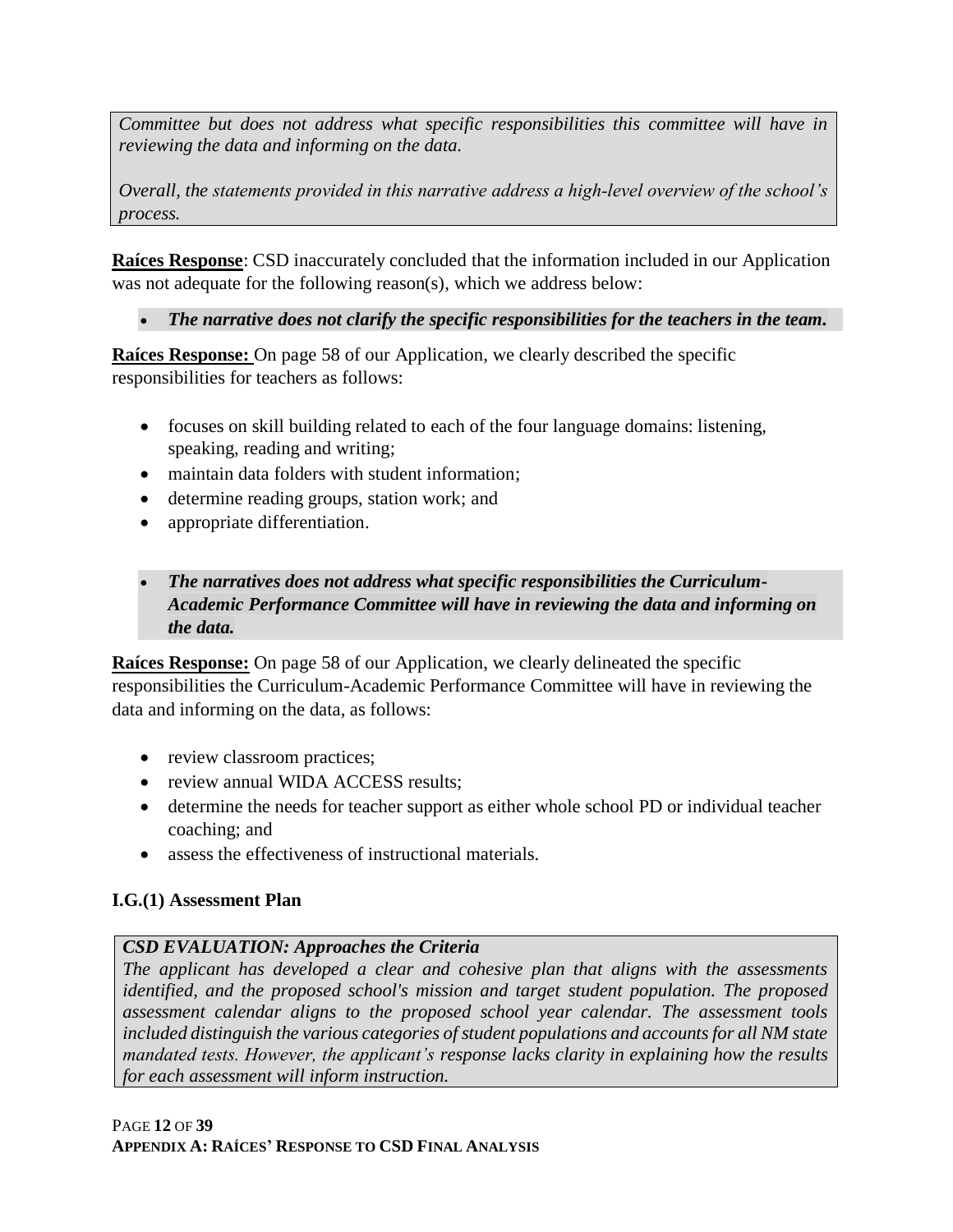*Committee but does not address what specific responsibilities this committee will have in reviewing the data and informing on the data.*

*Overall, the statements provided in this narrative address a high‐level overview of the school's process.*

**Raíces Response**: CSD inaccurately concluded that the information included in our Application was not adequate for the following reason(s), which we address below:

• *The narrative does not clarify the specific responsibilities for the teachers in the team.*

**Raíces Response:** On page 58 of our Application, we clearly described the specific responsibilities for teachers as follows:

- focuses on skill building related to each of the four language domains: listening, speaking, reading and writing;
- maintain data folders with student information;
- determine reading groups, station work; and
- appropriate differentiation.

## • *The narratives does not address what specific responsibilities the Curriculum-Academic Performance Committee will have in reviewing the data and informing on the data.*

**Raíces Response:** On page 58 of our Application, we clearly delineated the specific responsibilities the Curriculum-Academic Performance Committee will have in reviewing the data and informing on the data, as follows:

- review classroom practices;
- review annual WIDA ACCESS results;
- determine the needs for teacher support as either whole school PD or individual teacher coaching; and
- assess the effectiveness of instructional materials.

# **I.G.(1) Assessment Plan**

# *CSD EVALUATION: Approaches the Criteria*

*The applicant has developed a clear and cohesive plan that aligns with the assessments identified, and the proposed school's mission and target student population. The proposed assessment calendar aligns to the proposed school year calendar. The assessment tools included distinguish the various categories of student populations and accounts for all NM state mandated tests. However, the applicant's response lacks clarity in explaining how the results for each assessment will inform instruction.*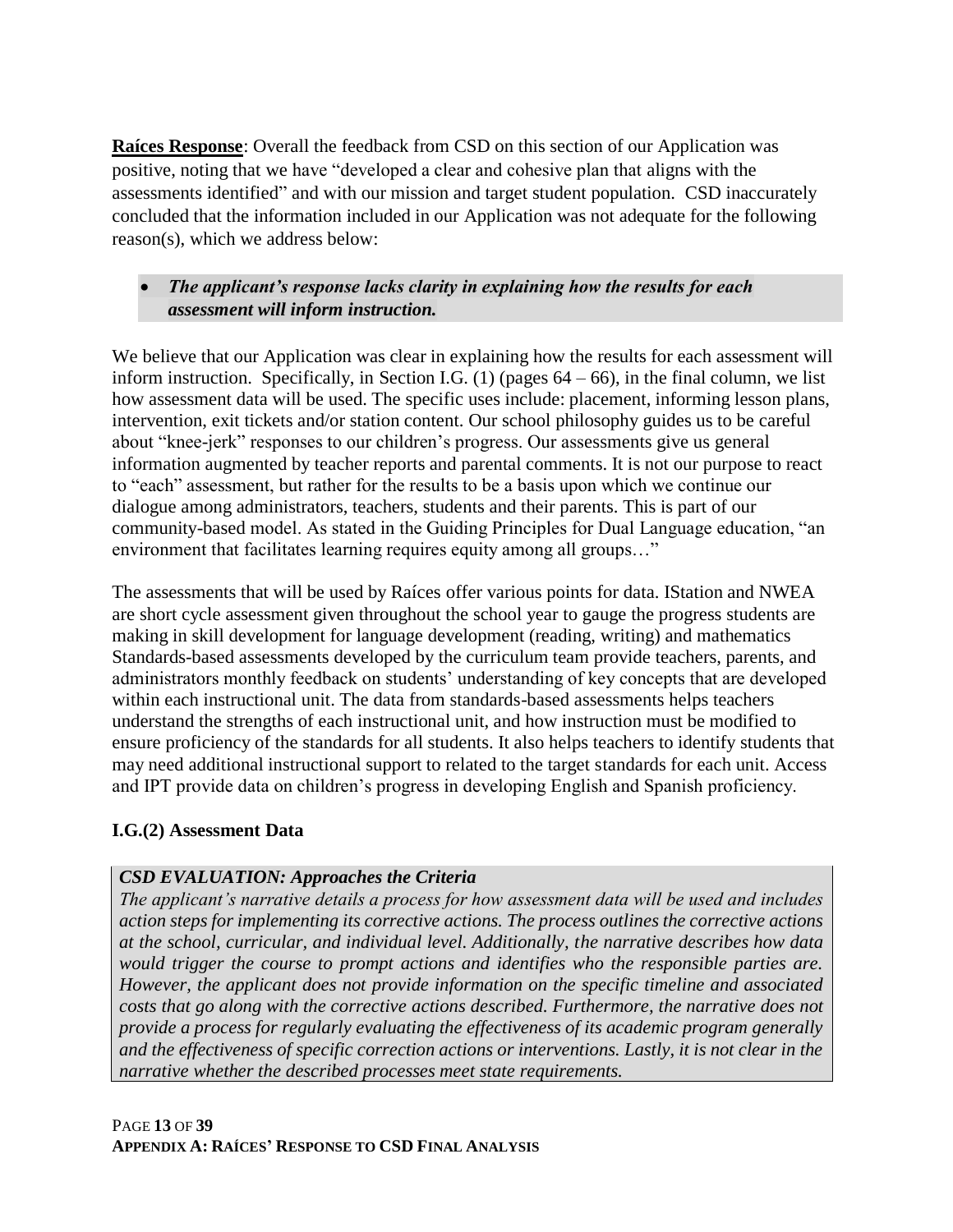**Raíces Response**: Overall the feedback from CSD on this section of our Application was positive, noting that we have "developed a clear and cohesive plan that aligns with the assessments identified" and with our mission and target student population. CSD inaccurately concluded that the information included in our Application was not adequate for the following reason(s), which we address below:

### • *The applicant's response lacks clarity in explaining how the results for each assessment will inform instruction.*

We believe that our Application was clear in explaining how the results for each assessment will inform instruction. Specifically, in Section I.G.  $(1)$  (pages  $64 - 66$ ), in the final column, we list how assessment data will be used. The specific uses include: placement, informing lesson plans, intervention, exit tickets and/or station content. Our school philosophy guides us to be careful about "knee-jerk" responses to our children's progress. Our assessments give us general information augmented by teacher reports and parental comments. It is not our purpose to react to "each" assessment, but rather for the results to be a basis upon which we continue our dialogue among administrators, teachers, students and their parents. This is part of our community-based model. As stated in the Guiding Principles for Dual Language education, "an environment that facilitates learning requires equity among all groups…"

The assessments that will be used by Raíces offer various points for data. IStation and NWEA are short cycle assessment given throughout the school year to gauge the progress students are making in skill development for language development (reading, writing) and mathematics Standards-based assessments developed by the curriculum team provide teachers, parents, and administrators monthly feedback on students' understanding of key concepts that are developed within each instructional unit. The data from standards-based assessments helps teachers understand the strengths of each instructional unit, and how instruction must be modified to ensure proficiency of the standards for all students. It also helps teachers to identify students that may need additional instructional support to related to the target standards for each unit. Access and IPT provide data on children's progress in developing English and Spanish proficiency.

#### **I.G.(2) Assessment Data**

### *CSD EVALUATION: Approaches the Criteria*

*The applicant's narrative details a process for how assessment data will be used and includes action steps for implementing its corrective actions. The process outlines the corrective actions at the school, curricular, and individual level. Additionally, the narrative describes how data would trigger the course to prompt actions and identifies who the responsible parties are. However, the applicant does not provide information on the specific timeline and associated costs that go along with the corrective actions described. Furthermore, the narrative does not provide a process for regularly evaluating the effectiveness of its academic program generally and the effectiveness of specific correction actions or interventions. Lastly, it is not clear in the narrative whether the described processes meet state requirements.*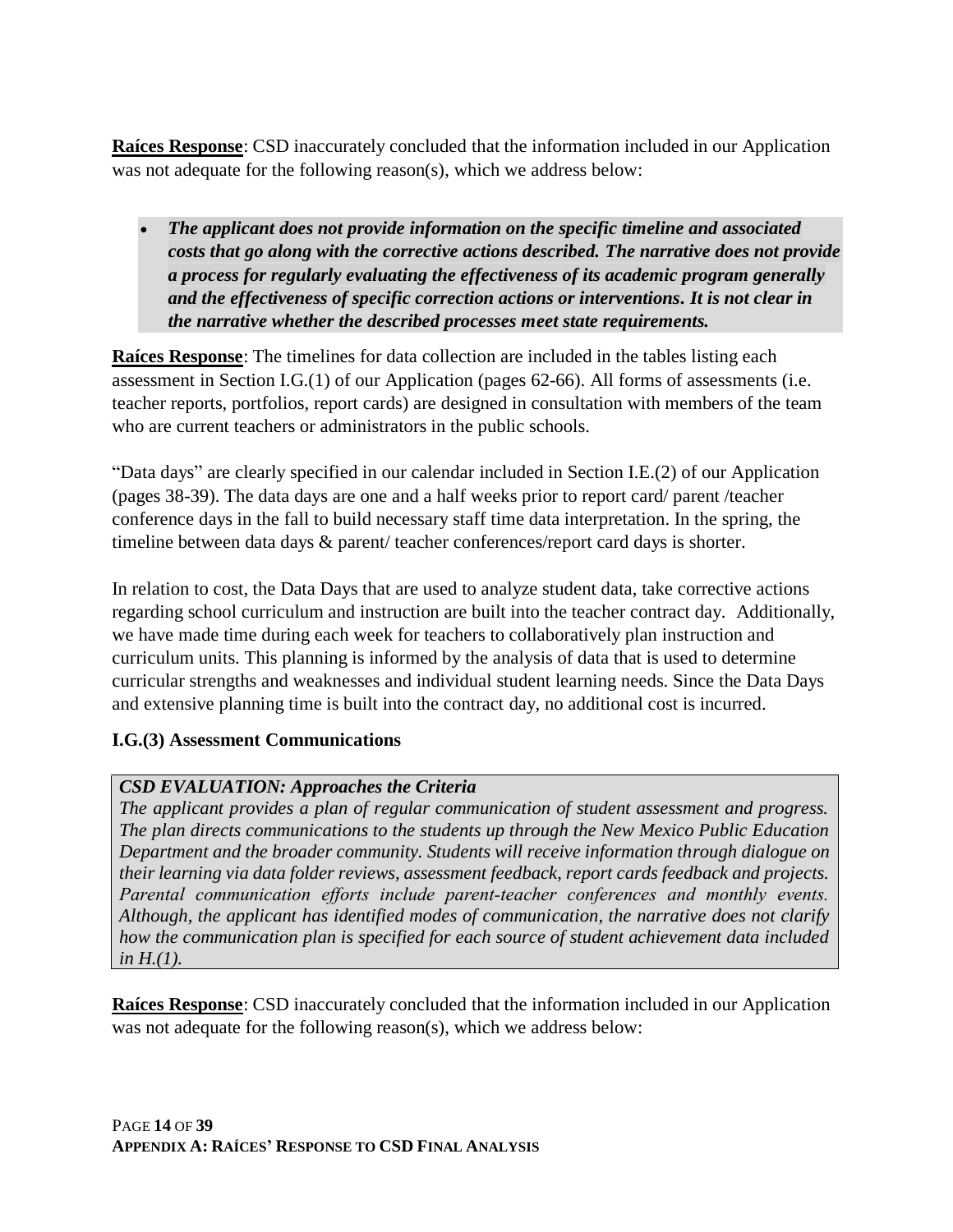**Raíces Response**: CSD inaccurately concluded that the information included in our Application was not adequate for the following reason(s), which we address below:

• *The applicant does not provide information on the specific timeline and associated costs that go along with the corrective actions described. The narrative does not provide a process for regularly evaluating the effectiveness of its academic program generally and the effectiveness of specific correction actions or interventions. It is not clear in the narrative whether the described processes meet state requirements.*

**Raíces Response**: The timelines for data collection are included in the tables listing each assessment in Section I.G.(1) of our Application (pages 62-66). All forms of assessments (i.e. teacher reports, portfolios, report cards) are designed in consultation with members of the team who are current teachers or administrators in the public schools.

"Data days" are clearly specified in our calendar included in Section I.E.(2) of our Application (pages 38-39). The data days are one and a half weeks prior to report card/ parent /teacher conference days in the fall to build necessary staff time data interpretation. In the spring, the timeline between data days & parent/ teacher conferences/report card days is shorter.

In relation to cost, the Data Days that are used to analyze student data, take corrective actions regarding school curriculum and instruction are built into the teacher contract day. Additionally, we have made time during each week for teachers to collaboratively plan instruction and curriculum units. This planning is informed by the analysis of data that is used to determine curricular strengths and weaknesses and individual student learning needs. Since the Data Days and extensive planning time is built into the contract day, no additional cost is incurred.

#### **I.G.(3) Assessment Communications**

### *CSD EVALUATION: Approaches the Criteria*

*The applicant provides a plan of regular communication of student assessment and progress. The plan directs communications to the students up through the New Mexico Public Education Department and the broader community. Students will receive information through dialogue on their learning via data folder reviews, assessment feedback, report cards feedback and projects. Parental communication efforts include parent-teacher conferences and monthly events. Although, the applicant has identified modes of communication, the narrative does not clarify how the communication plan is specified for each source of student achievement data included in H.(1).*

**Raíces Response**: CSD inaccurately concluded that the information included in our Application was not adequate for the following reason(s), which we address below: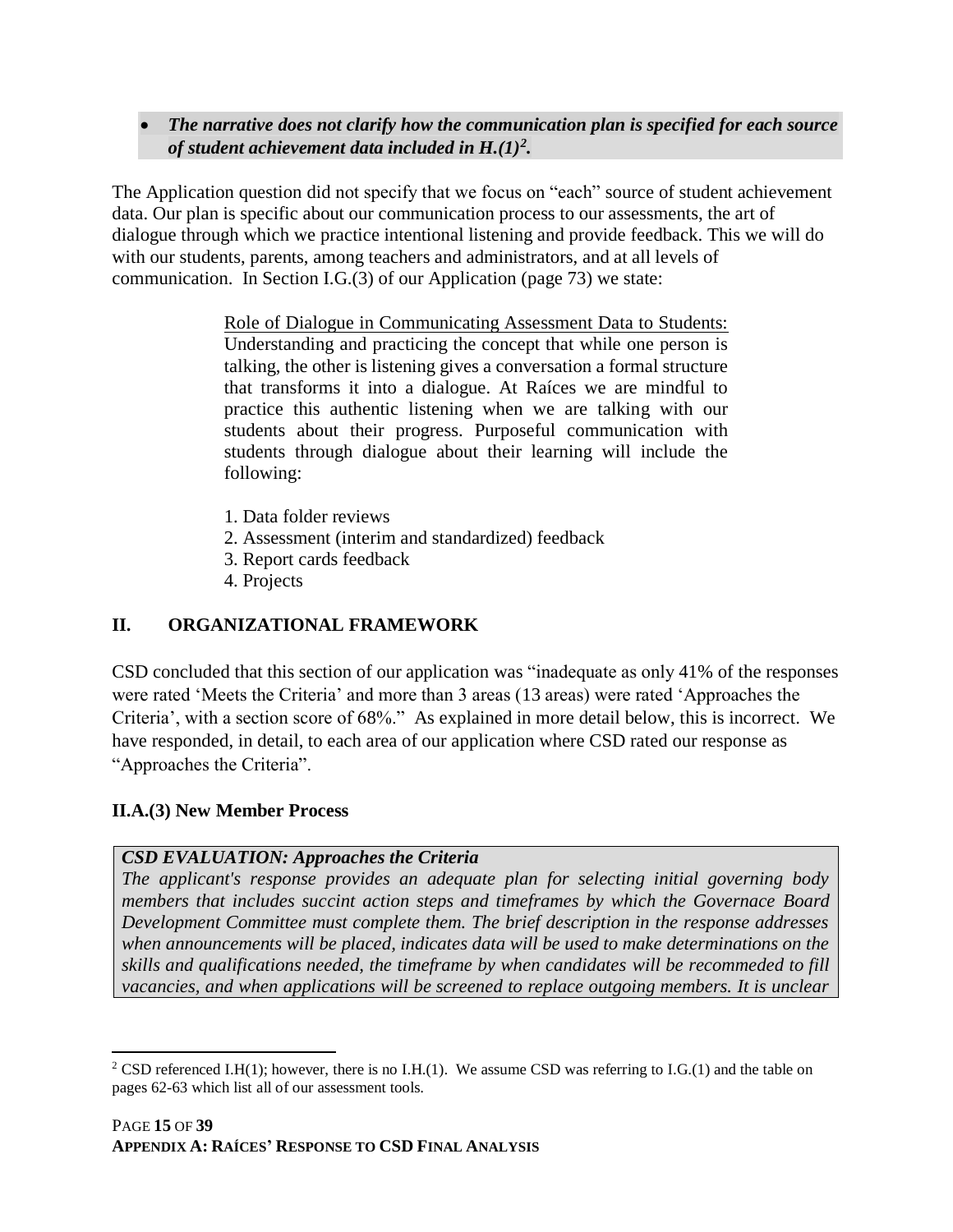• *The narrative does not clarify how the communication plan is specified for each source of student achievement data included in H.(1)<sup>2</sup> .* 

The Application question did not specify that we focus on "each" source of student achievement data. Our plan is specific about our communication process to our assessments, the art of dialogue through which we practice intentional listening and provide feedback. This we will do with our students, parents, among teachers and administrators, and at all levels of communication. In Section I.G.(3) of our Application (page 73) we state:

> Role of Dialogue in Communicating Assessment Data to Students: Understanding and practicing the concept that while one person is talking, the other is listening gives a conversation a formal structure that transforms it into a dialogue. At Raíces we are mindful to practice this authentic listening when we are talking with our students about their progress. Purposeful communication with students through dialogue about their learning will include the following:

- 1. Data folder reviews
- 2. Assessment (interim and standardized) feedback
- 3. Report cards feedback
- 4. Projects

### **II. ORGANIZATIONAL FRAMEWORK**

CSD concluded that this section of our application was "inadequate as only 41% of the responses were rated 'Meets the Criteria' and more than 3 areas (13 areas) were rated 'Approaches the Criteria', with a section score of 68%." As explained in more detail below, this is incorrect. We have responded, in detail, to each area of our application where CSD rated our response as "Approaches the Criteria".

#### **II.A.(3) New Member Process**

#### *CSD EVALUATION: Approaches the Criteria*

*The applicant's response provides an adequate plan for selecting initial governing body members that includes succint action steps and timeframes by which the Governace Board Development Committee must complete them. The brief description in the response addresses when announcements will be placed, indicates data will be used to make determinations on the skills and qualifications needed, the timeframe by when candidates will be recommeded to fill vacancies, and when applications will be screened to replace outgoing members. It is unclear* 

 $\overline{a}$ <sup>2</sup> CSD referenced I.H(1); however, there is no I.H.(1). We assume CSD was referring to I.G.(1) and the table on pages 62-63 which list all of our assessment tools.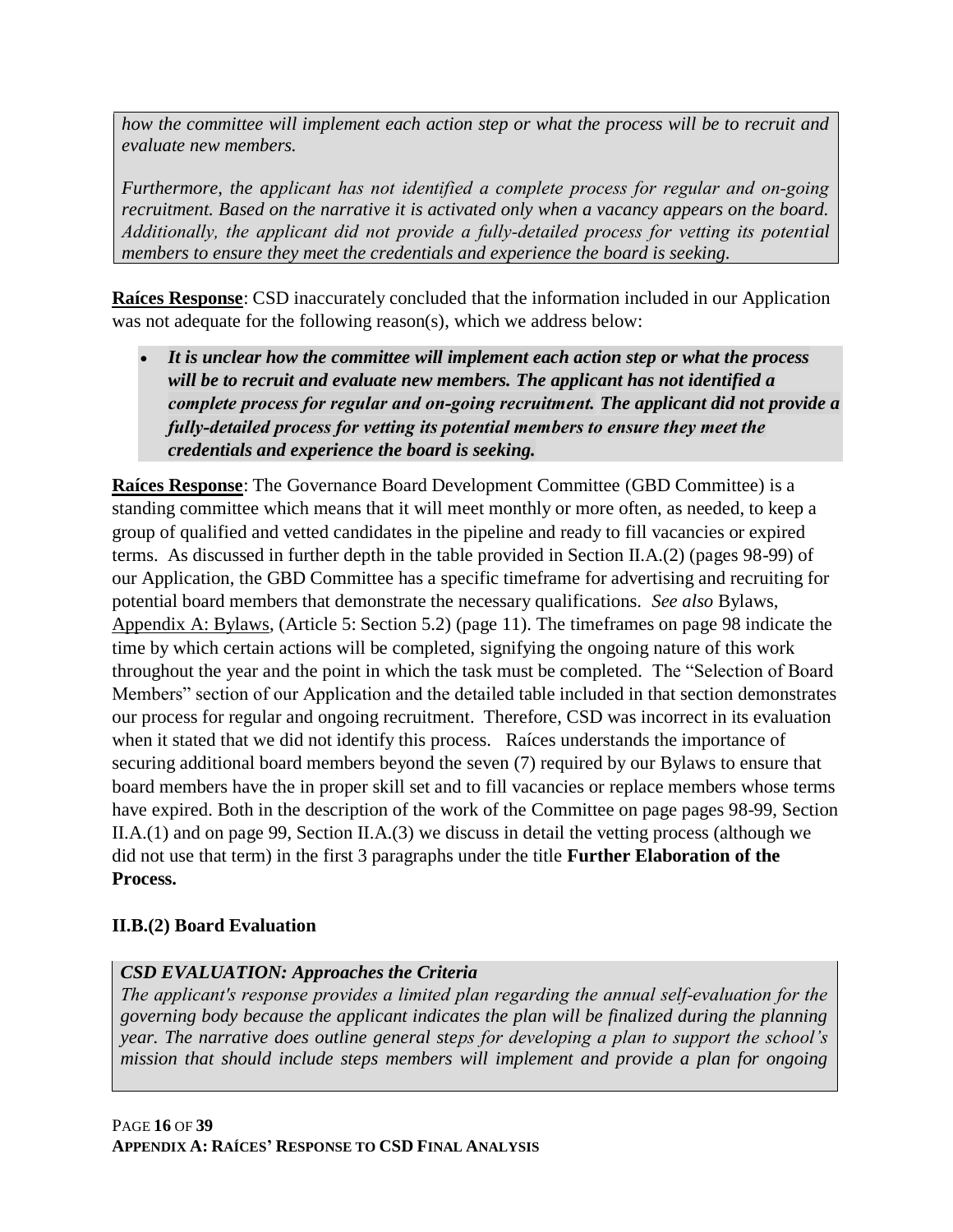*how the committee will implement each action step or what the process will be to recruit and evaluate new members.*

*Furthermore, the applicant has not identified a complete process for regular and on‐going recruitment. Based on the narrative it is activated only when a vacancy appears on the board. Additionally, the applicant did not provide a fully‐detailed process for vetting its potential members to ensure they meet the credentials and experience the board is seeking.*

**Raíces Response**: CSD inaccurately concluded that the information included in our Application was not adequate for the following reason(s), which we address below:

• *It is unclear how the committee will implement each action step or what the process will be to recruit and evaluate new members. The applicant has not identified a complete process for regular and on‐going recruitment. The applicant did not provide a fully‐detailed process for vetting its potential members to ensure they meet the credentials and experience the board is seeking.*

**Raíces Response**: The Governance Board Development Committee (GBD Committee) is a standing committee which means that it will meet monthly or more often, as needed, to keep a group of qualified and vetted candidates in the pipeline and ready to fill vacancies or expired terms. As discussed in further depth in the table provided in Section II.A.(2) (pages 98-99) of our Application, the GBD Committee has a specific timeframe for advertising and recruiting for potential board members that demonstrate the necessary qualifications. *See also* Bylaws, Appendix A: Bylaws, (Article 5: Section 5.2) (page 11). The timeframes on page 98 indicate the time by which certain actions will be completed, signifying the ongoing nature of this work throughout the year and the point in which the task must be completed. The "Selection of Board Members" section of our Application and the detailed table included in that section demonstrates our process for regular and ongoing recruitment. Therefore, CSD was incorrect in its evaluation when it stated that we did not identify this process. Raíces understands the importance of securing additional board members beyond the seven (7) required by our Bylaws to ensure that board members have the in proper skill set and to fill vacancies or replace members whose terms have expired. Both in the description of the work of the Committee on page pages 98-99, Section II.A.(1) and on page 99, Section II.A.(3) we discuss in detail the vetting process (although we did not use that term) in the first 3 paragraphs under the title **Further Elaboration of the Process.**

# **II.B.(2) Board Evaluation**

# *CSD EVALUATION: Approaches the Criteria*

*The applicant's response provides a limited plan regarding the annual self‐evaluation for the governing body because the applicant indicates the plan will be finalized during the planning year. The narrative does outline general steps for developing a plan to support the school's mission that should include steps members will implement and provide a plan for ongoing*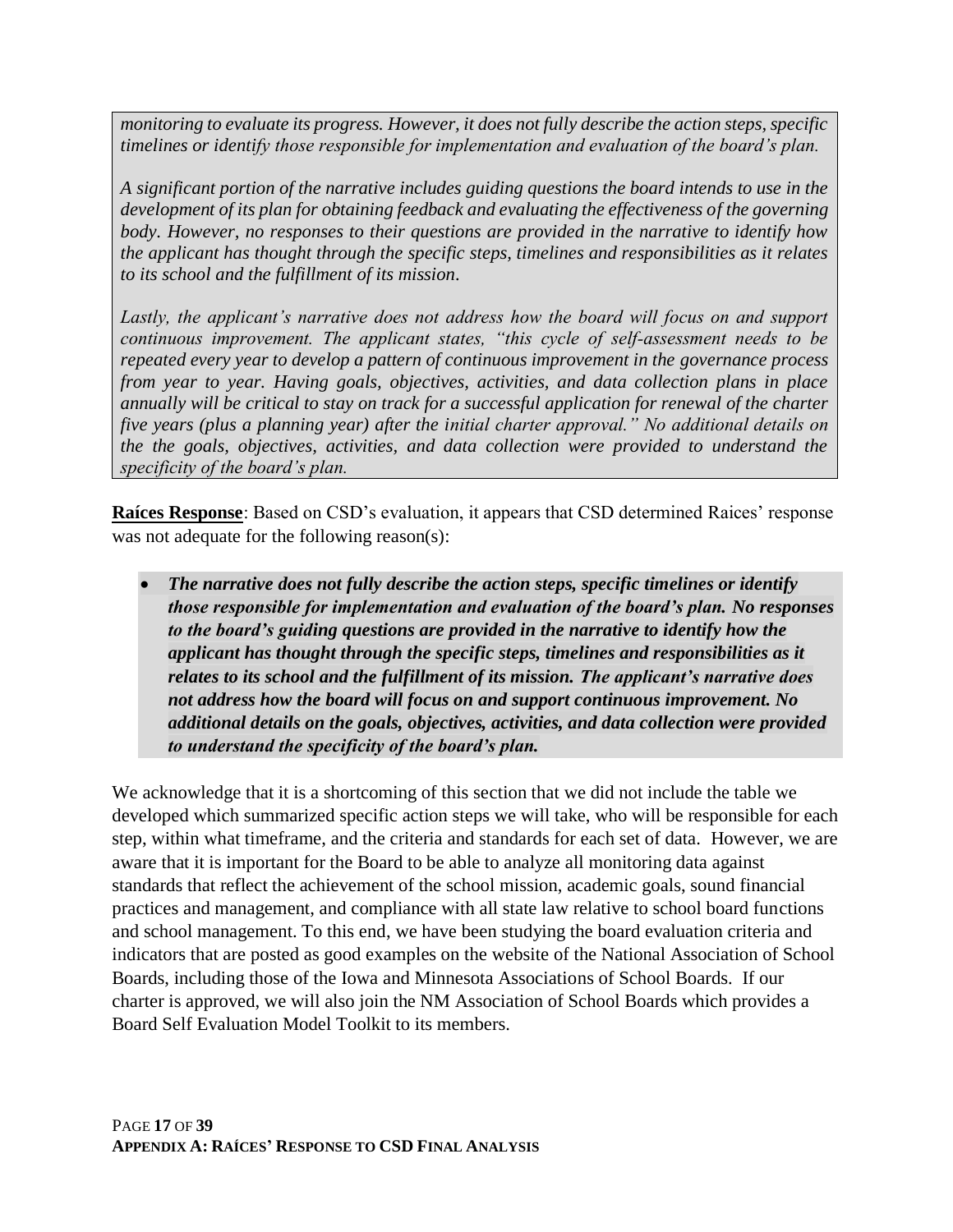*monitoring to evaluate its progress. However, it does not fully describe the action steps, specific timelines or identify those responsible for implementation and evaluation of the board's plan.*

*A significant portion of the narrative includes guiding questions the board intends to use in the development of its plan for obtaining feedback and evaluating the effectiveness of the governing body. However, no responses to their questions are provided in the narrative to identify how the applicant has thought through the specific steps, timelines and responsibilities as it relates to its school and the fulfillment of its mission.*

Lastly, the applicant's narrative does not address how the board will focus on and support *continuous improvement. The applicant states, "this cycle of self‐assessment needs to be repeated every year to develop a pattern of continuous improvement in the governance process from year to year. Having goals, objectives, activities, and data collection plans in place annually will be critical to stay on track for a successful application for renewal of the charter five years (plus a planning year) after the initial charter approval." No additional details on the the goals, objectives, activities, and data collection were provided to understand the specificity of the board's plan.*

**Raíces Response**: Based on CSD's evaluation, it appears that CSD determined Raices' response was not adequate for the following reason(s):

• *The narrative does not fully describe the action steps, specific timelines or identify those responsible for implementation and evaluation of the board's plan. No responses to the board's guiding questions are provided in the narrative to identify how the applicant has thought through the specific steps, timelines and responsibilities as it relates to its school and the fulfillment of its mission. The applicant's narrative does not address how the board will focus on and support continuous improvement. No additional details on the goals, objectives, activities, and data collection were provided to understand the specificity of the board's plan.*

We acknowledge that it is a shortcoming of this section that we did not include the table we developed which summarized specific action steps we will take, who will be responsible for each step, within what timeframe, and the criteria and standards for each set of data. However, we are aware that it is important for the Board to be able to analyze all monitoring data against standards that reflect the achievement of the school mission, academic goals, sound financial practices and management, and compliance with all state law relative to school board functions and school management. To this end, we have been studying the board evaluation criteria and indicators that are posted as good examples on the website of the National Association of School Boards, including those of the Iowa and Minnesota Associations of School Boards. If our charter is approved, we will also join the NM Association of School Boards which provides a Board Self Evaluation Model Toolkit to its members.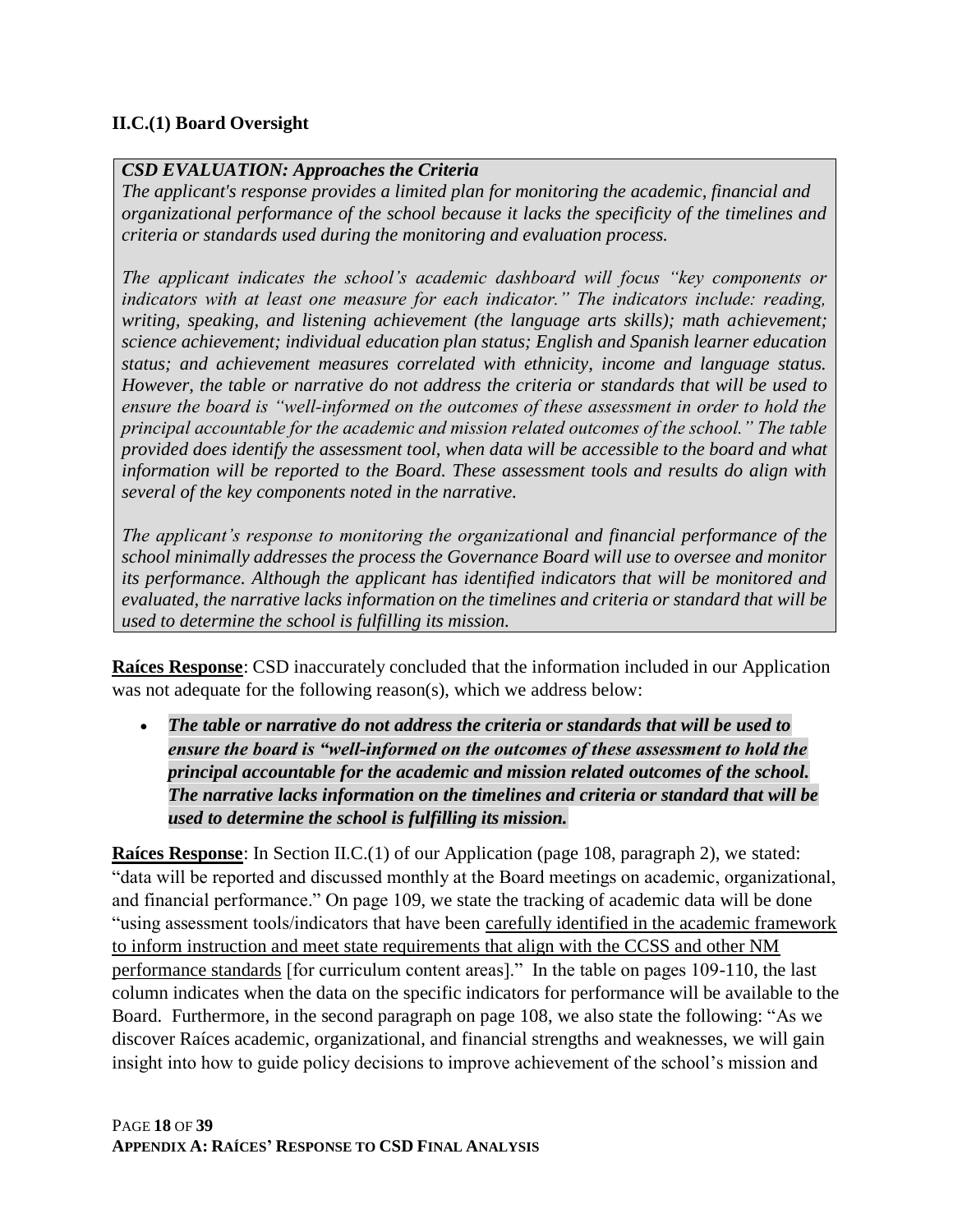### **II.C.(1) Board Oversight**

#### *CSD EVALUATION: Approaches the Criteria*

*The applicant's response provides a limited plan for monitoring the academic, financial and organizational performance of the school because it lacks the specificity of the timelines and criteria or standards used during the monitoring and evaluation process.*

*The applicant indicates the school's academic dashboard will focus "key components or indicators with at least one measure for each indicator." The indicators include: reading, writing, speaking, and listening achievement (the language arts skills); math achievement; science achievement; individual education plan status; English and Spanish learner education status; and achievement measures correlated with ethnicity, income and language status. However, the table or narrative do not address the criteria or standards that will be used to ensure the board is "well‐informed on the outcomes of these assessment in order to hold the principal accountable for the academic and mission related outcomes of the school." The table provided does identify the assessment tool, when data will be accessible to the board and what information will be reported to the Board. These assessment tools and results do align with several of the key components noted in the narrative.*

*The applicant's response to monitoring the organizational and financial performance of the school minimally addresses the process the Governance Board will use to oversee and monitor its performance. Although the applicant has identified indicators that will be monitored and evaluated, the narrative lacks information on the timelines and criteria or standard that will be used to determine the school is fulfilling its mission.*

**Raíces Response**: CSD inaccurately concluded that the information included in our Application was not adequate for the following reason(s), which we address below:

• *The table or narrative do not address the criteria or standards that will be used to ensure the board is "well‐informed on the outcomes of these assessment to hold the principal accountable for the academic and mission related outcomes of the school. The narrative lacks information on the timelines and criteria or standard that will be used to determine the school is fulfilling its mission.*

**Raíces Response**: In Section II.C.(1) of our Application (page 108, paragraph 2), we stated: "data will be reported and discussed monthly at the Board meetings on academic, organizational, and financial performance." On page 109, we state the tracking of academic data will be done "using assessment tools/indicators that have been carefully identified in the academic framework to inform instruction and meet state requirements that align with the CCSS and other NM performance standards [for curriculum content areas]." In the table on pages 109-110, the last column indicates when the data on the specific indicators for performance will be available to the Board. Furthermore, in the second paragraph on page 108, we also state the following: "As we discover Raíces academic, organizational, and financial strengths and weaknesses, we will gain insight into how to guide policy decisions to improve achievement of the school's mission and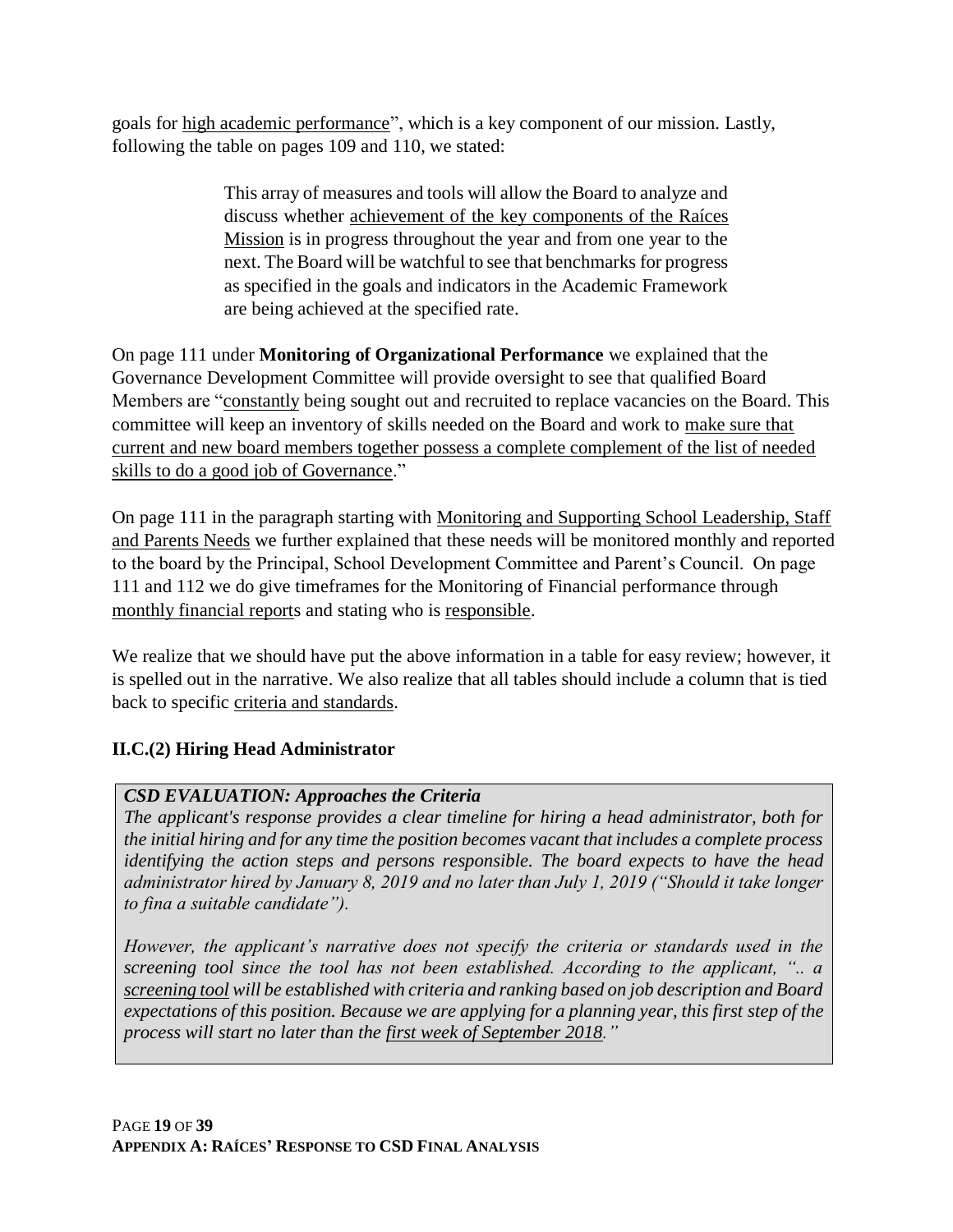goals for high academic performance", which is a key component of our mission. Lastly, following the table on pages 109 and 110, we stated:

> This array of measures and tools will allow the Board to analyze and discuss whether achievement of the key components of the Raíces Mission is in progress throughout the year and from one year to the next. The Board will be watchful to see that benchmarks for progress as specified in the goals and indicators in the Academic Framework are being achieved at the specified rate.

On page 111 under **Monitoring of Organizational Performance** we explained that the Governance Development Committee will provide oversight to see that qualified Board Members are "constantly being sought out and recruited to replace vacancies on the Board. This committee will keep an inventory of skills needed on the Board and work to make sure that current and new board members together possess a complete complement of the list of needed skills to do a good job of Governance."

On page 111 in the paragraph starting with Monitoring and Supporting School Leadership, Staff and Parents Needs we further explained that these needs will be monitored monthly and reported to the board by the Principal, School Development Committee and Parent's Council. On page 111 and 112 we do give timeframes for the Monitoring of Financial performance through monthly financial reports and stating who is responsible.

We realize that we should have put the above information in a table for easy review; however, it is spelled out in the narrative. We also realize that all tables should include a column that is tied back to specific criteria and standards.

### **II.C.(2) Hiring Head Administrator**

### *CSD EVALUATION: Approaches the Criteria*

*The applicant's response provides a clear timeline for hiring a head administrator, both for the initial hiring and for any time the position becomes vacant that includes a complete process identifying the action steps and persons responsible. The board expects to have the head administrator hired by January 8, 2019 and no later than July 1, 2019 ("Should it take longer to fina a suitable candidate").*

*However, the applicant's narrative does not specify the criteria or standards used in the screening tool since the tool has not been established. According to the applicant, ".. a screening tool will be established with criteria and ranking based on job description and Board expectations of this position. Because we are applying for a planning year, this first step of the process will start no later than the first week of September 2018."*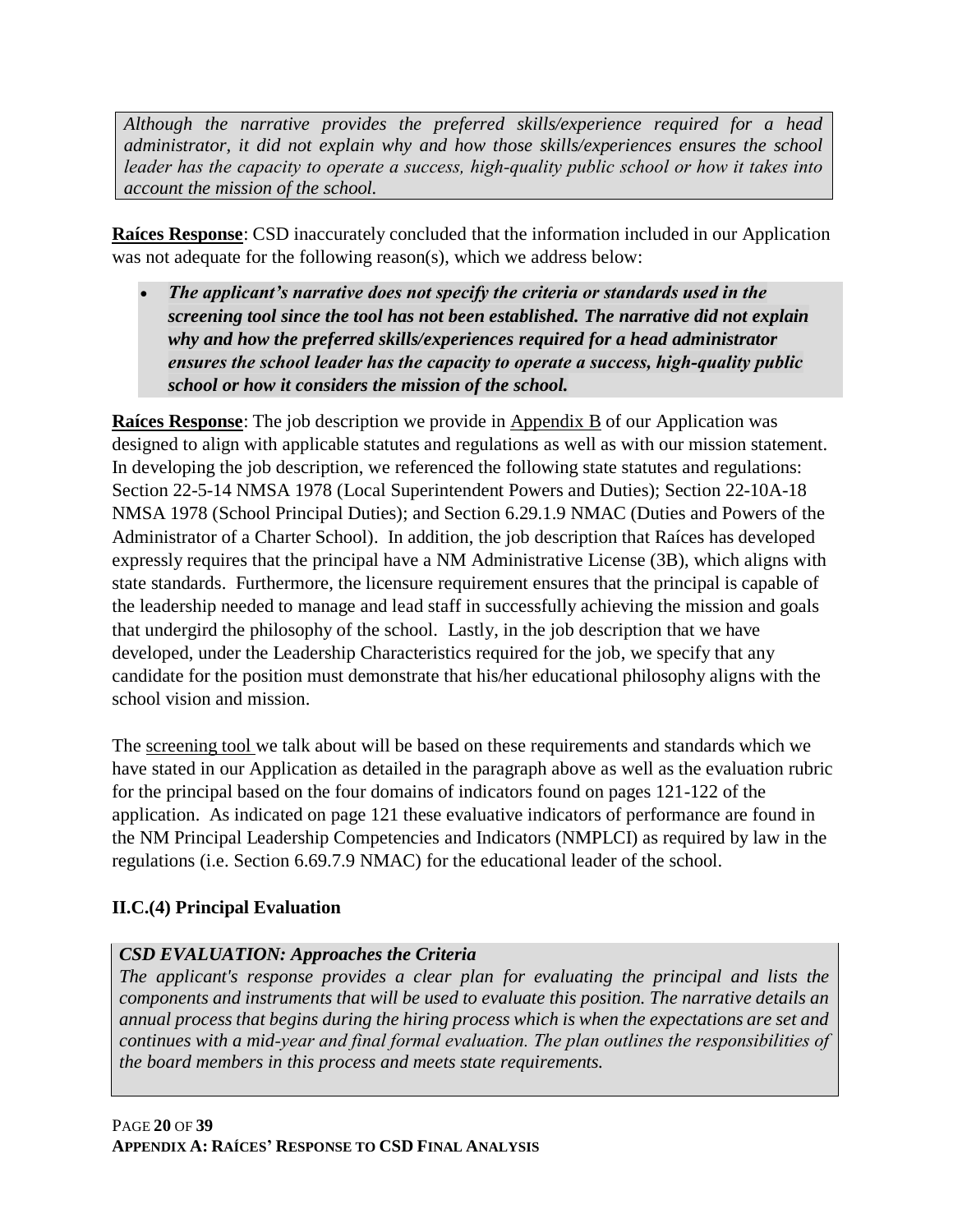*Although the narrative provides the preferred skills/experience required for a head administrator, it did not explain why and how those skills/experiences ensures the school leader has the capacity to operate a success, high‐quality public school or how it takes into account the mission of the school.*

**Raíces Response**: CSD inaccurately concluded that the information included in our Application was not adequate for the following reason(s), which we address below:

• *The applicant's narrative does not specify the criteria or standards used in the screening tool since the tool has not been established. The narrative did not explain why and how the preferred skills/experiences required for a head administrator ensures the school leader has the capacity to operate a success, high‐quality public school or how it considers the mission of the school.*

**Raíces Response**: The job description we provide in Appendix B of our Application was designed to align with applicable statutes and regulations as well as with our mission statement. In developing the job description, we referenced the following state statutes and regulations: Section 22-5-14 NMSA 1978 (Local Superintendent Powers and Duties); Section 22-10A-18 NMSA 1978 (School Principal Duties); and Section 6.29.1.9 NMAC (Duties and Powers of the Administrator of a Charter School). In addition, the job description that Raíces has developed expressly requires that the principal have a NM Administrative License (3B), which aligns with state standards. Furthermore, the licensure requirement ensures that the principal is capable of the leadership needed to manage and lead staff in successfully achieving the mission and goals that undergird the philosophy of the school. Lastly, in the job description that we have developed, under the Leadership Characteristics required for the job, we specify that any candidate for the position must demonstrate that his/her educational philosophy aligns with the school vision and mission.

The screening tool we talk about will be based on these requirements and standards which we have stated in our Application as detailed in the paragraph above as well as the evaluation rubric for the principal based on the four domains of indicators found on pages 121-122 of the application. As indicated on page 121 these evaluative indicators of performance are found in the NM Principal Leadership Competencies and Indicators (NMPLCI) as required by law in the regulations (i.e. Section 6.69.7.9 NMAC) for the educational leader of the school.

### **II.C.(4) Principal Evaluation**

### *CSD EVALUATION: Approaches the Criteria*

*The applicant's response provides a clear plan for evaluating the principal and lists the components and instruments that will be used to evaluate this position. The narrative details an annual process that begins during the hiring process which is when the expectations are set and continues with a mid‐year and final formal evaluation. The plan outlines the responsibilities of the board members in this process and meets state requirements.*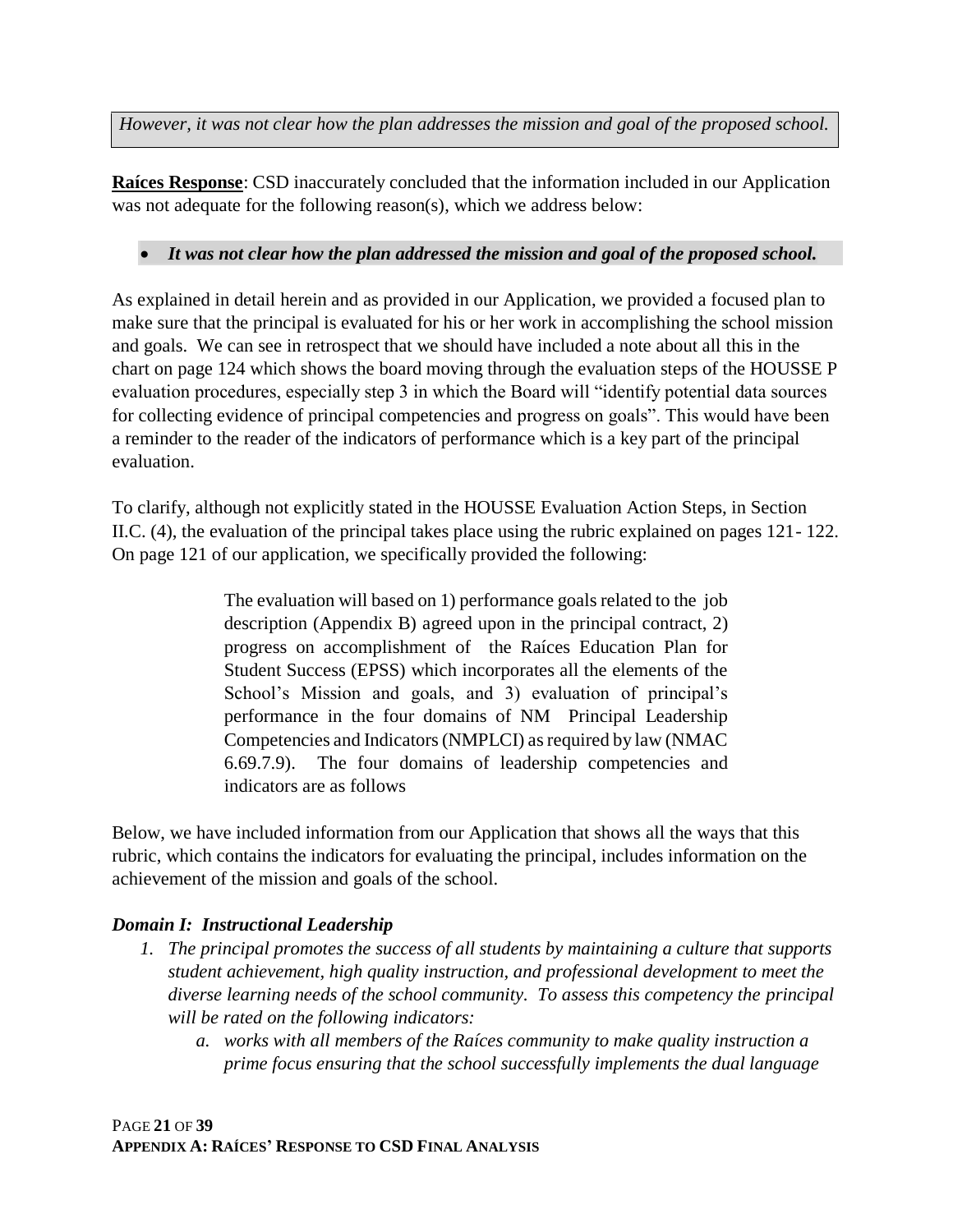*However, it was not clear how the plan addresses the mission and goal of the proposed school.*

**Raíces Response**: CSD inaccurately concluded that the information included in our Application was not adequate for the following reason(s), which we address below:

### • *It was not clear how the plan addressed the mission and goal of the proposed school.*

As explained in detail herein and as provided in our Application, we provided a focused plan to make sure that the principal is evaluated for his or her work in accomplishing the school mission and goals. We can see in retrospect that we should have included a note about all this in the chart on page 124 which shows the board moving through the evaluation steps of the HOUSSE P evaluation procedures, especially step 3 in which the Board will "identify potential data sources for collecting evidence of principal competencies and progress on goals". This would have been a reminder to the reader of the indicators of performance which is a key part of the principal evaluation.

To clarify, although not explicitly stated in the HOUSSE Evaluation Action Steps, in Section II.C. (4), the evaluation of the principal takes place using the rubric explained on pages 121- 122. On page 121 of our application, we specifically provided the following:

> The evaluation will based on 1) performance goals related to the job description (Appendix B) agreed upon in the principal contract, 2) progress on accomplishment of the Raíces Education Plan for Student Success (EPSS) which incorporates all the elements of the School's Mission and goals, and 3) evaluation of principal's performance in the four domains of NM Principal Leadership Competencies and Indicators (NMPLCI) as required by law (NMAC 6.69.7.9). The four domains of leadership competencies and indicators are as follows

Below, we have included information from our Application that shows all the ways that this rubric, which contains the indicators for evaluating the principal, includes information on the achievement of the mission and goals of the school.

### *Domain I: Instructional Leadership*

- *1. The principal promotes the success of all students by maintaining a culture that supports student achievement, high quality instruction, and professional development to meet the diverse learning needs of the school community. To assess this competency the principal will be rated on the following indicators:* 
	- *a. works with all members of the Raíces community to make quality instruction a prime focus ensuring that the school successfully implements the dual language*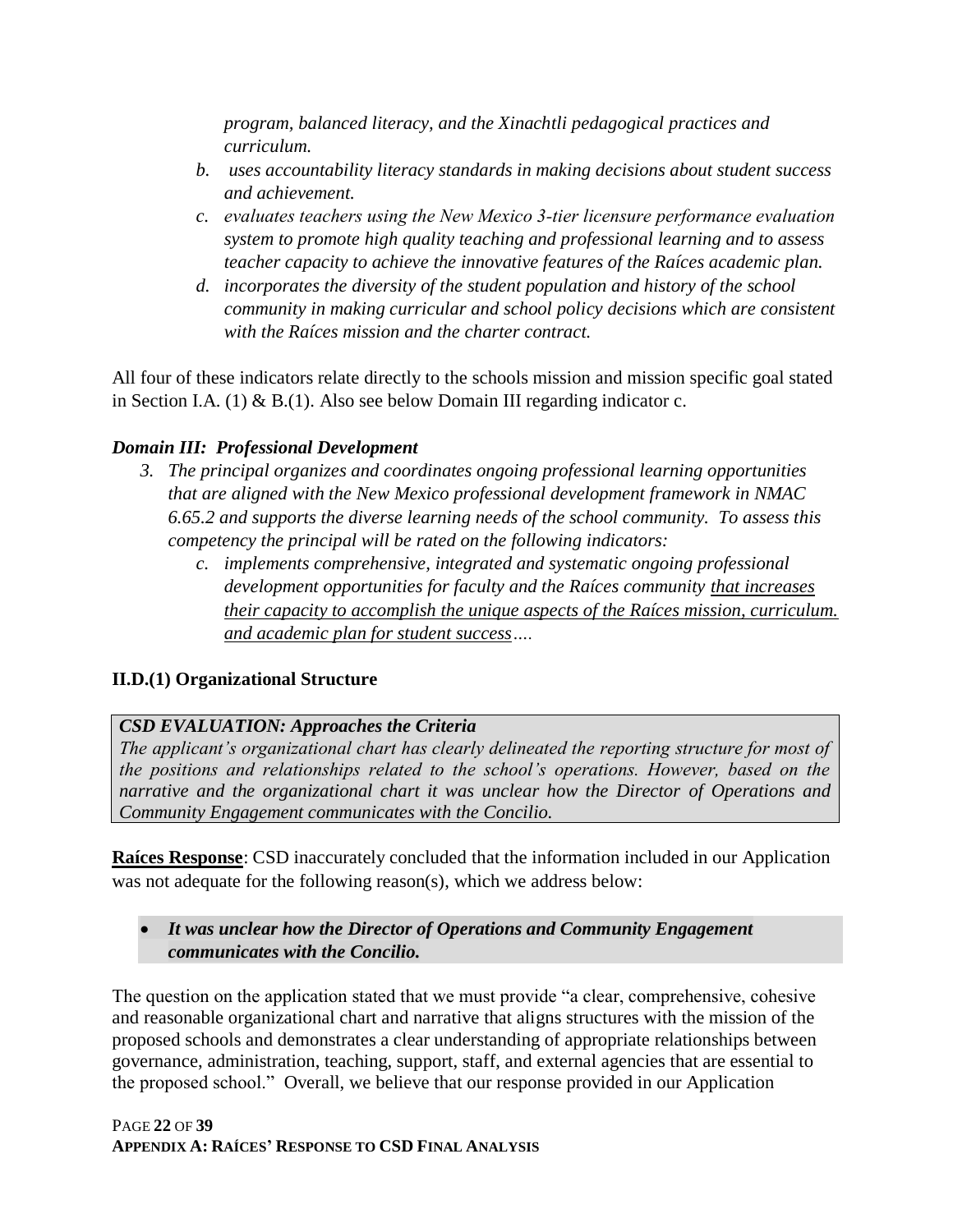*program, balanced literacy, and the Xinachtli pedagogical practices and curriculum.* 

- *b. uses accountability literacy standards in making decisions about student success and achievement.*
- *c. evaluates teachers using the New Mexico 3‐tier licensure performance evaluation system to promote high quality teaching and professional learning and to assess teacher capacity to achieve the innovative features of the Raíces academic plan.*
- *d. incorporates the diversity of the student population and history of the school community in making curricular and school policy decisions which are consistent with the Raíces mission and the charter contract.*

All four of these indicators relate directly to the schools mission and mission specific goal stated in Section I.A. (1) & B.(1). Also see below Domain III regarding indicator c.

### *Domain III: Professional Development*

- *3. The principal organizes and coordinates ongoing professional learning opportunities that are aligned with the New Mexico professional development framework in NMAC 6.65.2 and supports the diverse learning needs of the school community. To assess this competency the principal will be rated on the following indicators:* 
	- *c. implements comprehensive, integrated and systematic ongoing professional development opportunities for faculty and the Raíces community that increases their capacity to accomplish the unique aspects of the Raíces mission, curriculum. and academic plan for student success….*

### **II.D.(1) Organizational Structure**

### *CSD EVALUATION: Approaches the Criteria*

*The applicant's organizational chart has clearly delineated the reporting structure for most of the positions and relationships related to the school's operations. However, based on the narrative and the organizational chart it was unclear how the Director of Operations and Community Engagement communicates with the Concilio.*

**Raíces Response**: CSD inaccurately concluded that the information included in our Application was not adequate for the following reason(s), which we address below:

#### • *It was unclear how the Director of Operations and Community Engagement communicates with the Concilio.*

The question on the application stated that we must provide "a clear, comprehensive, cohesive and reasonable organizational chart and narrative that aligns structures with the mission of the proposed schools and demonstrates a clear understanding of appropriate relationships between governance, administration, teaching, support, staff, and external agencies that are essential to the proposed school." Overall, we believe that our response provided in our Application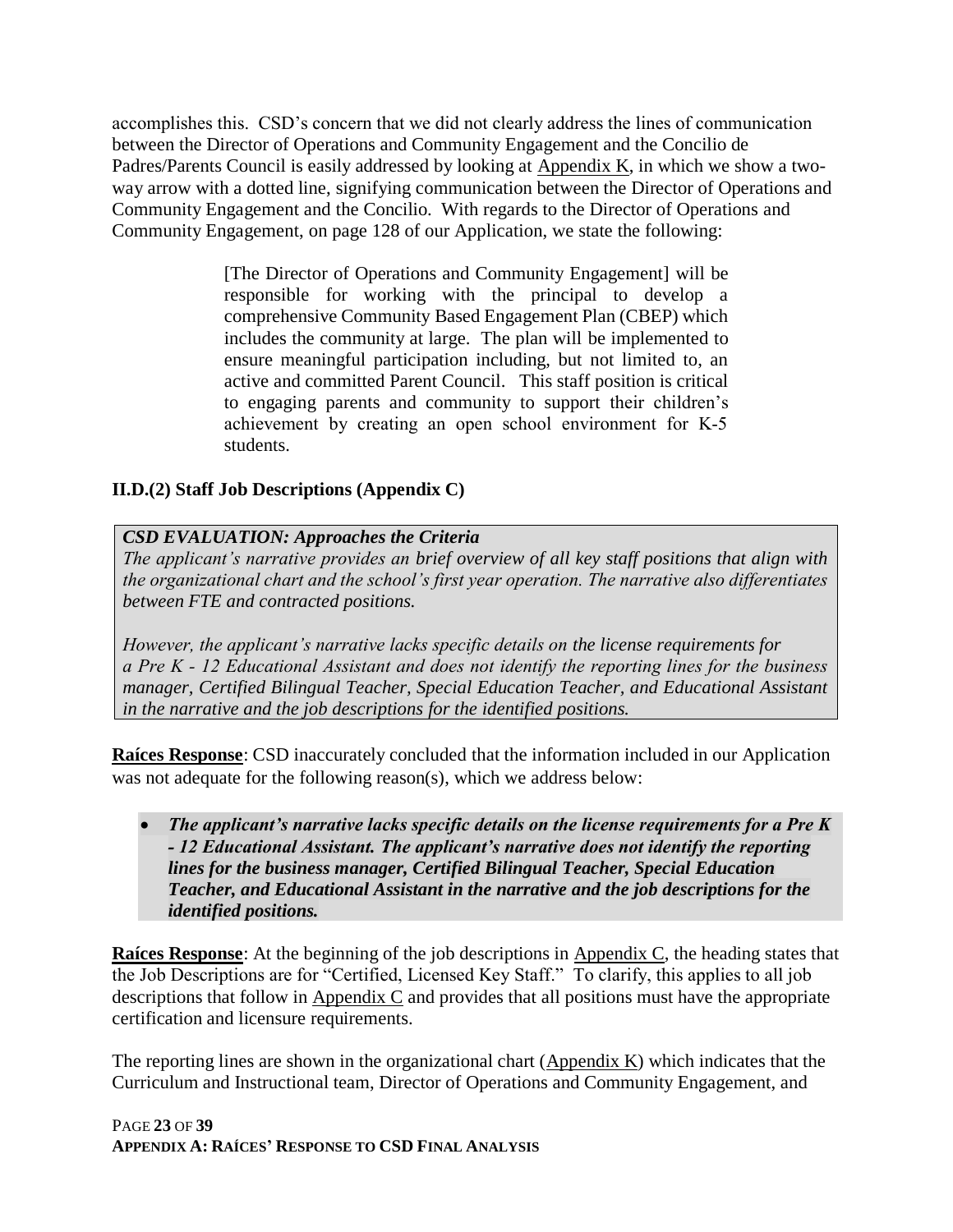accomplishes this. CSD's concern that we did not clearly address the lines of communication between the Director of Operations and Community Engagement and the Concilio de Padres/Parents Council is easily addressed by looking at Appendix K, in which we show a twoway arrow with a dotted line, signifying communication between the Director of Operations and Community Engagement and the Concilio. With regards to the Director of Operations and Community Engagement, on page 128 of our Application, we state the following:

> [The Director of Operations and Community Engagement] will be responsible for working with the principal to develop a comprehensive Community Based Engagement Plan (CBEP) which includes the community at large. The plan will be implemented to ensure meaningful participation including, but not limited to, an active and committed Parent Council. This staff position is critical to engaging parents and community to support their children's achievement by creating an open school environment for K‐5 students.

### **II.D.(2) Staff Job Descriptions (Appendix C)**

#### *CSD EVALUATION: Approaches the Criteria*

*The applicant's narrative provides an brief overview of all key staff positions that align with the organizational chart and the school's first year operation. The narrative also differentiates between FTE and contracted positions.*

*However, the applicant's narrative lacks specific details on the license requirements for a Pre K ‐ 12 Educational Assistant and does not identify the reporting lines for the business manager, Certified Bilingual Teacher, Special Education Teacher, and Educational Assistant in the narrative and the job descriptions for the identified positions.*

**Raíces Response**: CSD inaccurately concluded that the information included in our Application was not adequate for the following reason(s), which we address below:

• *The applicant's narrative lacks specific details on the license requirements for a Pre K ‐ 12 Educational Assistant. The applicant's narrative does not identify the reporting lines for the business manager, Certified Bilingual Teacher, Special Education Teacher, and Educational Assistant in the narrative and the job descriptions for the identified positions.*

**Raíces Response**: At the beginning of the job descriptions in Appendix C, the heading states that the Job Descriptions are for "Certified, Licensed Key Staff." To clarify, this applies to all job descriptions that follow in Appendix C and provides that all positions must have the appropriate certification and licensure requirements.

The reporting lines are shown in the organizational chart (Appendix K) which indicates that the Curriculum and Instructional team, Director of Operations and Community Engagement, and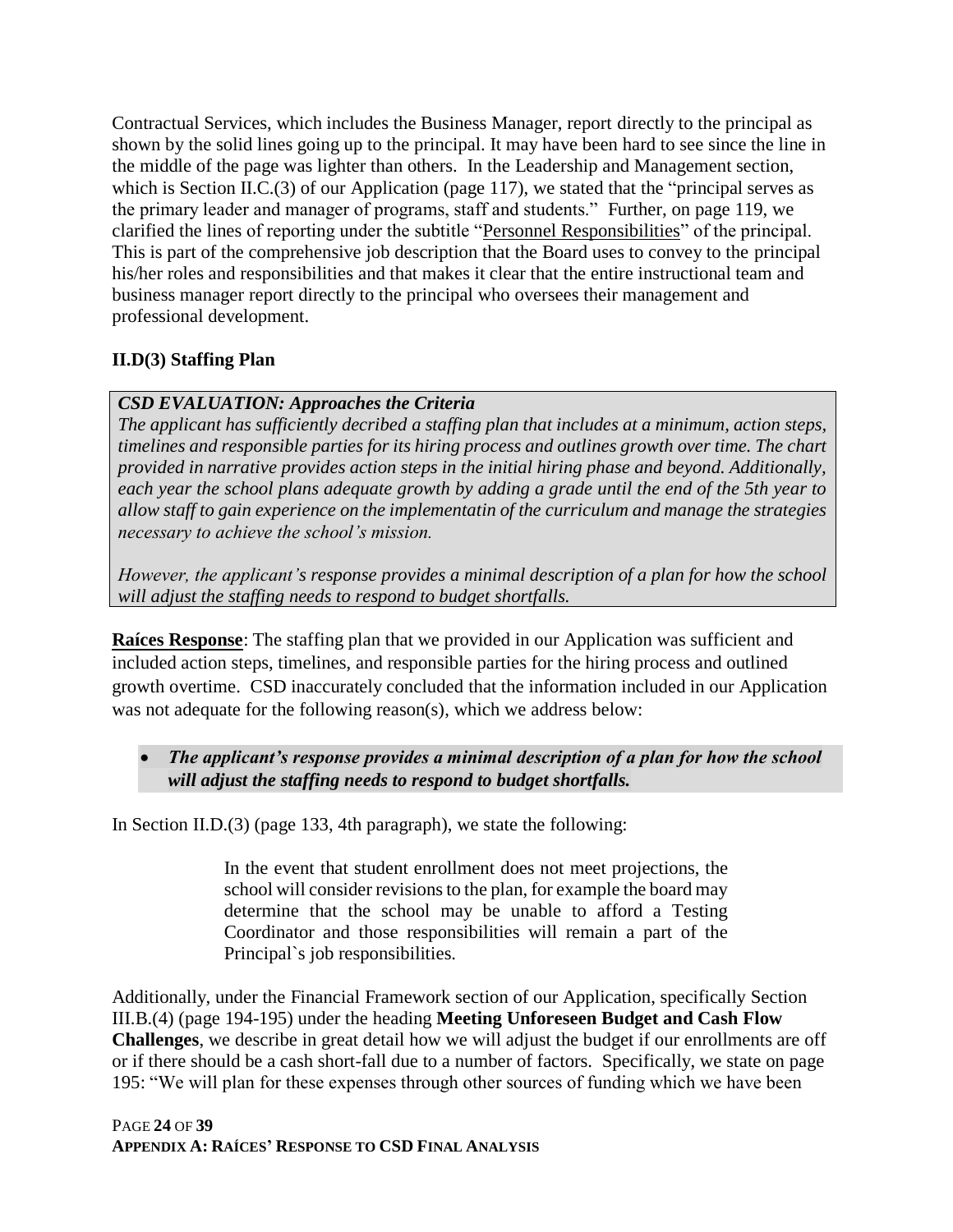Contractual Services, which includes the Business Manager, report directly to the principal as shown by the solid lines going up to the principal. It may have been hard to see since the line in the middle of the page was lighter than others. In the Leadership and Management section, which is Section II.C.(3) of our Application (page 117), we stated that the "principal serves as the primary leader and manager of programs, staff and students." Further, on page 119, we clarified the lines of reporting under the subtitle "Personnel Responsibilities" of the principal. This is part of the comprehensive job description that the Board uses to convey to the principal his/her roles and responsibilities and that makes it clear that the entire instructional team and business manager report directly to the principal who oversees their management and professional development.

### **II.D(3) Staffing Plan**

### *CSD EVALUATION: Approaches the Criteria*

*The applicant has sufficiently decribed a staffing plan that includes at a minimum, action steps, timelines and responsible parties for its hiring process and outlines growth over time. The chart provided in narrative provides action steps in the initial hiring phase and beyond. Additionally, each year the school plans adequate growth by adding a grade until the end of the 5th year to allow staff to gain experience on the implementatin of the curriculum and manage the strategies necessary to achieve the school's mission.*

*However, the applicant's response provides a minimal description of a plan for how the school will adjust the staffing needs to respond to budget shortfalls.*

**Raíces Response**: The staffing plan that we provided in our Application was sufficient and included action steps, timelines, and responsible parties for the hiring process and outlined growth overtime. CSD inaccurately concluded that the information included in our Application was not adequate for the following reason(s), which we address below:

### • *The applicant's response provides a minimal description of a plan for how the school will adjust the staffing needs to respond to budget shortfalls.*

In Section II.D.(3) (page 133, 4th paragraph), we state the following:

In the event that student enrollment does not meet projections, the school will consider revisions to the plan, for example the board may determine that the school may be unable to afford a Testing Coordinator and those responsibilities will remain a part of the Principal`s job responsibilities.

Additionally, under the Financial Framework section of our Application, specifically Section III.B.(4) (page 194-195) under the heading **Meeting Unforeseen Budget and Cash Flow Challenges**, we describe in great detail how we will adjust the budget if our enrollments are off or if there should be a cash short-fall due to a number of factors. Specifically, we state on page 195: "We will plan for these expenses through other sources of funding which we have been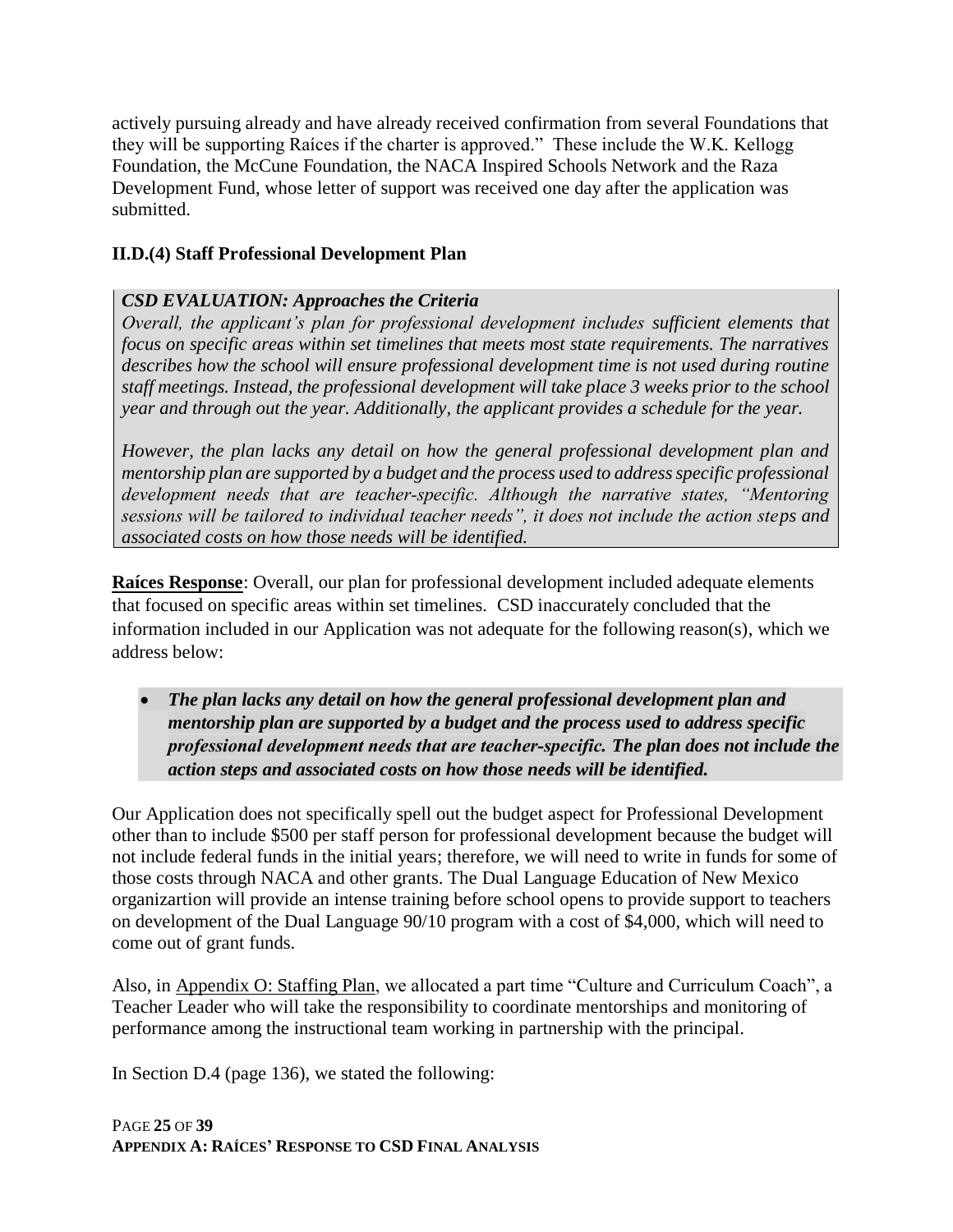actively pursuing already and have already received confirmation from several Foundations that they will be supporting Raíces if the charter is approved." These include the W.K. Kellogg Foundation, the McCune Foundation, the NACA Inspired Schools Network and the Raza Development Fund, whose letter of support was received one day after the application was submitted.

#### **II.D.(4) Staff Professional Development Plan**

### *CSD EVALUATION: Approaches the Criteria*

*Overall, the applicant's plan for professional development includes sufficient elements that focus on specific areas within set timelines that meets most state requirements. The narratives describes how the school will ensure professional development time is not used during routine staff meetings. Instead, the professional development will take place 3 weeks prior to the school year and through out the year. Additionally, the applicant provides a schedule for the year.*

*However, the plan lacks any detail on how the general professional development plan and mentorship plan are supported by a budget and the process used to address specific professional development needs that are teacher‐specific. Although the narrative states, "Mentoring sessions will be tailored to individual teacher needs", it does not include the action steps and associated costs on how those needs will be identified.*

**Raíces Response**: Overall, our plan for professional development included adequate elements that focused on specific areas within set timelines. CSD inaccurately concluded that the information included in our Application was not adequate for the following reason(s), which we address below:

• *The plan lacks any detail on how the general professional development plan and mentorship plan are supported by a budget and the process used to address specific professional development needs that are teacher‐specific. The plan does not include the action steps and associated costs on how those needs will be identified.* 

Our Application does not specifically spell out the budget aspect for Professional Development other than to include \$500 per staff person for professional development because the budget will not include federal funds in the initial years; therefore, we will need to write in funds for some of those costs through NACA and other grants. The Dual Language Education of New Mexico organizartion will provide an intense training before school opens to provide support to teachers on development of the Dual Language 90/10 program with a cost of \$4,000, which will need to come out of grant funds.

Also, in Appendix O: Staffing Plan, we allocated a part time "Culture and Curriculum Coach", a Teacher Leader who will take the responsibility to coordinate mentorships and monitoring of performance among the instructional team working in partnership with the principal.

In Section D.4 (page 136), we stated the following: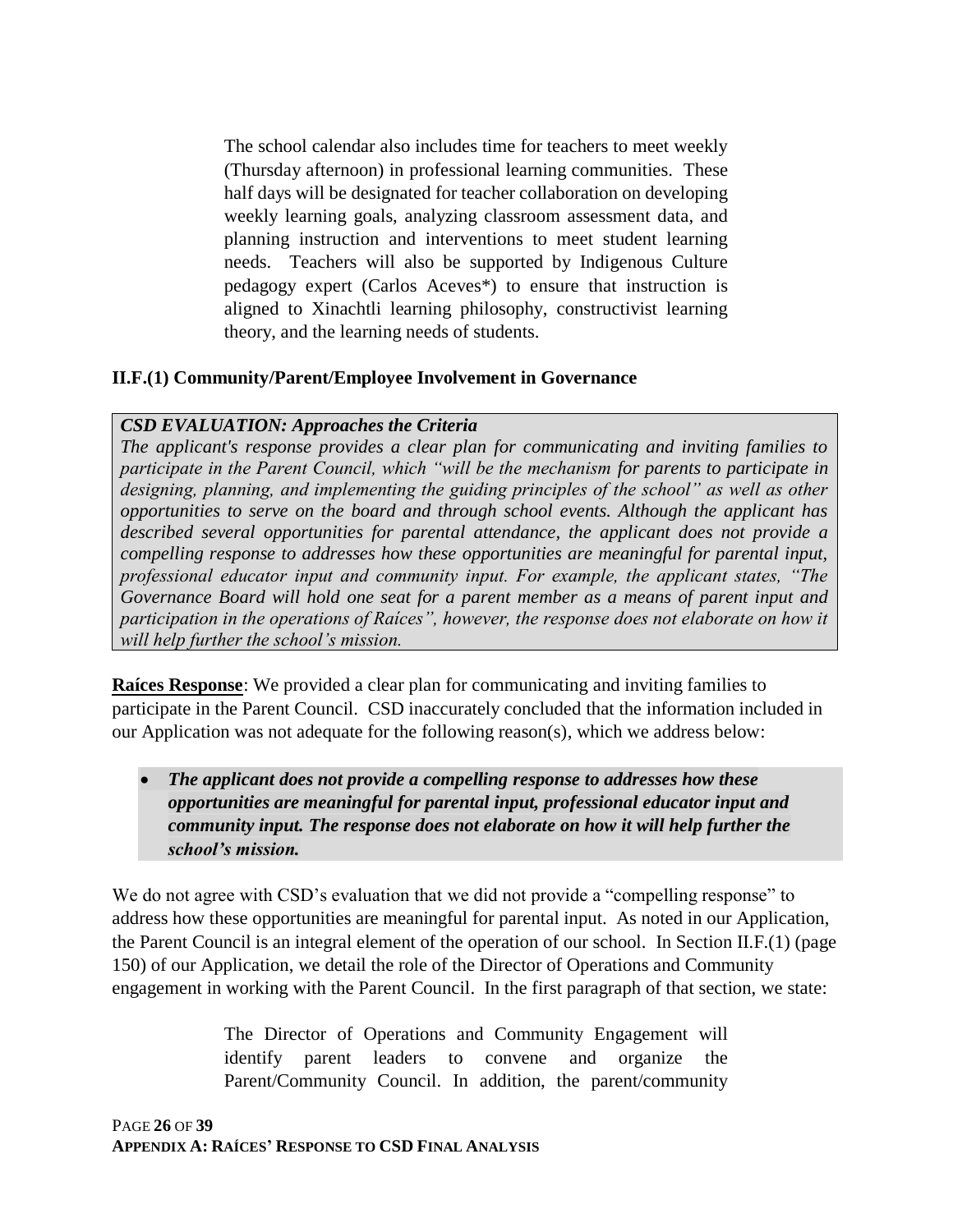The school calendar also includes time for teachers to meet weekly (Thursday afternoon) in professional learning communities. These half days will be designated for teacher collaboration on developing weekly learning goals, analyzing classroom assessment data, and planning instruction and interventions to meet student learning needs. Teachers will also be supported by Indigenous Culture pedagogy expert (Carlos Aceves\*) to ensure that instruction is aligned to Xinachtli learning philosophy, constructivist learning theory, and the learning needs of students.

#### **II.F.(1) Community/Parent/Employee Involvement in Governance**

#### *CSD EVALUATION: Approaches the Criteria*

*The applicant's response provides a clear plan for communicating and inviting families to participate in the Parent Council, which "will be the mechanism for parents to participate in designing, planning, and implementing the guiding principles of the school" as well as other opportunities to serve on the board and through school events. Although the applicant has described several opportunities for parental attendance, the applicant does not provide a compelling response to addresses how these opportunities are meaningful for parental input, professional educator input and community input. For example, the applicant states, "The Governance Board will hold one seat for a parent member as a means of parent input and participation in the operations of Raíces", however, the response does not elaborate on how it will help further the school's mission.*

**Raíces Response**: We provided a clear plan for communicating and inviting families to participate in the Parent Council. CSD inaccurately concluded that the information included in our Application was not adequate for the following reason(s), which we address below:

• *The applicant does not provide a compelling response to addresses how these opportunities are meaningful for parental input, professional educator input and community input. The response does not elaborate on how it will help further the school's mission.*

We do not agree with CSD's evaluation that we did not provide a "compelling response" to address how these opportunities are meaningful for parental input. As noted in our Application, the Parent Council is an integral element of the operation of our school. In Section II.F.(1) (page 150) of our Application, we detail the role of the Director of Operations and Community engagement in working with the Parent Council. In the first paragraph of that section, we state:

> The Director of Operations and Community Engagement will identify parent leaders to convene and organize the Parent/Community Council. In addition, the parent/community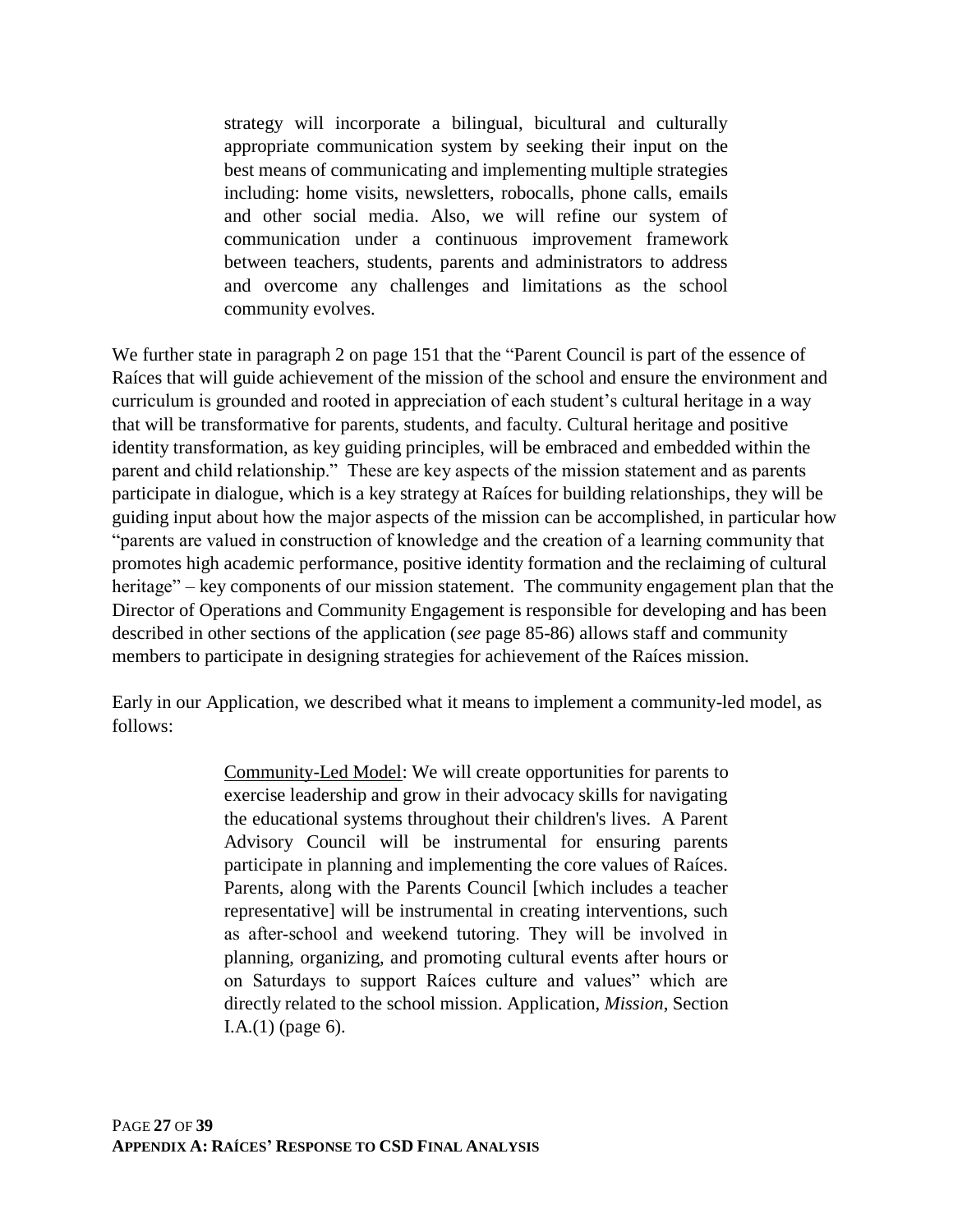strategy will incorporate a bilingual, bicultural and culturally appropriate communication system by seeking their input on the best means of communicating and implementing multiple strategies including: home visits, newsletters, robocalls, phone calls, emails and other social media. Also, we will refine our system of communication under a continuous improvement framework between teachers, students, parents and administrators to address and overcome any challenges and limitations as the school community evolves.

We further state in paragraph 2 on page 151 that the "Parent Council is part of the essence of Raíces that will guide achievement of the mission of the school and ensure the environment and curriculum is grounded and rooted in appreciation of each student's cultural heritage in a way that will be transformative for parents, students, and faculty. Cultural heritage and positive identity transformation, as key guiding principles, will be embraced and embedded within the parent and child relationship." These are key aspects of the mission statement and as parents participate in dialogue, which is a key strategy at Raíces for building relationships, they will be guiding input about how the major aspects of the mission can be accomplished, in particular how "parents are valued in construction of knowledge and the creation of a learning community that promotes high academic performance, positive identity formation and the reclaiming of cultural heritage" – key components of our mission statement. The community engagement plan that the Director of Operations and Community Engagement is responsible for developing and has been described in other sections of the application (*see* page 85-86) allows staff and community members to participate in designing strategies for achievement of the Raíces mission.

Early in our Application, we described what it means to implement a community-led model, as follows:

> Community-Led Model: We will create opportunities for parents to exercise leadership and grow in their advocacy skills for navigating the educational systems throughout their children's lives. A Parent Advisory Council will be instrumental for ensuring parents participate in planning and implementing the core values of Raíces. Parents, along with the Parents Council [which includes a teacher representative] will be instrumental in creating interventions, such as after‐school and weekend tutoring. They will be involved in planning, organizing, and promoting cultural events after hours or on Saturdays to support Raíces culture and values" which are directly related to the school mission. Application, *Mission*, Section  $I.A.(1)$  (page 6).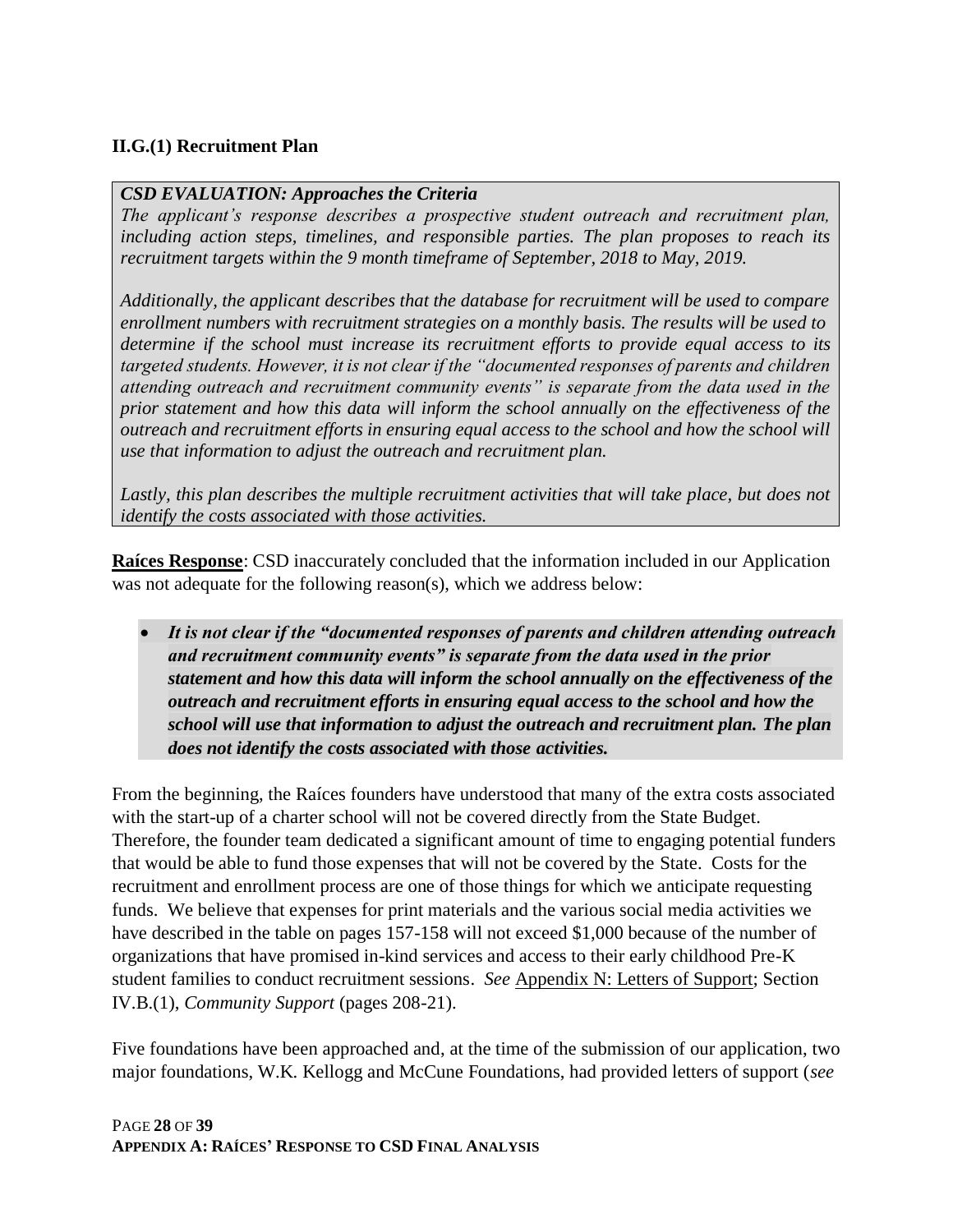### **II.G.(1) Recruitment Plan**

#### *CSD EVALUATION: Approaches the Criteria*

*The applicant's response describes a prospective student outreach and recruitment plan, including action steps, timelines, and responsible parties. The plan proposes to reach its recruitment targets within the 9 month timeframe of September, 2018 to May, 2019.*

*Additionally, the applicant describes that the database for recruitment will be used to compare enrollment numbers with recruitment strategies on a monthly basis. The results will be used to determine if the school must increase its recruitment efforts to provide equal access to its targeted students. However, it is not clear if the "documented responses of parents and children attending outreach and recruitment community events" is separate from the data used in the prior statement and how this data will inform the school annually on the effectiveness of the outreach and recruitment efforts in ensuring equal access to the school and how the school will use that information to adjust the outreach and recruitment plan.*

Lastly, this plan describes the multiple recruitment activities that will take place, but does not *identify the costs associated with those activities.*

**Raíces Response**: CSD inaccurately concluded that the information included in our Application was not adequate for the following reason(s), which we address below:

• *It is not clear if the "documented responses of parents and children attending outreach and recruitment community events" is separate from the data used in the prior statement and how this data will inform the school annually on the effectiveness of the outreach and recruitment efforts in ensuring equal access to the school and how the school will use that information to adjust the outreach and recruitment plan. The plan does not identify the costs associated with those activities.*

From the beginning, the Raíces founders have understood that many of the extra costs associated with the start-up of a charter school will not be covered directly from the State Budget. Therefore, the founder team dedicated a significant amount of time to engaging potential funders that would be able to fund those expenses that will not be covered by the State. Costs for the recruitment and enrollment process are one of those things for which we anticipate requesting funds. We believe that expenses for print materials and the various social media activities we have described in the table on pages 157-158 will not exceed \$1,000 because of the number of organizations that have promised in-kind services and access to their early childhood Pre-K student families to conduct recruitment sessions. *See* Appendix N: Letters of Support; Section IV.B.(1), *Community Support* (pages 208-21).

Five foundations have been approached and, at the time of the submission of our application, two major foundations, W.K. Kellogg and McCune Foundations, had provided letters of support (*see*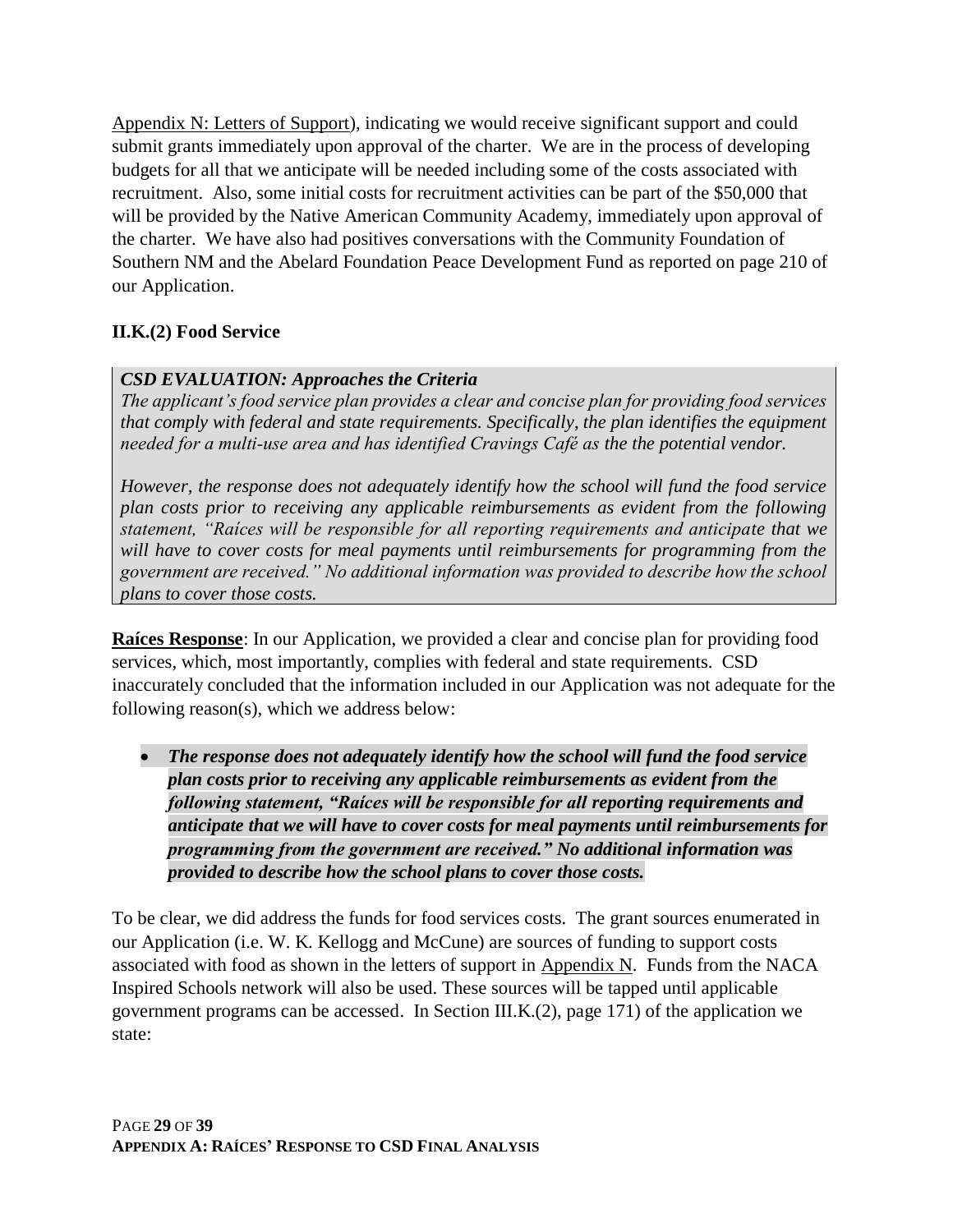Appendix N: Letters of Support), indicating we would receive significant support and could submit grants immediately upon approval of the charter. We are in the process of developing budgets for all that we anticipate will be needed including some of the costs associated with recruitment. Also, some initial costs for recruitment activities can be part of the \$50,000 that will be provided by the Native American Community Academy, immediately upon approval of the charter. We have also had positives conversations with the Community Foundation of Southern NM and the Abelard Foundation Peace Development Fund as reported on page 210 of our Application.

### **II.K.(2) Food Service**

### *CSD EVALUATION: Approaches the Criteria*

*The applicant's food service plan provides a clear and concise plan for providing food services that comply with federal and state requirements. Specifically, the plan identifies the equipment needed for a multi‐use area and has identified Cravings Café as the the potential vendor.*

*However, the response does not adequately identify how the school will fund the food service plan costs prior to receiving any applicable reimbursements as evident from the following statement, "Raíces will be responsible for all reporting requirements and anticipate that we will have to cover costs for meal payments until reimbursements for programming from the government are received." No additional information was provided to describe how the school plans to cover those costs.*

**Raíces Response**: In our Application, we provided a clear and concise plan for providing food services, which, most importantly, complies with federal and state requirements. CSD inaccurately concluded that the information included in our Application was not adequate for the following reason(s), which we address below:

• *The response does not adequately identify how the school will fund the food service plan costs prior to receiving any applicable reimbursements as evident from the following statement, "Raíces will be responsible for all reporting requirements and anticipate that we will have to cover costs for meal payments until reimbursements for programming from the government are received." No additional information was provided to describe how the school plans to cover those costs.*

To be clear, we did address the funds for food services costs. The grant sources enumerated in our Application (i.e. W. K. Kellogg and McCune) are sources of funding to support costs associated with food as shown in the letters of support in Appendix N. Funds from the NACA Inspired Schools network will also be used. These sources will be tapped until applicable government programs can be accessed. In Section III.K.(2), page 171) of the application we state: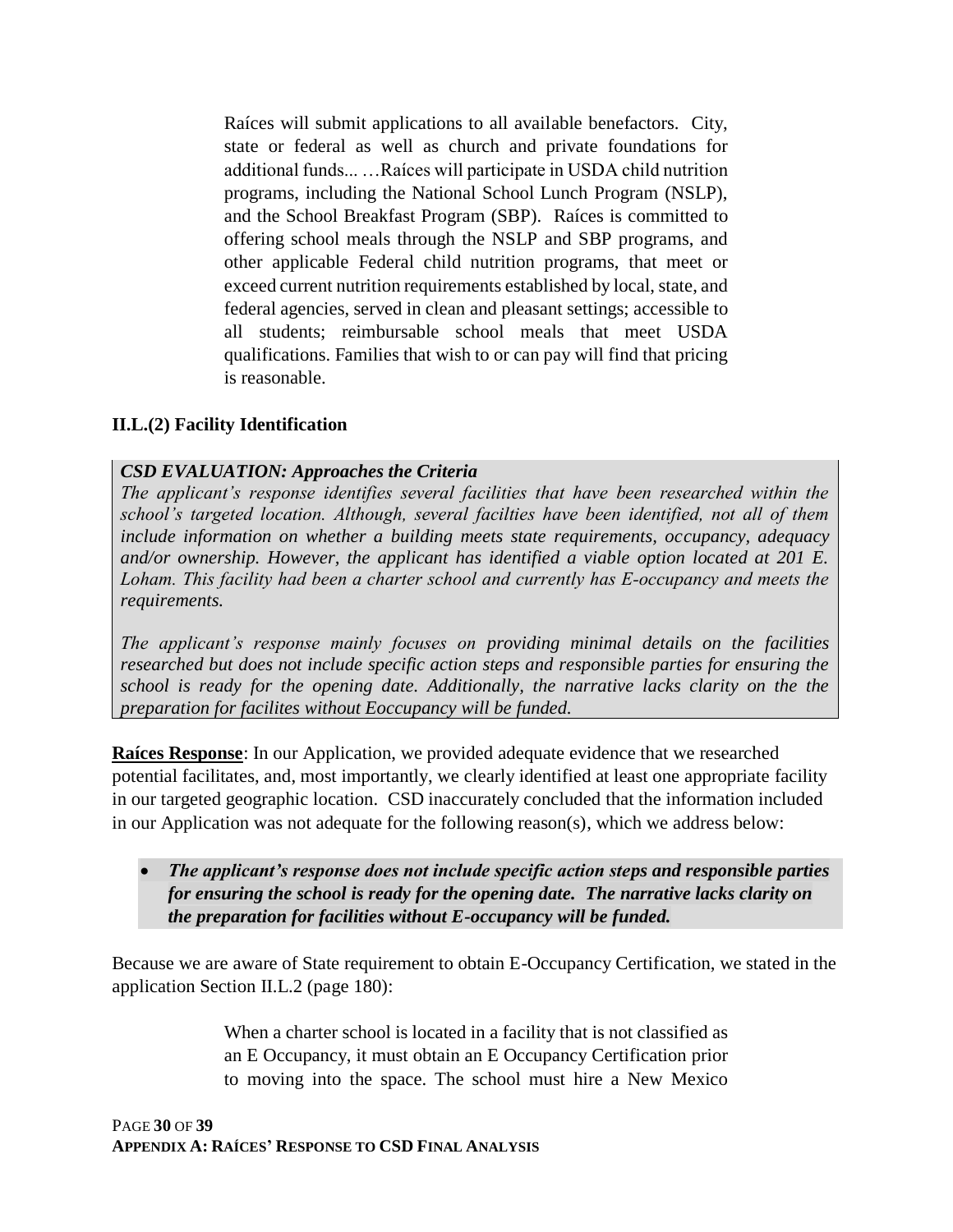Raíces will submit applications to all available benefactors. City, state or federal as well as church and private foundations for additional funds... …Raíces will participate in USDA child nutrition programs, including the National School Lunch Program (NSLP), and the School Breakfast Program (SBP). Raíces is committed to offering school meals through the NSLP and SBP programs, and other applicable Federal child nutrition programs, that meet or exceed current nutrition requirements established by local, state, and federal agencies, served in clean and pleasant settings; accessible to all students; reimbursable school meals that meet USDA qualifications. Families that wish to or can pay will find that pricing is reasonable.

#### **II.L.(2) Facility Identification**

#### *CSD EVALUATION: Approaches the Criteria*

*The applicant's response identifies several facilities that have been researched within the school's targeted location. Although, several facilties have been identified, not all of them include information on whether a building meets state requirements, occupancy, adequacy and/or ownership. However, the applicant has identified a viable option located at 201 E. Loham. This facility had been a charter school and currently has E‐occupancy and meets the requirements.*

*The applicant's response mainly focuses on providing minimal details on the facilities researched but does not include specific action steps and responsible parties for ensuring the school is ready for the opening date. Additionally, the narrative lacks clarity on the the preparation for facilites without Eoccupancy will be funded.*

**Raíces Response**: In our Application, we provided adequate evidence that we researched potential facilitates, and, most importantly, we clearly identified at least one appropriate facility in our targeted geographic location. CSD inaccurately concluded that the information included in our Application was not adequate for the following reason(s), which we address below:

• *The applicant's response does not include specific action steps and responsible parties for ensuring the school is ready for the opening date. The narrative lacks clarity on the preparation for facilities without E-occupancy will be funded.* 

Because we are aware of State requirement to obtain E-Occupancy Certification, we stated in the application Section II.L.2 (page 180):

> When a charter school is located in a facility that is not classified as an E Occupancy, it must obtain an E Occupancy Certification prior to moving into the space. The school must hire a New Mexico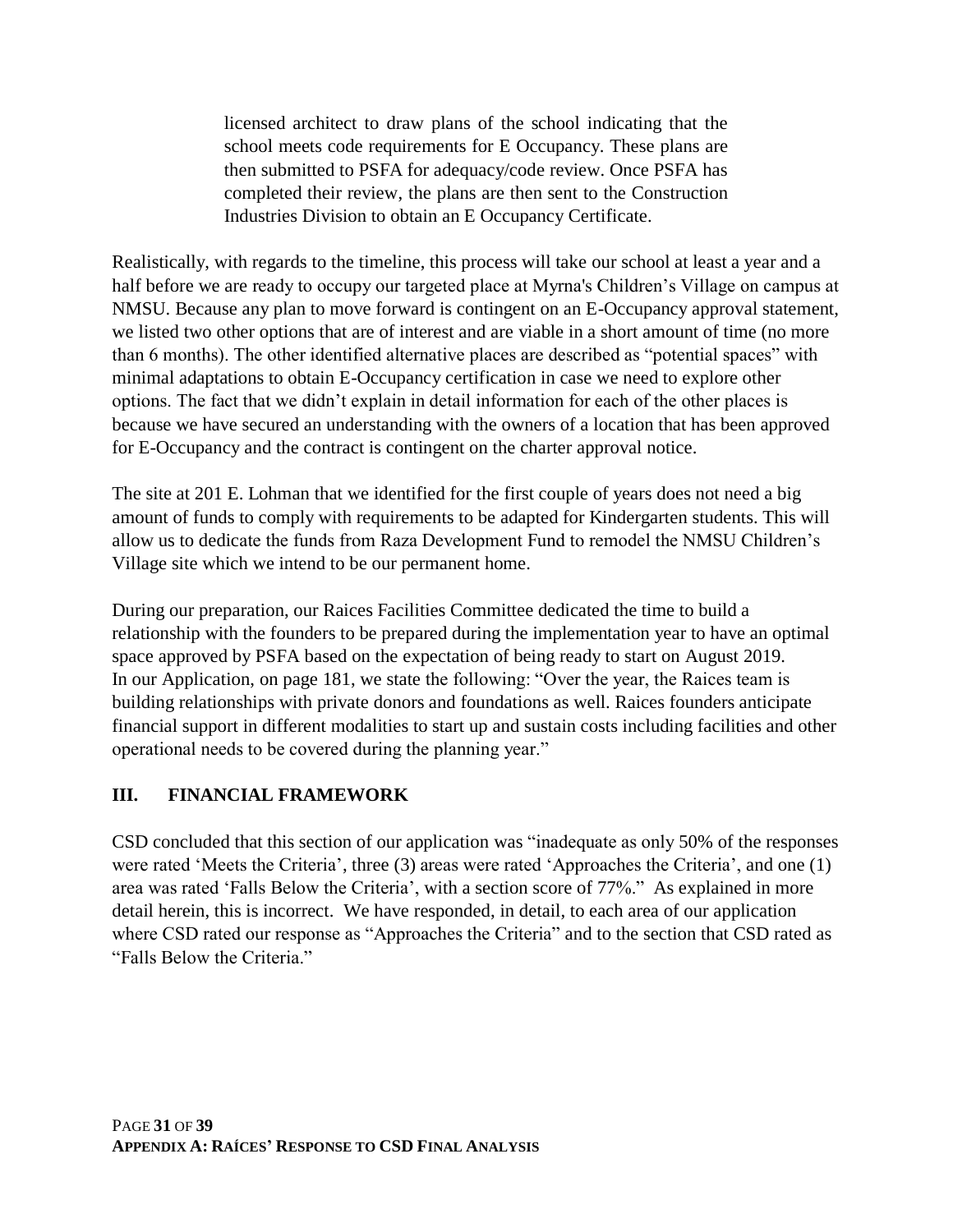licensed architect to draw plans of the school indicating that the school meets code requirements for E Occupancy. These plans are then submitted to PSFA for adequacy/code review. Once PSFA has completed their review, the plans are then sent to the Construction Industries Division to obtain an E Occupancy Certificate.

Realistically, with regards to the timeline, this process will take our school at least a year and a half before we are ready to occupy our targeted place at Myrna's Children's Village on campus at NMSU. Because any plan to move forward is contingent on an E-Occupancy approval statement, we listed two other options that are of interest and are viable in a short amount of time (no more than 6 months). The other identified alternative places are described as "potential spaces" with minimal adaptations to obtain E-Occupancy certification in case we need to explore other options. The fact that we didn't explain in detail information for each of the other places is because we have secured an understanding with the owners of a location that has been approved for E-Occupancy and the contract is contingent on the charter approval notice.

The site at 201 E. Lohman that we identified for the first couple of years does not need a big amount of funds to comply with requirements to be adapted for Kindergarten students. This will allow us to dedicate the funds from Raza Development Fund to remodel the NMSU Children's Village site which we intend to be our permanent home.

During our preparation, our Raices Facilities Committee dedicated the time to build a relationship with the founders to be prepared during the implementation year to have an optimal space approved by PSFA based on the expectation of being ready to start on August 2019. In our Application, on page 181, we state the following: "Over the year, the Raices team is building relationships with private donors and foundations as well. Raices founders anticipate financial support in different modalities to start up and sustain costs including facilities and other operational needs to be covered during the planning year."

### **III. FINANCIAL FRAMEWORK**

CSD concluded that this section of our application was "inadequate as only 50% of the responses were rated 'Meets the Criteria', three (3) areas were rated 'Approaches the Criteria', and one (1) area was rated 'Falls Below the Criteria', with a section score of 77%." As explained in more detail herein, this is incorrect. We have responded, in detail, to each area of our application where CSD rated our response as "Approaches the Criteria" and to the section that CSD rated as "Falls Below the Criteria."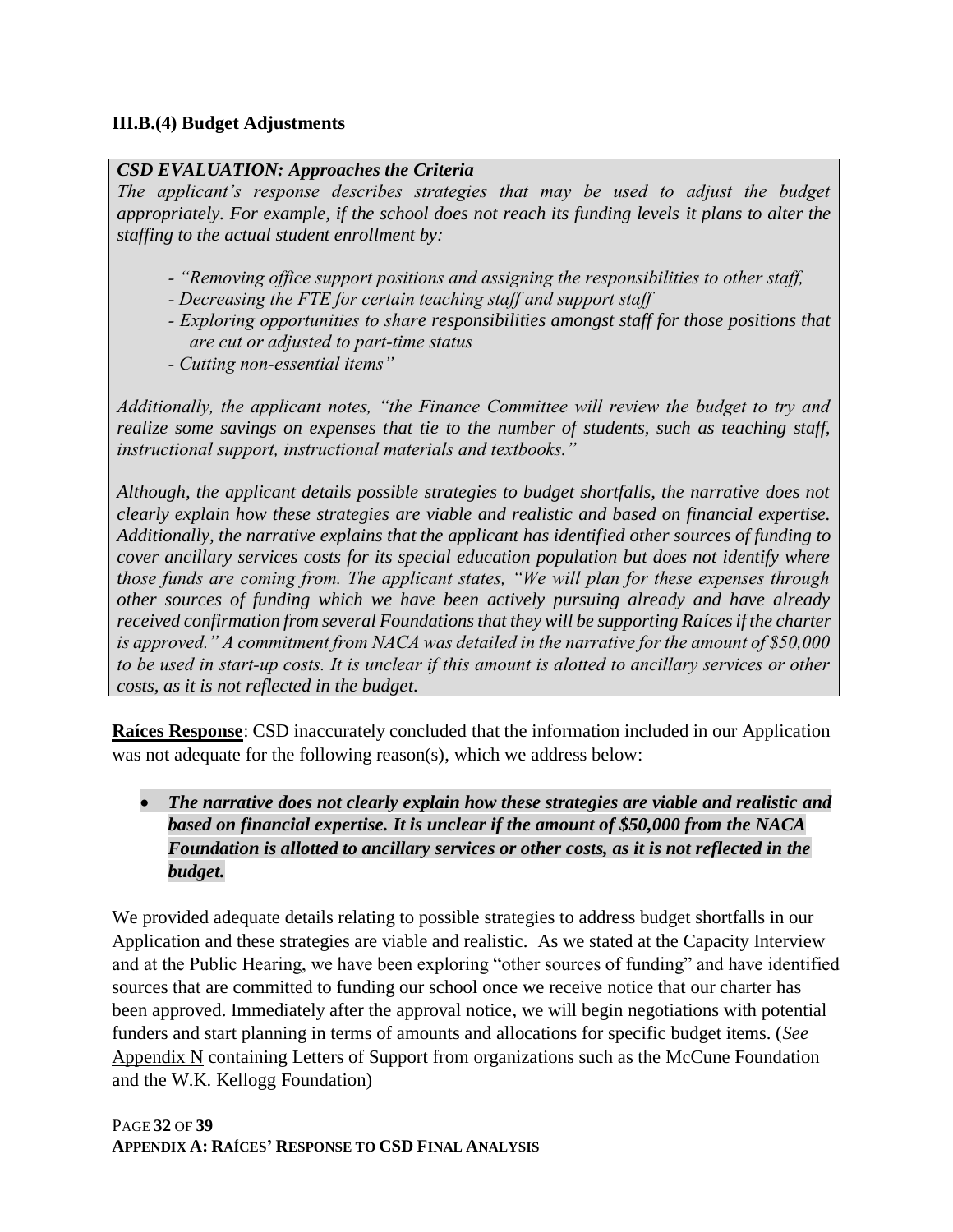#### **III.B.(4) Budget Adjustments**

### *CSD EVALUATION: Approaches the Criteria*

*The applicant's response describes strategies that may be used to adjust the budget appropriately. For example, if the school does not reach its funding levels it plans to alter the staffing to the actual student enrollment by:*

- *‐ "Removing office support positions and assigning the responsibilities to other staff,*
- *‐ Decreasing the FTE for certain teaching staff and support staff*
- *‐ Exploring opportunities to share responsibilities amongst staff for those positions that are cut or adjusted to part‐time status*
- *‐ Cutting non‐essential items"*

*Additionally, the applicant notes, "the Finance Committee will review the budget to try and realize some savings on expenses that tie to the number of students, such as teaching staff, instructional support, instructional materials and textbooks."*

*Although, the applicant details possible strategies to budget shortfalls, the narrative does not clearly explain how these strategies are viable and realistic and based on financial expertise. Additionally, the narrative explains that the applicant has identified other sources of funding to cover ancillary services costs for its special education population but does not identify where those funds are coming from. The applicant states, "We will plan for these expenses through other sources of funding which we have been actively pursuing already and have already*  received confirmation from several Foundations that they will be supporting Raíces if the charter *is approved." A commitment from NACA was detailed in the narrative for the amount of \$50,000 to be used in start‐up costs. It is unclear if this amount is alotted to ancillary services or other costs, as it is not reflected in the budget.*

**Raíces Response**: CSD inaccurately concluded that the information included in our Application was not adequate for the following reason(s), which we address below:

• *The narrative does not clearly explain how these strategies are viable and realistic and based on financial expertise. It is unclear if the amount of \$50,000 from the NACA Foundation is allotted to ancillary services or other costs, as it is not reflected in the budget.*

We provided adequate details relating to possible strategies to address budget shortfalls in our Application and these strategies are viable and realistic. As we stated at the Capacity Interview and at the Public Hearing, we have been exploring "other sources of funding" and have identified sources that are committed to funding our school once we receive notice that our charter has been approved. Immediately after the approval notice, we will begin negotiations with potential funders and start planning in terms of amounts and allocations for specific budget items. (*See* Appendix N containing Letters of Support from organizations such as the McCune Foundation and the W.K. Kellogg Foundation)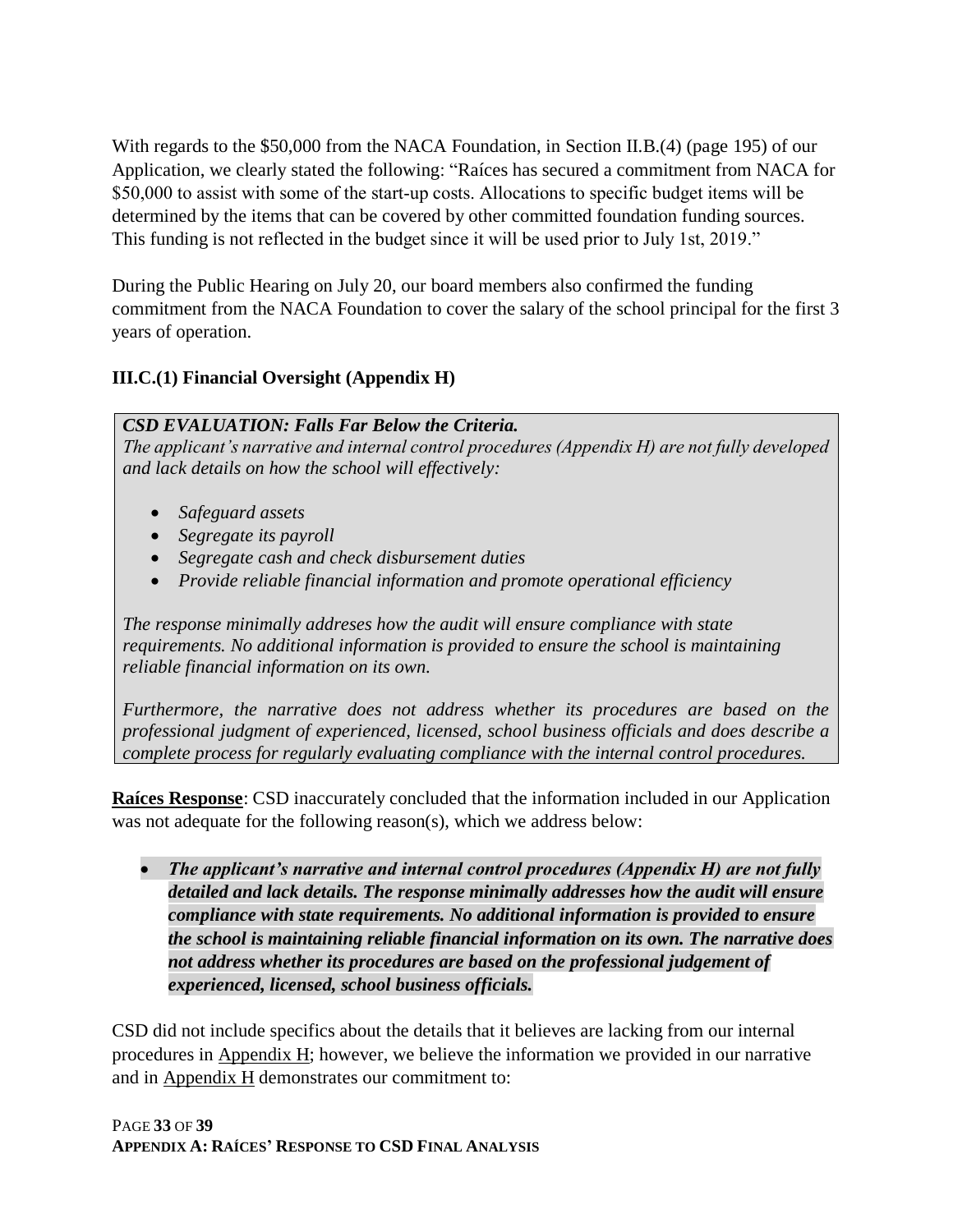With regards to the \$50,000 from the NACA Foundation, in Section II.B.(4) (page 195) of our Application, we clearly stated the following: "Raíces has secured a commitment from NACA for \$50,000 to assist with some of the start-up costs. Allocations to specific budget items will be determined by the items that can be covered by other committed foundation funding sources. This funding is not reflected in the budget since it will be used prior to July 1st, 2019."

During the Public Hearing on July 20, our board members also confirmed the funding commitment from the NACA Foundation to cover the salary of the school principal for the first 3 years of operation.

### **III.C.(1) Financial Oversight (Appendix H)**

#### *CSD EVALUATION: Falls Far Below the Criteria.*

*The applicant's narrative and internal control procedures (Appendix H) are not fully developed and lack details on how the school will effectively:*

- *Safeguard assets*
- *Segregate its payroll*
- *Segregate cash and check disbursement duties*
- *Provide reliable financial information and promote operational efficiency*

*The response minimally addreses how the audit will ensure compliance with state requirements. No additional information is provided to ensure the school is maintaining reliable financial information on its own.*

*Furthermore, the narrative does not address whether its procedures are based on the professional judgment of experienced, licensed, school business officials and does describe a complete process for regularly evaluating compliance with the internal control procedures.*

**Raíces Response**: CSD inaccurately concluded that the information included in our Application was not adequate for the following reason(s), which we address below:

• *The applicant's narrative and internal control procedures (Appendix H) are not fully detailed and lack details. The response minimally addresses how the audit will ensure compliance with state requirements. No additional information is provided to ensure the school is maintaining reliable financial information on its own. The narrative does not address whether its procedures are based on the professional judgement of experienced, licensed, school business officials.* 

CSD did not include specifics about the details that it believes are lacking from our internal procedures in Appendix H; however, we believe the information we provided in our narrative and in Appendix H demonstrates our commitment to: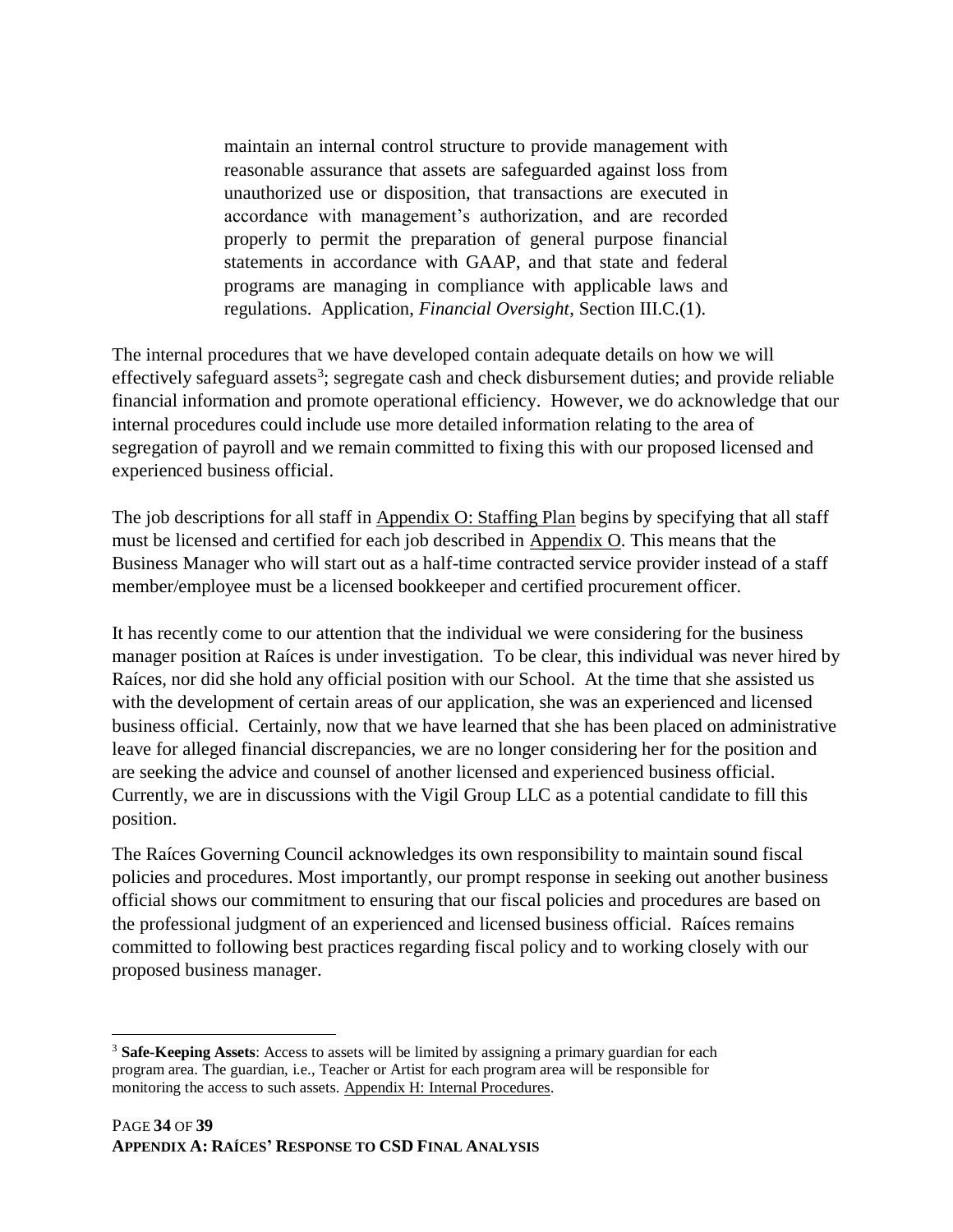maintain an internal control structure to provide management with reasonable assurance that assets are safeguarded against loss from unauthorized use or disposition, that transactions are executed in accordance with management's authorization, and are recorded properly to permit the preparation of general purpose financial statements in accordance with GAAP, and that state and federal programs are managing in compliance with applicable laws and regulations. Application, *Financial Oversight*, Section III.C.(1).

The internal procedures that we have developed contain adequate details on how we will effectively safeguard assets<sup>3</sup>; segregate cash and check disbursement duties; and provide reliable financial information and promote operational efficiency. However, we do acknowledge that our internal procedures could include use more detailed information relating to the area of segregation of payroll and we remain committed to fixing this with our proposed licensed and experienced business official.

The job descriptions for all staff in Appendix O: Staffing Plan begins by specifying that all staff must be licensed and certified for each job described in Appendix O. This means that the Business Manager who will start out as a half-time contracted service provider instead of a staff member/employee must be a licensed bookkeeper and certified procurement officer.

It has recently come to our attention that the individual we were considering for the business manager position at Raíces is under investigation. To be clear, this individual was never hired by Raíces, nor did she hold any official position with our School. At the time that she assisted us with the development of certain areas of our application, she was an experienced and licensed business official. Certainly, now that we have learned that she has been placed on administrative leave for alleged financial discrepancies, we are no longer considering her for the position and are seeking the advice and counsel of another licensed and experienced business official. Currently, we are in discussions with the Vigil Group LLC as a potential candidate to fill this position.

The Raíces Governing Council acknowledges its own responsibility to maintain sound fiscal policies and procedures. Most importantly, our prompt response in seeking out another business official shows our commitment to ensuring that our fiscal policies and procedures are based on the professional judgment of an experienced and licensed business official. Raíces remains committed to following best practices regarding fiscal policy and to working closely with our proposed business manager.

 $\overline{a}$ 

<sup>3</sup> **Safe-Keeping Assets**: Access to assets will be limited by assigning a primary guardian for each program area. The guardian, i.e., Teacher or Artist for each program area will be responsible for monitoring the access to such assets. Appendix H: Internal Procedures.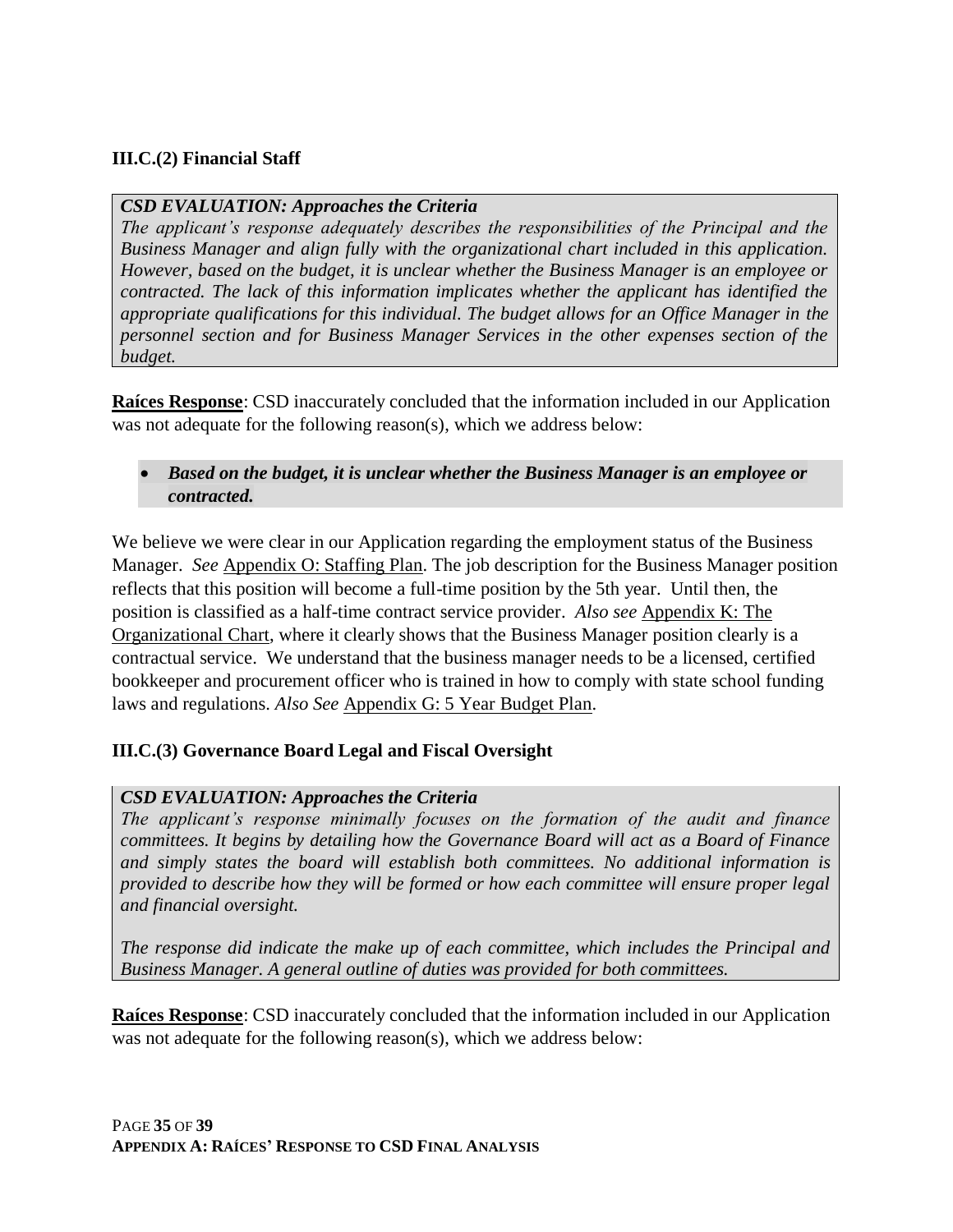### **III.C.(2) Financial Staff**

#### *CSD EVALUATION: Approaches the Criteria*

*The applicant's response adequately describes the responsibilities of the Principal and the Business Manager and align fully with the organizational chart included in this application. However, based on the budget, it is unclear whether the Business Manager is an employee or contracted. The lack of this information implicates whether the applicant has identified the appropriate qualifications for this individual. The budget allows for an Office Manager in the personnel section and for Business Manager Services in the other expenses section of the budget.*

**Raíces Response**: CSD inaccurately concluded that the information included in our Application was not adequate for the following reason(s), which we address below:

### • *Based on the budget, it is unclear whether the Business Manager is an employee or contracted.*

We believe we were clear in our Application regarding the employment status of the Business Manager. *See* Appendix O: Staffing Plan. The job description for the Business Manager position reflects that this position will become a full-time position by the 5th year. Until then, the position is classified as a half-time contract service provider. *Also see* Appendix K: The Organizational Chart, where it clearly shows that the Business Manager position clearly is a contractual service. We understand that the business manager needs to be a licensed, certified bookkeeper and procurement officer who is trained in how to comply with state school funding laws and regulations. *Also See* Appendix G: 5 Year Budget Plan.

#### **III.C.(3) Governance Board Legal and Fiscal Oversight**

#### *CSD EVALUATION: Approaches the Criteria*

*The applicant's response minimally focuses on the formation of the audit and finance committees. It begins by detailing how the Governance Board will act as a Board of Finance and simply states the board will establish both committees. No additional information is provided to describe how they will be formed or how each committee will ensure proper legal and financial oversight.*

*The response did indicate the make up of each committee, which includes the Principal and Business Manager. A general outline of duties was provided for both committees.*

**Raíces Response**: CSD inaccurately concluded that the information included in our Application was not adequate for the following reason(s), which we address below: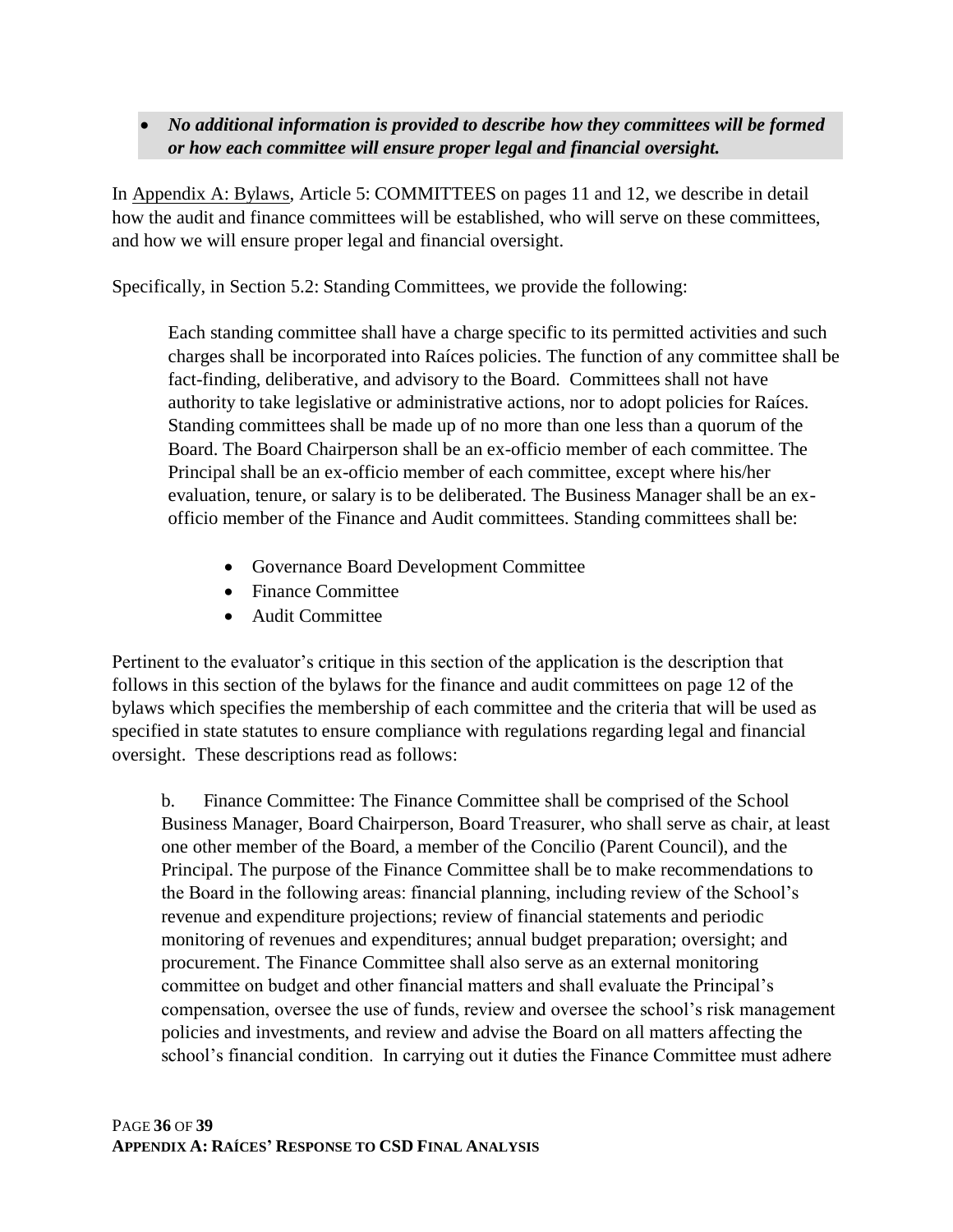• *No additional information is provided to describe how they committees will be formed or how each committee will ensure proper legal and financial oversight.*

In Appendix A: Bylaws, Article 5: COMMITTEES on pages 11 and 12, we describe in detail how the audit and finance committees will be established, who will serve on these committees, and how we will ensure proper legal and financial oversight.

Specifically, in Section 5.2: Standing Committees, we provide the following:

Each standing committee shall have a charge specific to its permitted activities and such charges shall be incorporated into Raíces policies. The function of any committee shall be fact-finding, deliberative, and advisory to the Board. Committees shall not have authority to take legislative or administrative actions, nor to adopt policies for Raíces. Standing committees shall be made up of no more than one less than a quorum of the Board. The Board Chairperson shall be an ex-officio member of each committee. The Principal shall be an ex-officio member of each committee, except where his/her evaluation, tenure, or salary is to be deliberated. The Business Manager shall be an exofficio member of the Finance and Audit committees. Standing committees shall be:

- Governance Board Development Committee
- Finance Committee
- Audit Committee

Pertinent to the evaluator's critique in this section of the application is the description that follows in this section of the bylaws for the finance and audit committees on page 12 of the bylaws which specifies the membership of each committee and the criteria that will be used as specified in state statutes to ensure compliance with regulations regarding legal and financial oversight. These descriptions read as follows:

b. Finance Committee: The Finance Committee shall be comprised of the School Business Manager, Board Chairperson, Board Treasurer, who shall serve as chair, at least one other member of the Board, a member of the Concilio (Parent Council), and the Principal. The purpose of the Finance Committee shall be to make recommendations to the Board in the following areas: financial planning, including review of the School's revenue and expenditure projections; review of financial statements and periodic monitoring of revenues and expenditures; annual budget preparation; oversight; and procurement. The Finance Committee shall also serve as an external monitoring committee on budget and other financial matters and shall evaluate the Principal's compensation, oversee the use of funds, review and oversee the school's risk management policies and investments, and review and advise the Board on all matters affecting the school's financial condition. In carrying out it duties the Finance Committee must adhere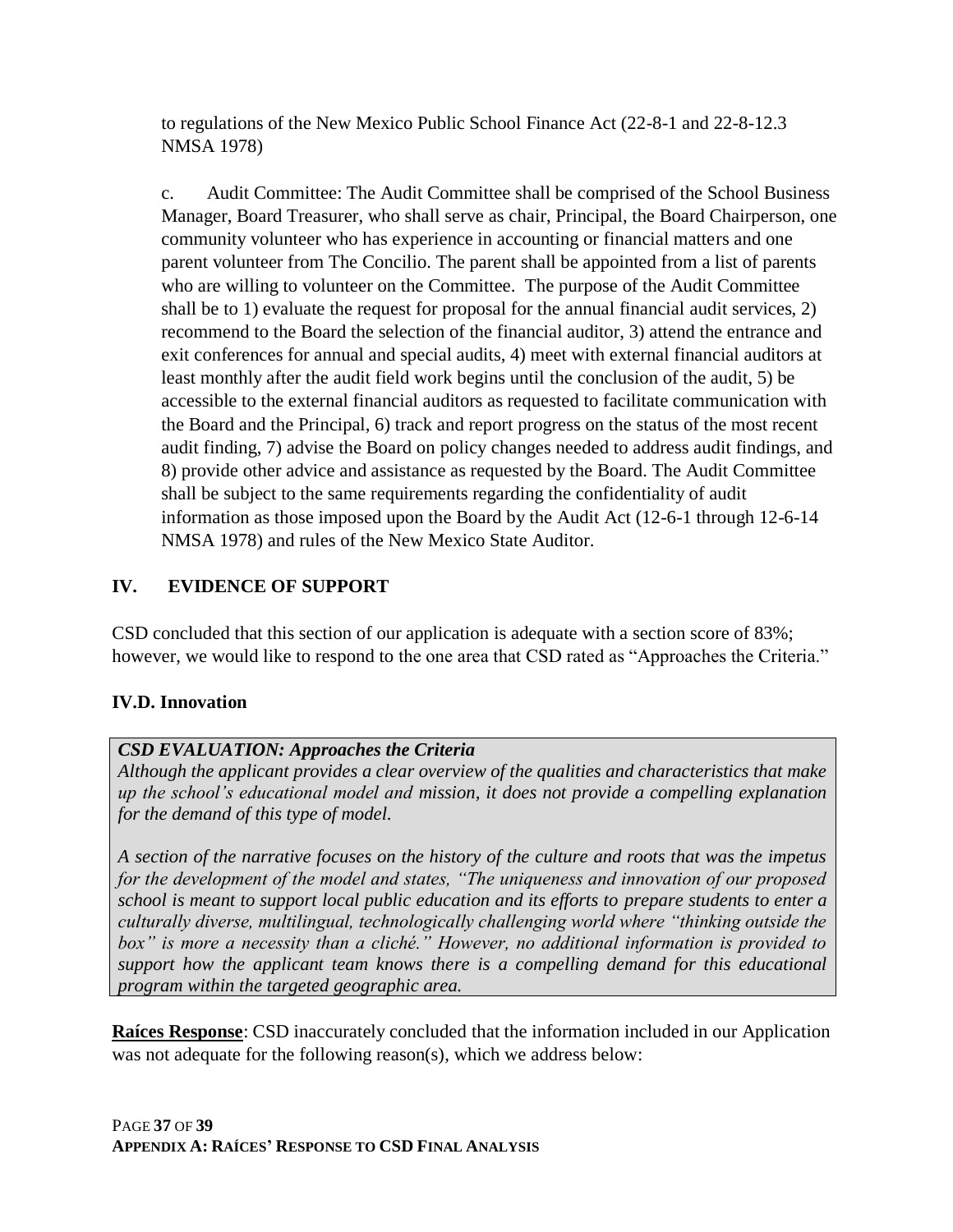to regulations of the New Mexico Public School Finance Act (22-8-1 and 22-8-12.3 NMSA 1978)

c. Audit Committee: The Audit Committee shall be comprised of the School Business Manager, Board Treasurer, who shall serve as chair, Principal, the Board Chairperson, one community volunteer who has experience in accounting or financial matters and one parent volunteer from The Concilio. The parent shall be appointed from a list of parents who are willing to volunteer on the Committee. The purpose of the Audit Committee shall be to 1) evaluate the request for proposal for the annual financial audit services, 2) recommend to the Board the selection of the financial auditor, 3) attend the entrance and exit conferences for annual and special audits, 4) meet with external financial auditors at least monthly after the audit field work begins until the conclusion of the audit, 5) be accessible to the external financial auditors as requested to facilitate communication with the Board and the Principal, 6) track and report progress on the status of the most recent audit finding, 7) advise the Board on policy changes needed to address audit findings, and 8) provide other advice and assistance as requested by the Board. The Audit Committee shall be subject to the same requirements regarding the confidentiality of audit information as those imposed upon the Board by the Audit Act (12-6-1 through 12-6-14 NMSA 1978) and rules of the New Mexico State Auditor.

## **IV. EVIDENCE OF SUPPORT**

CSD concluded that this section of our application is adequate with a section score of 83%; however, we would like to respond to the one area that CSD rated as "Approaches the Criteria."

### **IV.D. Innovation**

### *CSD EVALUATION: Approaches the Criteria*

*Although the applicant provides a clear overview of the qualities and characteristics that make up the school's educational model and mission, it does not provide a compelling explanation for the demand of this type of model.*

*A section of the narrative focuses on the history of the culture and roots that was the impetus for the development of the model and states, "The uniqueness and innovation of our proposed school is meant to support local public education and its efforts to prepare students to enter a culturally diverse, multilingual, technologically challenging world where "thinking outside the box" is more a necessity than a cliché." However, no additional information is provided to support how the applicant team knows there is a compelling demand for this educational program within the targeted geographic area.*

**Raíces Response**: CSD inaccurately concluded that the information included in our Application was not adequate for the following reason(s), which we address below: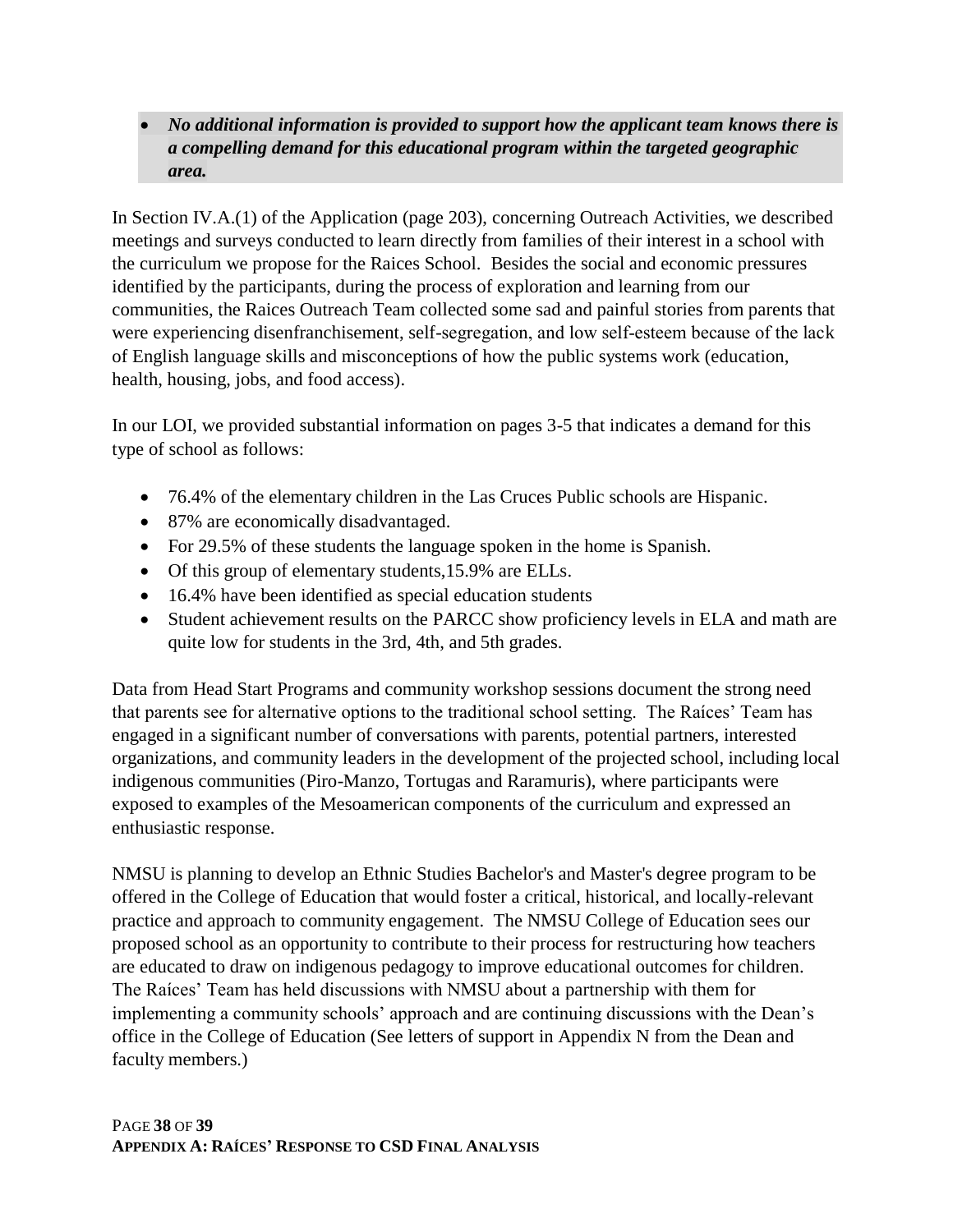• *No additional information is provided to support how the applicant team knows there is a compelling demand for this educational program within the targeted geographic area.*

In Section IV.A.(1) of the Application (page 203), concerning Outreach Activities, we described meetings and surveys conducted to learn directly from families of their interest in a school with the curriculum we propose for the Raices School. Besides the social and economic pressures identified by the participants, during the process of exploration and learning from our communities, the Raices Outreach Team collected some sad and painful stories from parents that were experiencing disenfranchisement, self-segregation, and low self-esteem because of the lack of English language skills and misconceptions of how the public systems work (education, health, housing, jobs, and food access).

In our LOI, we provided substantial information on pages 3-5 that indicates a demand for this type of school as follows:

- 76.4% of the elementary children in the Las Cruces Public schools are Hispanic.
- 87% are economically disadvantaged.
- For 29.5% of these students the language spoken in the home is Spanish.
- Of this group of elementary students, 15.9% are ELLs.
- 16.4% have been identified as special education students
- Student achievement results on the PARCC show proficiency levels in ELA and math are quite low for students in the 3rd, 4th, and 5th grades.

Data from Head Start Programs and community workshop sessions document the strong need that parents see for alternative options to the traditional school setting. The Raíces' Team has engaged in a significant number of conversations with parents, potential partners, interested organizations, and community leaders in the development of the projected school, including local indigenous communities (Piro-Manzo, Tortugas and Raramuris), where participants were exposed to examples of the Mesoamerican components of the curriculum and expressed an enthusiastic response.

NMSU is planning to develop an Ethnic Studies Bachelor's and Master's degree program to be offered in the College of Education that would foster a critical, historical, and locally-relevant practice and approach to community engagement. The NMSU College of Education sees our proposed school as an opportunity to contribute to their process for restructuring how teachers are educated to draw on indigenous pedagogy to improve educational outcomes for children. The Raíces' Team has held discussions with NMSU about a partnership with them for implementing a community schools' approach and are continuing discussions with the Dean's office in the College of Education (See letters of support in Appendix N from the Dean and faculty members.)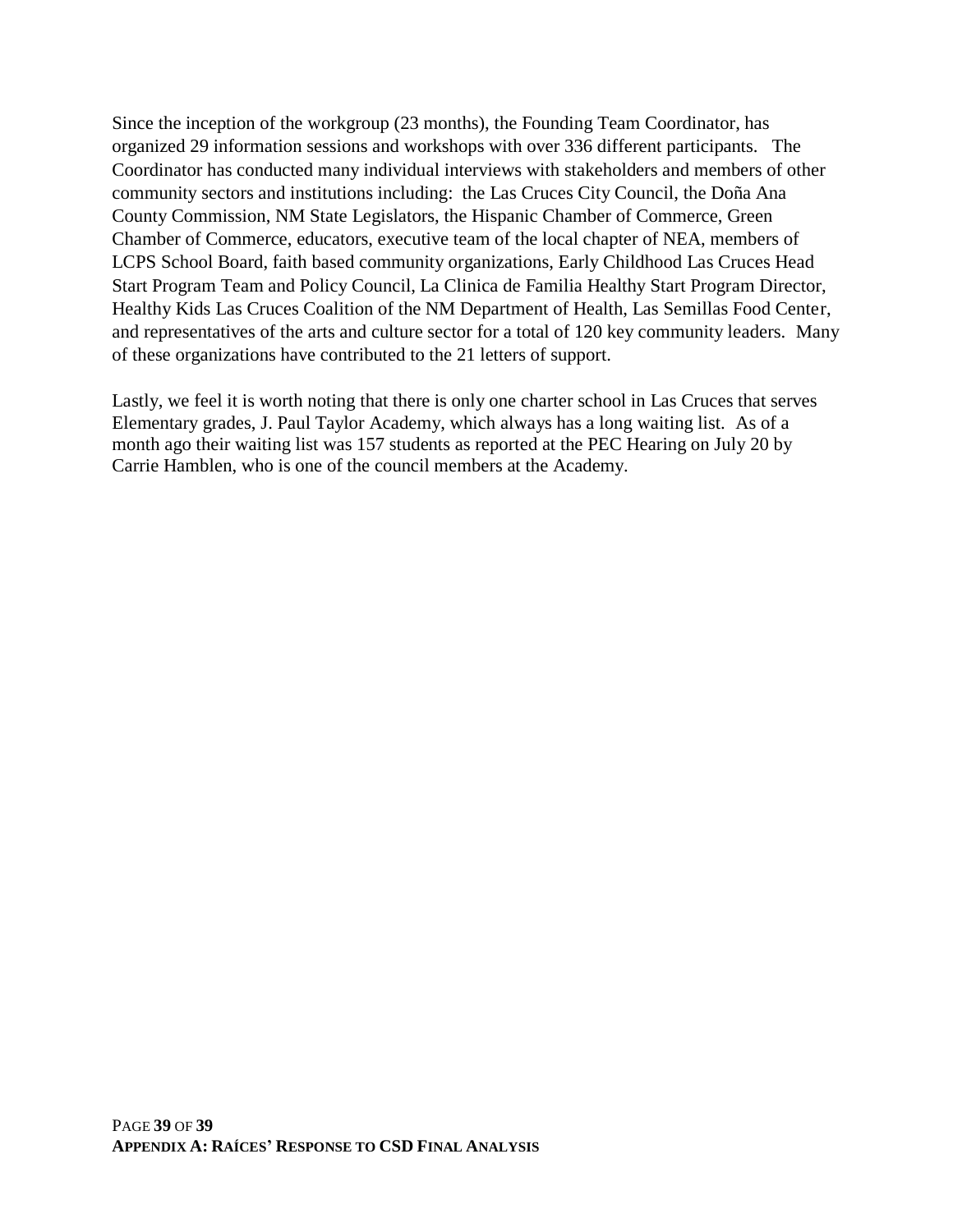Since the inception of the workgroup (23 months), the Founding Team Coordinator, has organized 29 information sessions and workshops with over 336 different participants. The Coordinator has conducted many individual interviews with stakeholders and members of other community sectors and institutions including: the Las Cruces City Council, the Doña Ana County Commission, NM State Legislators, the Hispanic Chamber of Commerce, Green Chamber of Commerce, educators, executive team of the local chapter of NEA, members of LCPS School Board, faith based community organizations, Early Childhood Las Cruces Head Start Program Team and Policy Council, La Clinica de Familia Healthy Start Program Director, Healthy Kids Las Cruces Coalition of the NM Department of Health, Las Semillas Food Center, and representatives of the arts and culture sector for a total of 120 key community leaders. Many of these organizations have contributed to the 21 letters of support.

Lastly, we feel it is worth noting that there is only one charter school in Las Cruces that serves Elementary grades, J. Paul Taylor Academy, which always has a long waiting list. As of a month ago their waiting list was 157 students as reported at the PEC Hearing on July 20 by Carrie Hamblen, who is one of the council members at the Academy.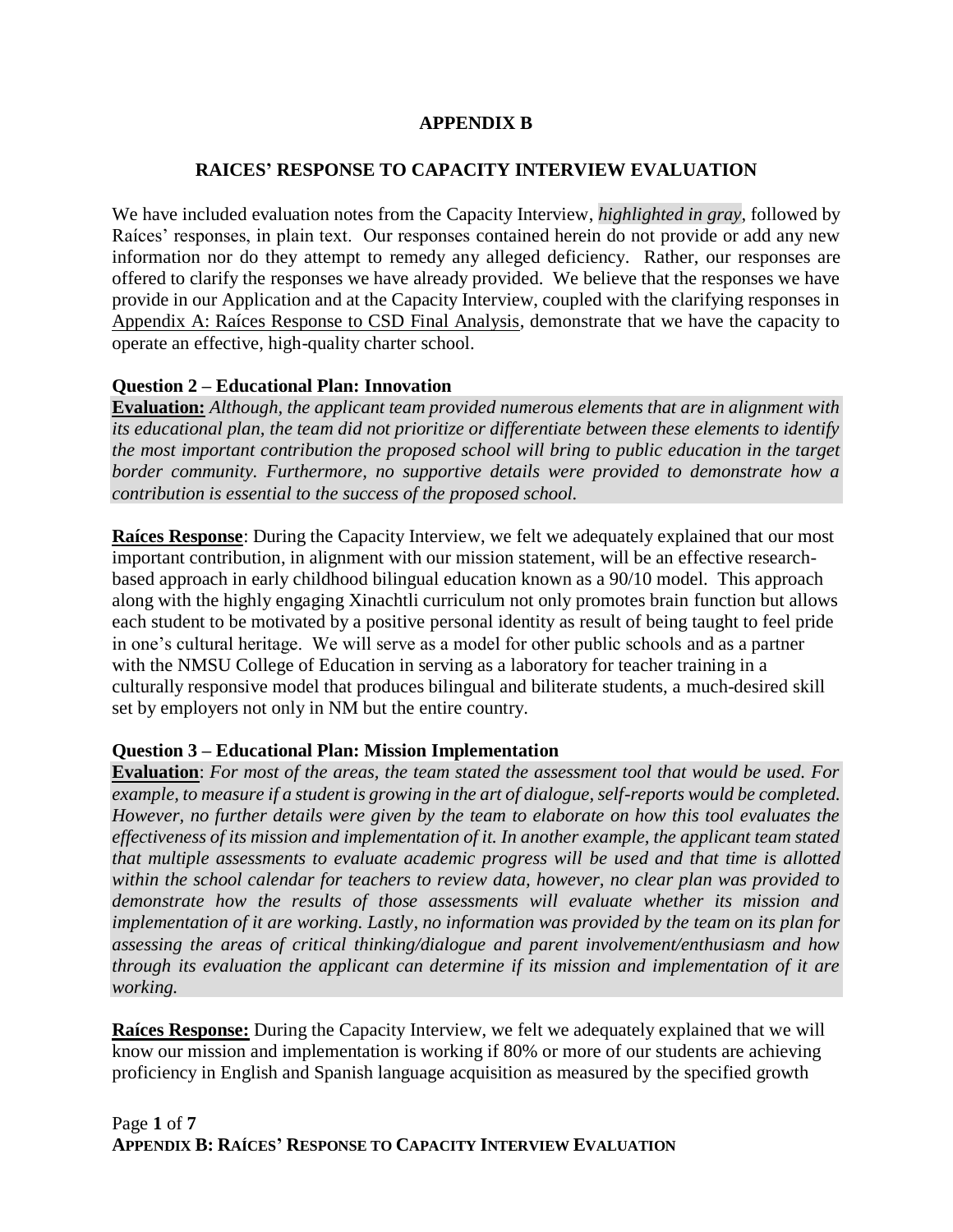#### **APPENDIX B**

#### **RAICES' RESPONSE TO CAPACITY INTERVIEW EVALUATION**

We have included evaluation notes from the Capacity Interview, *highlighted in gray*, followed by Raíces' responses, in plain text. Our responses contained herein do not provide or add any new information nor do they attempt to remedy any alleged deficiency. Rather, our responses are offered to clarify the responses we have already provided. We believe that the responses we have provide in our Application and at the Capacity Interview, coupled with the clarifying responses in Appendix A: Raíces Response to CSD Final Analysis, demonstrate that we have the capacity to operate an effective, high-quality charter school.

#### **Question 2 – Educational Plan: Innovation**

**Evaluation:** *Although, the applicant team provided numerous elements that are in alignment with its educational plan, the team did not prioritize or differentiate between these elements to identify the most important contribution the proposed school will bring to public education in the target border community. Furthermore, no supportive details were provided to demonstrate how a contribution is essential to the success of the proposed school.*

**Raíces Response**: During the Capacity Interview, we felt we adequately explained that our most important contribution, in alignment with our mission statement, will be an effective researchbased approach in early childhood bilingual education known as a 90/10 model. This approach along with the highly engaging Xinachtli curriculum not only promotes brain function but allows each student to be motivated by a positive personal identity as result of being taught to feel pride in one's cultural heritage. We will serve as a model for other public schools and as a partner with the NMSU College of Education in serving as a laboratory for teacher training in a culturally responsive model that produces bilingual and biliterate students, a much-desired skill set by employers not only in NM but the entire country.

#### **Question 3 – Educational Plan: Mission Implementation**

**Evaluation**: *For most of the areas, the team stated the assessment tool that would be used. For example, to measure if a student is growing in the art of dialogue, self-reports would be completed. However, no further details were given by the team to elaborate on how this tool evaluates the effectiveness of its mission and implementation of it. In another example, the applicant team stated that multiple assessments to evaluate academic progress will be used and that time is allotted within the school calendar for teachers to review data, however, no clear plan was provided to demonstrate how the results of those assessments will evaluate whether its mission and implementation of it are working. Lastly, no information was provided by the team on its plan for assessing the areas of critical thinking/dialogue and parent involvement/enthusiasm and how through its evaluation the applicant can determine if its mission and implementation of it are working.*

**Raíces Response:** During the Capacity Interview, we felt we adequately explained that we will know our mission and implementation is working if 80% or more of our students are achieving proficiency in English and Spanish language acquisition as measured by the specified growth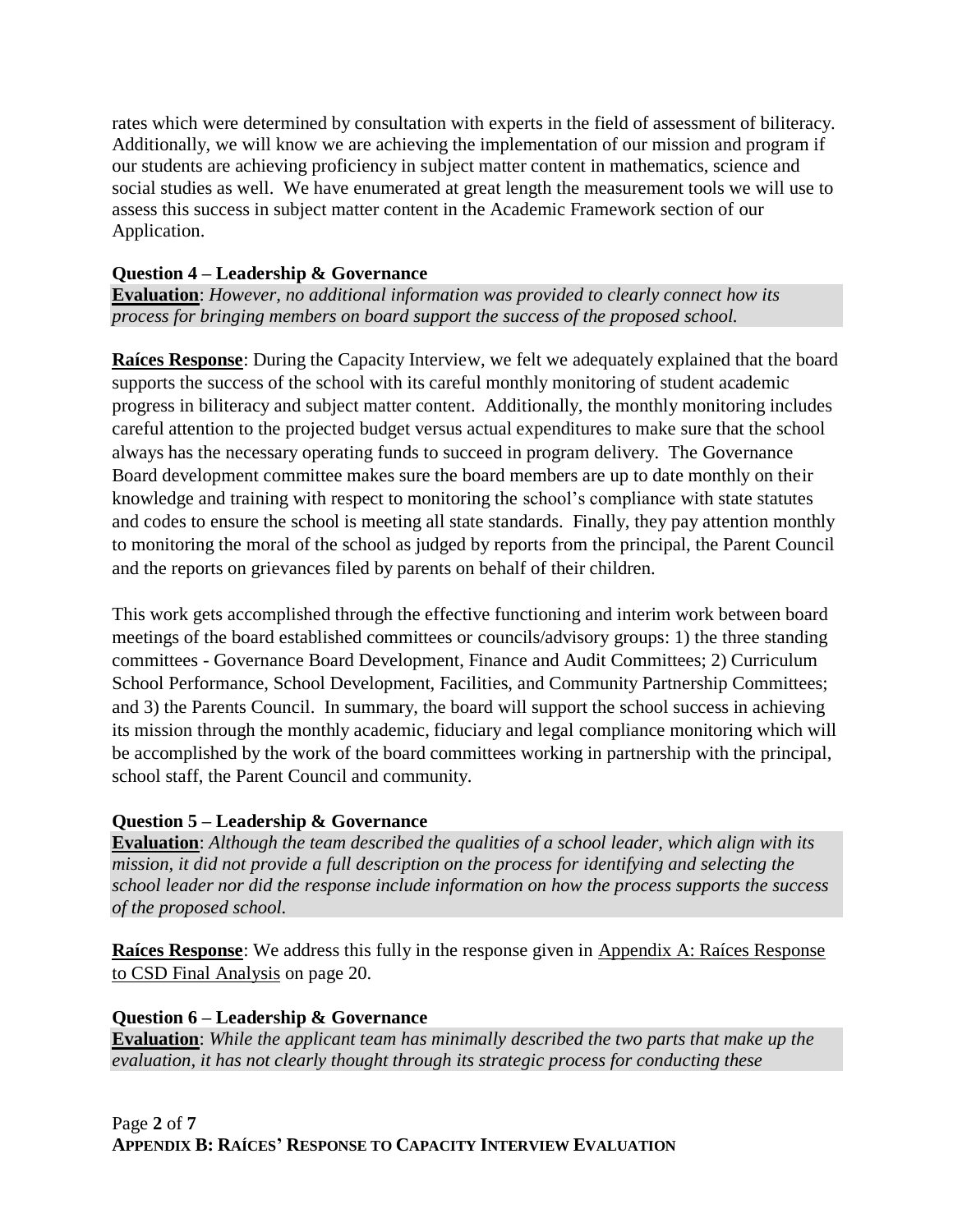rates which were determined by consultation with experts in the field of assessment of biliteracy. Additionally, we will know we are achieving the implementation of our mission and program if our students are achieving proficiency in subject matter content in mathematics, science and social studies as well. We have enumerated at great length the measurement tools we will use to assess this success in subject matter content in the Academic Framework section of our Application.

### **Question 4 – Leadership & Governance**

**Evaluation**: *However, no additional information was provided to clearly connect how its process for bringing members on board support the success of the proposed school.*

**Raíces Response**: During the Capacity Interview, we felt we adequately explained that the board supports the success of the school with its careful monthly monitoring of student academic progress in biliteracy and subject matter content. Additionally, the monthly monitoring includes careful attention to the projected budget versus actual expenditures to make sure that the school always has the necessary operating funds to succeed in program delivery. The Governance Board development committee makes sure the board members are up to date monthly on their knowledge and training with respect to monitoring the school's compliance with state statutes and codes to ensure the school is meeting all state standards. Finally, they pay attention monthly to monitoring the moral of the school as judged by reports from the principal, the Parent Council and the reports on grievances filed by parents on behalf of their children.

This work gets accomplished through the effective functioning and interim work between board meetings of the board established committees or councils/advisory groups: 1) the three standing committees - Governance Board Development, Finance and Audit Committees; 2) Curriculum School Performance, School Development, Facilities, and Community Partnership Committees; and 3) the Parents Council. In summary, the board will support the school success in achieving its mission through the monthly academic, fiduciary and legal compliance monitoring which will be accomplished by the work of the board committees working in partnership with the principal, school staff, the Parent Council and community.

### **Question 5 – Leadership & Governance**

**Evaluation**: *Although the team described the qualities of a school leader, which align with its mission, it did not provide a full description on the process for identifying and selecting the school leader nor did the response include information on how the process supports the success of the proposed school.*

**Raíces Response**: We address this fully in the response given in Appendix A: Raíces Response to CSD Final Analysis on page 20.

#### **Question 6 – Leadership & Governance**

**Evaluation**: *While the applicant team has minimally described the two parts that make up the evaluation, it has not clearly thought through its strategic process for conducting these*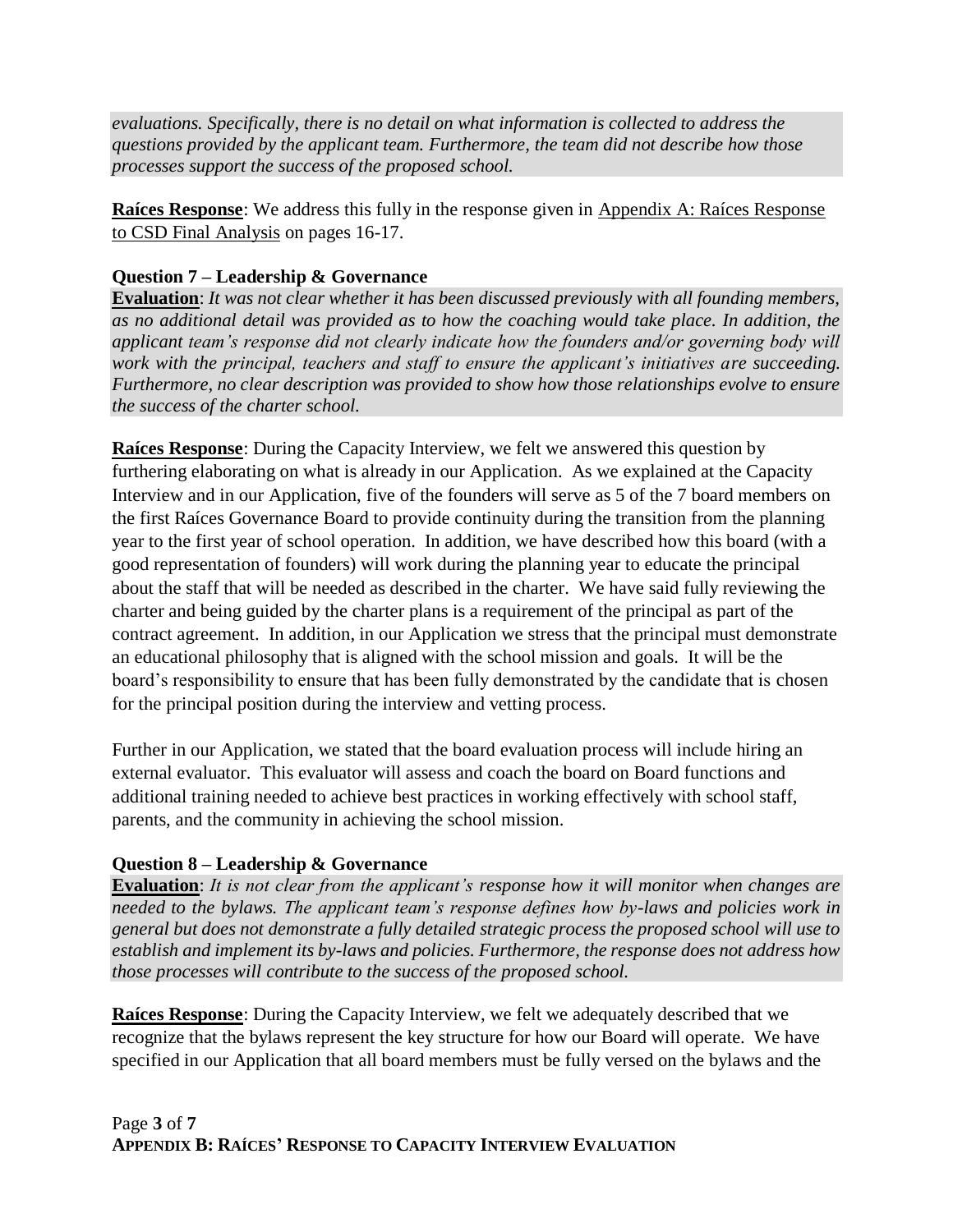*evaluations. Specifically, there is no detail on what information is collected to address the questions provided by the applicant team. Furthermore, the team did not describe how those processes support the success of the proposed school.*

**Raíces Response**: We address this fully in the response given in Appendix A: Raíces Response to CSD Final Analysis on pages 16-17.

### **Question 7 – Leadership & Governance**

**Evaluation**: *It was not clear whether it has been discussed previously with all founding members, as no additional detail was provided as to how the coaching would take place. In addition, the applicant team's response did not clearly indicate how the founders and/or governing body will work with the principal, teachers and staff to ensure the applicant's initiatives are succeeding. Furthermore, no clear description was provided to show how those relationships evolve to ensure the success of the charter school.*

**Raíces Response**: During the Capacity Interview, we felt we answered this question by furthering elaborating on what is already in our Application. As we explained at the Capacity Interview and in our Application, five of the founders will serve as 5 of the 7 board members on the first Raíces Governance Board to provide continuity during the transition from the planning year to the first year of school operation. In addition, we have described how this board (with a good representation of founders) will work during the planning year to educate the principal about the staff that will be needed as described in the charter. We have said fully reviewing the charter and being guided by the charter plans is a requirement of the principal as part of the contract agreement. In addition, in our Application we stress that the principal must demonstrate an educational philosophy that is aligned with the school mission and goals. It will be the board's responsibility to ensure that has been fully demonstrated by the candidate that is chosen for the principal position during the interview and vetting process.

Further in our Application, we stated that the board evaluation process will include hiring an external evaluator. This evaluator will assess and coach the board on Board functions and additional training needed to achieve best practices in working effectively with school staff, parents, and the community in achieving the school mission.

#### **Question 8 – Leadership & Governance**

**Evaluation**: *It is not clear from the applicant's response how it will monitor when changes are needed to the bylaws. The applicant team's response defines how by-laws and policies work in general but does not demonstrate a fully detailed strategic process the proposed school will use to establish and implement its by-laws and policies. Furthermore, the response does not address how those processes will contribute to the success of the proposed school.*

**Raíces Response**: During the Capacity Interview, we felt we adequately described that we recognize that the bylaws represent the key structure for how our Board will operate. We have specified in our Application that all board members must be fully versed on the bylaws and the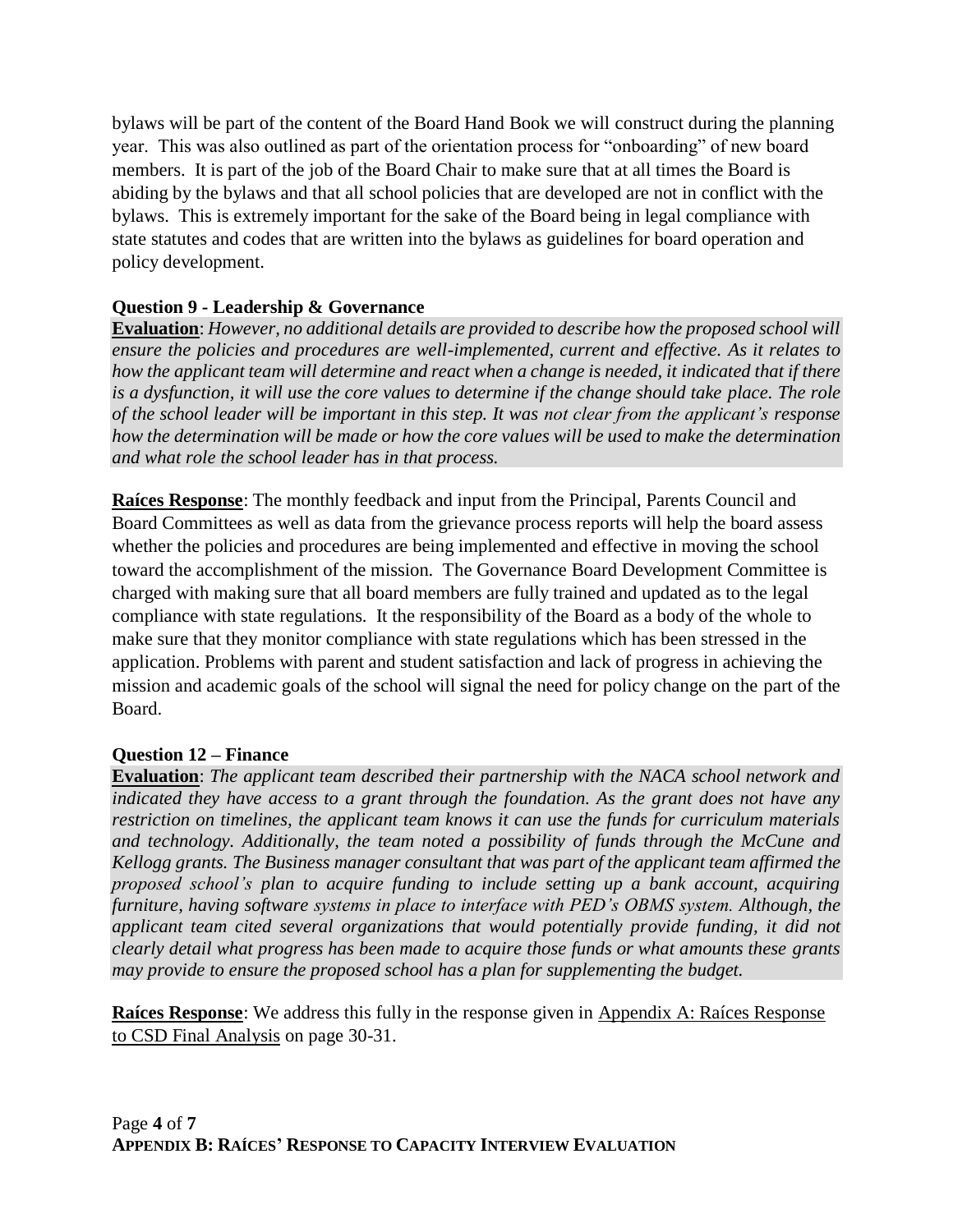bylaws will be part of the content of the Board Hand Book we will construct during the planning year. This was also outlined as part of the orientation process for "onboarding" of new board members. It is part of the job of the Board Chair to make sure that at all times the Board is abiding by the bylaws and that all school policies that are developed are not in conflict with the bylaws. This is extremely important for the sake of the Board being in legal compliance with state statutes and codes that are written into the bylaws as guidelines for board operation and policy development.

#### **Question 9 - Leadership & Governance**

**Evaluation**: *However, no additional details are provided to describe how the proposed school will ensure the policies and procedures are well-implemented, current and effective. As it relates to how the applicant team will determine and react when a change is needed, it indicated that if there is a dysfunction, it will use the core values to determine if the change should take place. The role of the school leader will be important in this step. It was not clear from the applicant's response how the determination will be made or how the core values will be used to make the determination and what role the school leader has in that process.*

**Raíces Response**: The monthly feedback and input from the Principal, Parents Council and Board Committees as well as data from the grievance process reports will help the board assess whether the policies and procedures are being implemented and effective in moving the school toward the accomplishment of the mission. The Governance Board Development Committee is charged with making sure that all board members are fully trained and updated as to the legal compliance with state regulations. It the responsibility of the Board as a body of the whole to make sure that they monitor compliance with state regulations which has been stressed in the application. Problems with parent and student satisfaction and lack of progress in achieving the mission and academic goals of the school will signal the need for policy change on the part of the Board.

#### **Question 12 – Finance**

**Evaluation**: *The applicant team described their partnership with the NACA school network and indicated they have access to a grant through the foundation. As the grant does not have any restriction on timelines, the applicant team knows it can use the funds for curriculum materials and technology. Additionally, the team noted a possibility of funds through the McCune and Kellogg grants. The Business manager consultant that was part of the applicant team affirmed the proposed school's plan to acquire funding to include setting up a bank account, acquiring furniture, having software systems in place to interface with PED's OBMS system. Although, the applicant team cited several organizations that would potentially provide funding, it did not clearly detail what progress has been made to acquire those funds or what amounts these grants may provide to ensure the proposed school has a plan for supplementing the budget.*

**Raíces Response**: We address this fully in the response given in Appendix A: Raíces Response to CSD Final Analysis on page 30-31.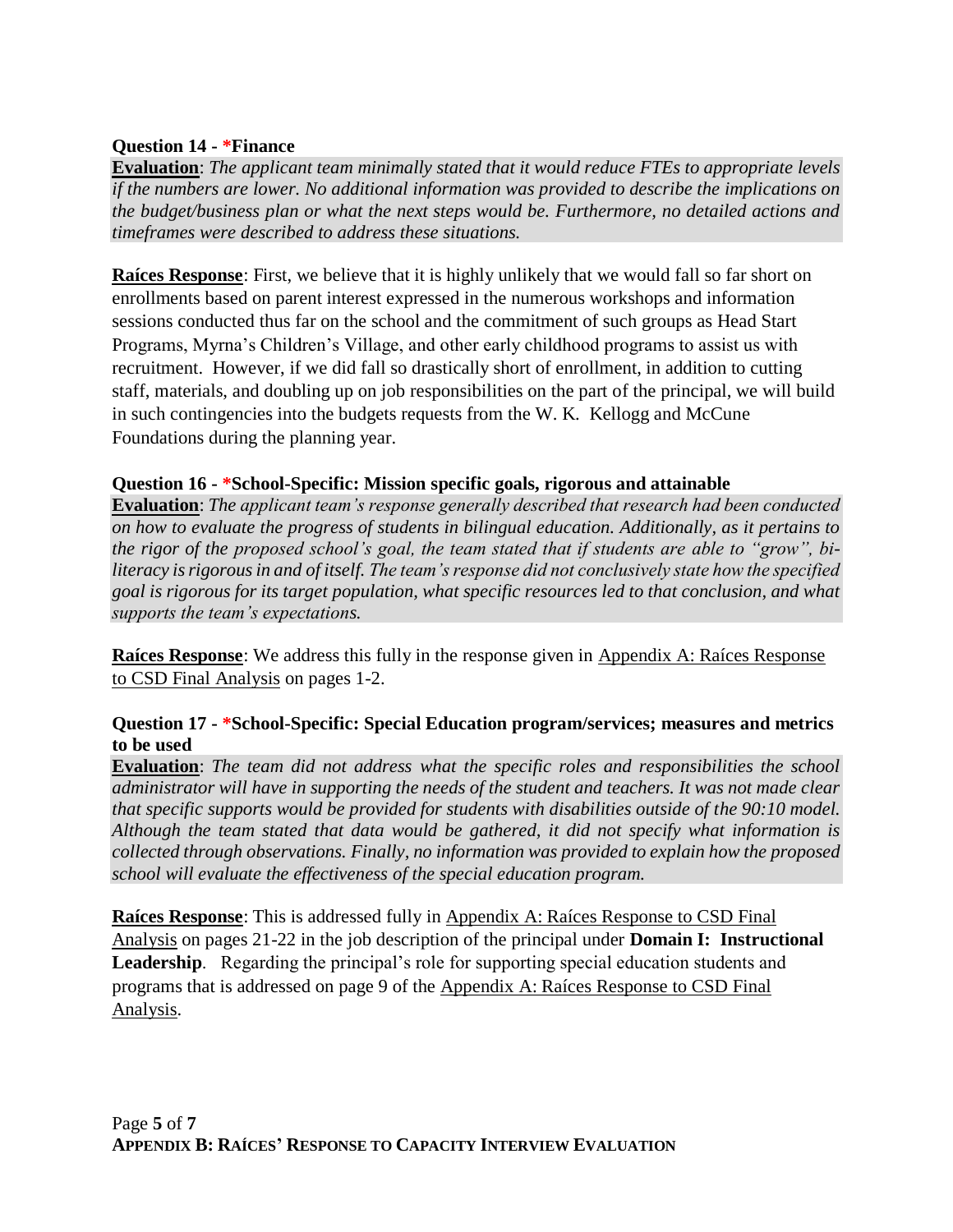#### **Question 14 - \*Finance**

**Evaluation**: *The applicant team minimally stated that it would reduce FTEs to appropriate levels if the numbers are lower. No additional information was provided to describe the implications on the budget/business plan or what the next steps would be. Furthermore, no detailed actions and timeframes were described to address these situations.*

**Raíces Response**: First, we believe that it is highly unlikely that we would fall so far short on enrollments based on parent interest expressed in the numerous workshops and information sessions conducted thus far on the school and the commitment of such groups as Head Start Programs, Myrna's Children's Village, and other early childhood programs to assist us with recruitment. However, if we did fall so drastically short of enrollment, in addition to cutting staff, materials, and doubling up on job responsibilities on the part of the principal, we will build in such contingencies into the budgets requests from the W. K. Kellogg and McCune Foundations during the planning year.

#### **Question 16 - \*School-Specific: Mission specific goals, rigorous and attainable**

**Evaluation**: *The applicant team's response generally described that research had been conducted on how to evaluate the progress of students in bilingual education. Additionally, as it pertains to the rigor of the proposed school's goal, the team stated that if students are able to "grow", biliteracy is rigorous in and of itself. The team's response did not conclusively state how the specified goal is rigorous for its target population, what specific resources led to that conclusion, and what supports the team's expectations.*

**Raíces Response**: We address this fully in the response given in Appendix A: Raíces Response to CSD Final Analysis on pages 1-2.

#### **Question 17 - \*School-Specific: Special Education program/services; measures and metrics to be used**

**Evaluation**: *The team did not address what the specific roles and responsibilities the school administrator will have in supporting the needs of the student and teachers. It was not made clear that specific supports would be provided for students with disabilities outside of the 90:10 model. Although the team stated that data would be gathered, it did not specify what information is collected through observations. Finally, no information was provided to explain how the proposed school will evaluate the effectiveness of the special education program.*

**Raíces Response**: This is addressed fully in Appendix A: Raíces Response to CSD Final Analysis on pages 21-22 in the job description of the principal under **Domain I: Instructional Leadership**. Regarding the principal's role for supporting special education students and programs that is addressed on page 9 of the Appendix A: Raíces Response to CSD Final Analysis.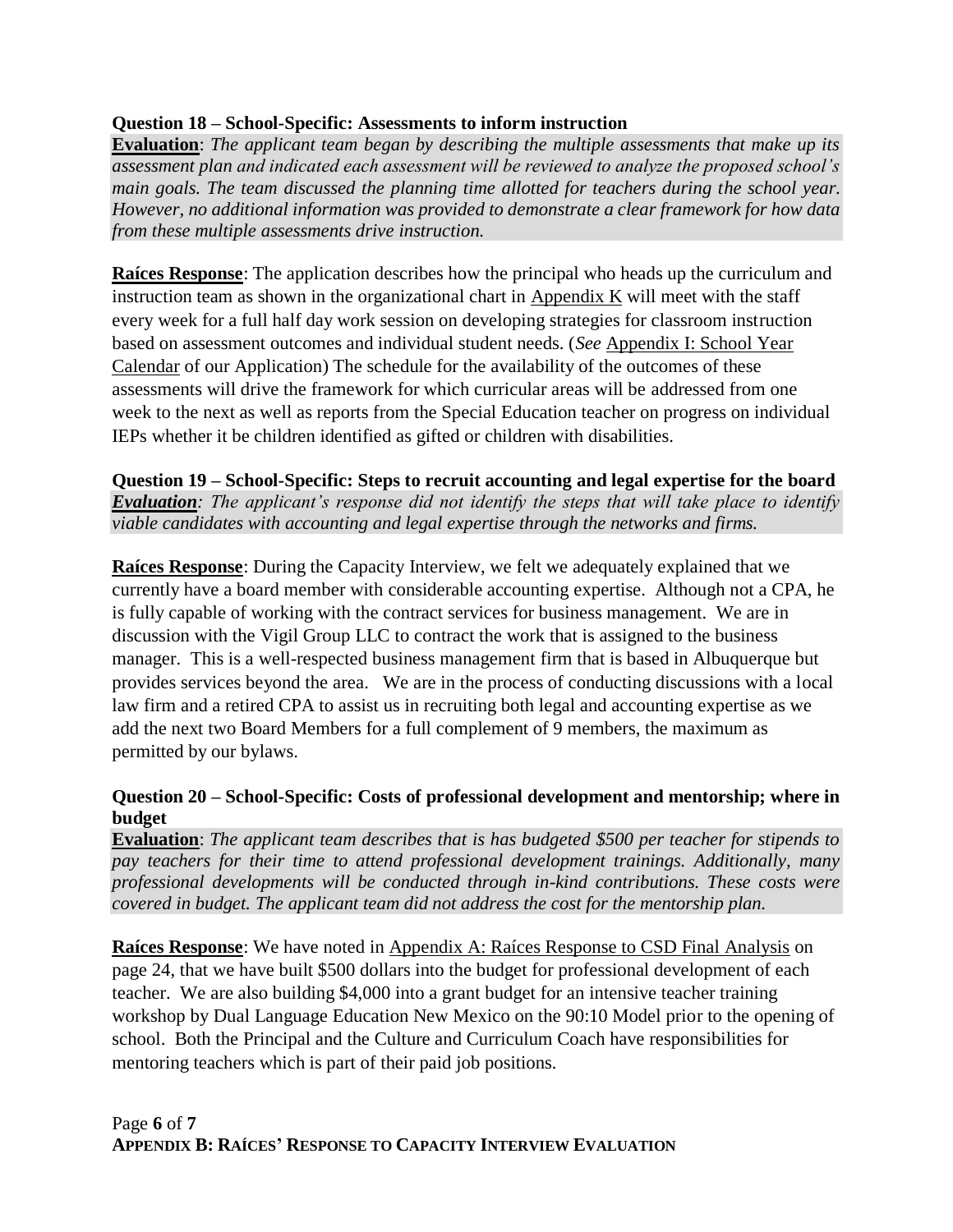### **Question 18 – School-Specific: Assessments to inform instruction**

**Evaluation**: *The applicant team began by describing the multiple assessments that make up its assessment plan and indicated each assessment will be reviewed to analyze the proposed school's main goals. The team discussed the planning time allotted for teachers during the school year. However, no additional information was provided to demonstrate a clear framework for how data from these multiple assessments drive instruction.*

**Raíces Response**: The application describes how the principal who heads up the curriculum and instruction team as shown in the organizational chart in  $\Delta$ ppendix K will meet with the staff every week for a full half day work session on developing strategies for classroom instruction based on assessment outcomes and individual student needs. (*See* Appendix I: School Year Calendar of our Application) The schedule for the availability of the outcomes of these assessments will drive the framework for which curricular areas will be addressed from one week to the next as well as reports from the Special Education teacher on progress on individual IEPs whether it be children identified as gifted or children with disabilities.

**Question 19 – School-Specific: Steps to recruit accounting and legal expertise for the board** *Evaluation: The applicant's response did not identify the steps that will take place to identify viable candidates with accounting and legal expertise through the networks and firms.*

**Raíces Response**: During the Capacity Interview, we felt we adequately explained that we currently have a board member with considerable accounting expertise. Although not a CPA, he is fully capable of working with the contract services for business management. We are in discussion with the Vigil Group LLC to contract the work that is assigned to the business manager. This is a well-respected business management firm that is based in Albuquerque but provides services beyond the area. We are in the process of conducting discussions with a local law firm and a retired CPA to assist us in recruiting both legal and accounting expertise as we add the next two Board Members for a full complement of 9 members, the maximum as permitted by our bylaws.

#### **Question 20 – School-Specific: Costs of professional development and mentorship; where in budget**

**Evaluation**: *The applicant team describes that is has budgeted \$500 per teacher for stipends to pay teachers for their time to attend professional development trainings. Additionally, many professional developments will be conducted through in-kind contributions. These costs were covered in budget. The applicant team did not address the cost for the mentorship plan.*

**Raíces Response**: We have noted in Appendix A: Raíces Response to CSD Final Analysis on page 24, that we have built \$500 dollars into the budget for professional development of each teacher. We are also building \$4,000 into a grant budget for an intensive teacher training workshop by Dual Language Education New Mexico on the 90:10 Model prior to the opening of school. Both the Principal and the Culture and Curriculum Coach have responsibilities for mentoring teachers which is part of their paid job positions.